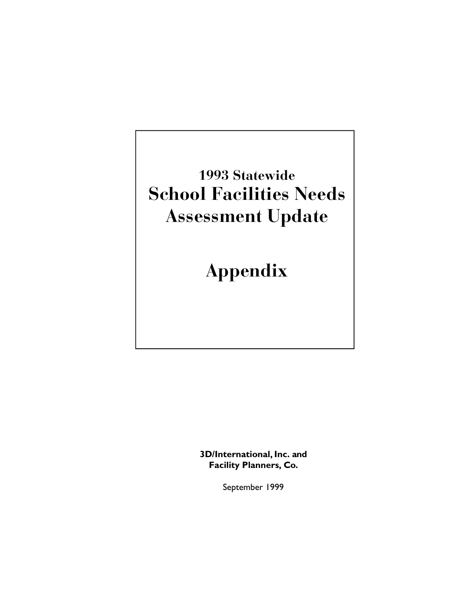# **1993 Statewide School Facilities Needs Assessment Update**

# **Appendix**

**3D/International, Inc. and Facility Planners, Co.**

September 1999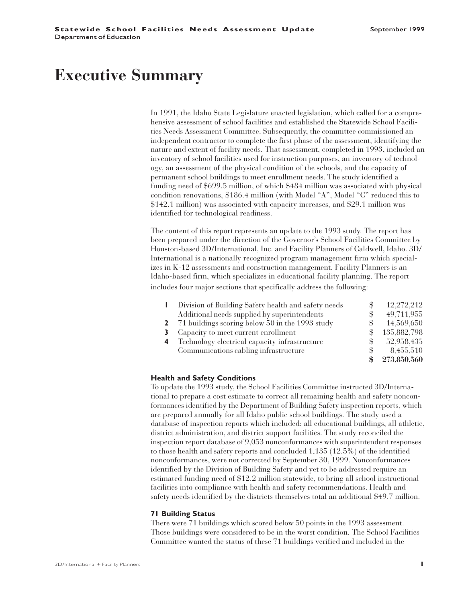# Executive Summary

In 1991, the Idaho State Legislature enacted legislation, which called for a comprehensive assessment of school facilities and established the Statewide School Facilities Needs Assessment Committee. Subsequently, the committee commissioned an independent contractor to complete the first phase of the assessment, identifying the nature and extent of facility needs. That assessment, completed in 1993, included an inventory of school facilities used for instruction purposes, an inventory of technology, an assessment of the physical condition of the schools, and the capacity of permanent school buildings to meet enrollment needs. The study identified a funding need of \$699.5 million, of which \$484 million was associated with physical condition renovations,  $$186.4$  million (with Model "A", Model "C" reduced this to \$142.1 million) was associated with capacity increases, and \$29.1 million was identified for technological readiness.

The content of this report represents an update to the 1993 study. The report has been prepared under the direction of the Governor's School Facilities Committee by Houston-based 3D/International, Inc. and Facility Planners of Caldwell, Idaho. 3D/ International is a nationally recognized program management firm which specializes in K-12 assessments and construction management. Facility Planners is an Idaho-based firm, which specializes in educational facility planning. The report includes four major sections that specifically address the following:

|   |                                                     |   | 273,850,560 |
|---|-----------------------------------------------------|---|-------------|
|   | Communications cabling infrastructure               |   | 8,455,510   |
| 4 | Technology electrical capacity infrastructure       |   | 52,958,435  |
| 3 | Capacity to meet current enrollment                 |   | 135,882,798 |
|   | 2 71 buildings scoring below 50 in the 1993 study   |   | 14,569,650  |
|   | Additional needs supplied by superintendents        | S | 49,711,955  |
|   | Division of Building Safety health and safety needs |   | 12.272.212  |

#### Health and Safety Conditions

To update the 1993 study, the School Facilities Committee instructed 3D/International to prepare a cost estimate to correct all remaining health and safety nonconformances identified by the Department of Building Safety inspection reports, which are prepared annually for all Idaho public school buildings. The study used a database of inspection reports which included: all educational buildings, all athletic, district administration, and district support facilities. The study reconciled the inspection report database of 9,053 nonconformances with superintendent responses to those health and safety reports and concluded 1,135 (12.5%) of the identified nonconformances, were not corrected by September 30, 1999. Nonconformances identified by the Division of Building Safety and yet to be addressed require an estimated funding need of \$12.2 million statewide, to bring all school instructional facilities into compliance with health and safety recommendations. Health and safety needs identified by the districts themselves total an additional \$49.7 million.

#### 71 Building Status

There were 71 buildings which scored below 50 points in the 1993 assessment. Those buildings were considered to be in the worst condition. The School Facilities Committee wanted the status of these 71 buildings verified and included in the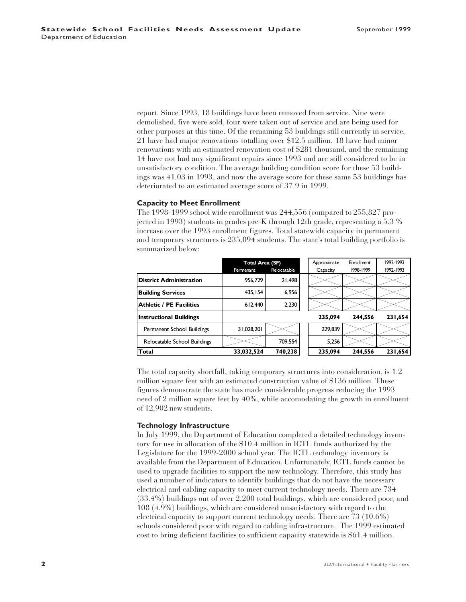report. Since 1993, 18 buildings have been removed from service. Nine were demolished, five were sold, four were taken out of service and are being used for other purposes at this time. Of the remaining 53 buildings still currently in service, 21 have had major renovations totalling over \$12.5 million. 18 have had minor renovations with an estimated renovation cost of \$281 thousand, and the remaining 14 have not had any significant repairs since 1993 and are still considered to be in unsatisfactory condition. The average building condition score for these 53 buildings was 41.03 in 1993, and now the average score for these same 53 buildings has deteriorated to an estimated average score of 37.9 in 1999.

#### Capacity to Meet Enrollment

The 1998-1999 school wide enrollment was 244,556 (compared to 255,827 projected in 1993) students in grades pre-K through 12th grade, representing a 5.3 % increase over the 1993 enrollment figures. Total statewide capacity in permanent and temporary structures is 235,094 students. The state's total building portfolio is summarized below:

|                                 | <b>Total Area (SF)</b> |             | Approximate | Enrollment | 1992-1993 |
|---------------------------------|------------------------|-------------|-------------|------------|-----------|
|                                 | Permenant              | Relocatable | Capacity    | 1998-1999  | 1992-1993 |
| <b>District Administration</b>  | 956,729                | 21,498      |             |            |           |
| <b>Building Services</b>        | 435,154                | 6,956       |             |            |           |
| <b>Athletic / PE Facilities</b> | 612,440                | 2,230       |             |            |           |
| <b>Instructional Buildings</b>  |                        |             | 235,094     | 244,556    | 231,654   |
| Permanent School Buildings      | 31,028,201             |             | 229,839     |            |           |
| Relocatable School Buildings    |                        | 709.554     | 5,256       |            |           |
| Total                           | 33,032,524             | 740,238     | 235.094     | 244.556    | 231,654   |

The total capacity shortfall, taking temporary structures into consideration, is 1.2 million square feet with an estimated construction value of \$136 million. These figures demonstrate the state has made considerable progress reducing the 1993 need of 2 million square feet by 40%, while accomodating the growth in enrollment of 12,902 new students.

#### Technology Infrastructure

In July 1999, the Department of Education completed a detailed technology inventory for use in allocation of the \$10.4 million in ICTL funds authorized by the Legislature for the 1999-2000 school year. The ICTL technology inventory is available from the Department of Education. Unfortunately, ICTL funds cannot be used to upgrade facilities to support the new technology. Therefore, this study has used a number of indicators to identify buildings that do not have the necessary electrical and cabling capacity to meet current technology needs. There are 734 (33.4%) buildings out of over 2,200 total buildings, which are considered poor, and 108 (4.9%) buildings, which are considered unsatisfactory with regard to the electrical capacity to support current technology needs. There are 73 (10.6%) schools considered poor with regard to cabling infrastructure. The 1999 estimated cost to bring deficient facilities to sufficient capacity statewide is \$61.4 million.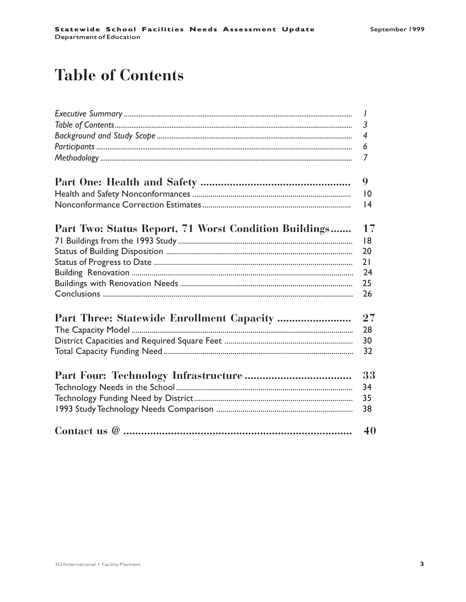# **Table of Contents**

|                                                       | $\overline{1}$ |
|-------------------------------------------------------|----------------|
|                                                       | $\overline{3}$ |
|                                                       | $\overline{4}$ |
|                                                       | 6              |
|                                                       | 7              |
|                                                       | 9              |
|                                                       | 10             |
|                                                       | 4              |
| Part Two: Status Report, 71 Worst Condition Buildings | 17             |
|                                                       | 8              |
|                                                       | 20             |
|                                                       | 21             |
|                                                       | 24             |
|                                                       | 25             |
|                                                       | 26             |
|                                                       | 27             |
|                                                       | 28             |
|                                                       | 30             |
|                                                       | 32             |
|                                                       | 33             |
|                                                       | 34             |
|                                                       | 35             |
|                                                       | 38             |
|                                                       | 40             |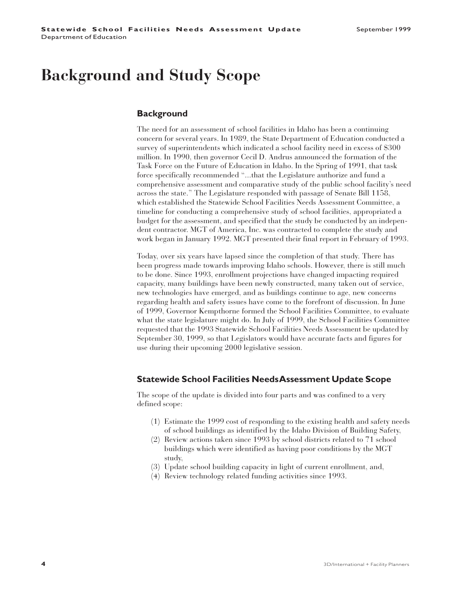# Background and Study Scope

#### **Background**

The need for an assessment of school facilities in Idaho has been a continuing concern for several years. In 1989, the State Department of Education conducted a survey of superintendents which indicated a school facility need in excess of \$300 million. In 1990, then governor Cecil D. Andrus announced the formation of the Task Force on the Future of Education in Idaho. In the Spring of 1991, that task force specifically recommended "...that the Legislature authorize and fund a comprehensive assessment and comparative study of the public school facility's need across the state." The Legislature responded with passage of Senate Bill 1158, which established the Statewide School Facilities Needs Assessment Committee, a timeline for conducting a comprehensive study of school facilities, appropriated a budget for the assessment, and specified that the study be conducted by an independent contractor. MGT of America, Inc. was contracted to complete the study and work began in January 1992. MGT presented their final report in February of 1993.

Today, over six years have lapsed since the completion of that study. There has been progress made towards improving Idaho schools. However, there is still much to be done. Since 1993, enrollment projections have changed impacting required capacity, many buildings have been newly constructed, many taken out of service, new technologies have emerged, and as buildings continue to age, new concerns regarding health and safety issues have come to the forefront of discussion. In June of 1999, Governor Kempthorne formed the School Facilities Committee, to evaluate what the state legislature might do. In July of 1999, the School Facilities Committee requested that the 1993 Statewide School Facilities Needs Assessment be updated by September 30, 1999, so that Legislators would have accurate facts and figures for use during their upcoming 2000 legislative session.

#### Statewide School Facilities Needs Assessment Update Scope

The scope of the update is divided into four parts and was confined to a very defined scope:

- (1) Estimate the 1999 cost of responding to the existing health and safety needs of school buildings as identified by the Idaho Division of Building Safety,
- (2) Review actions taken since 1993 by school districts related to 71 school buildings which were identified as having poor conditions by the MGT study,
- (3) Update school building capacity in light of current enrollment, and,
- (4) Review technology related funding activities since 1993.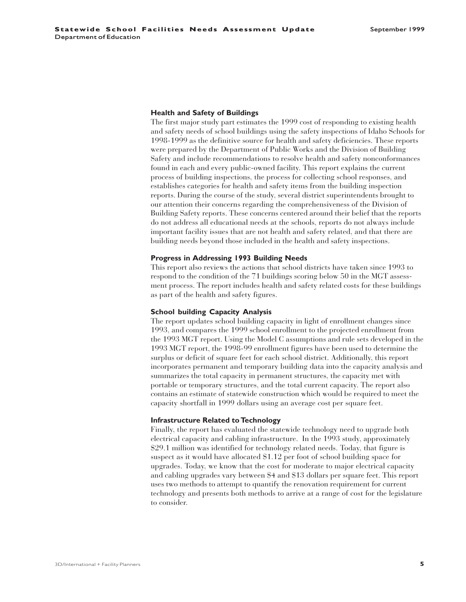#### Health and Safety of Buildings

The first major study part estimates the 1999 cost of responding to existing health and safety needs of school buildings using the safety inspections of Idaho Schools for 1998-1999 as the definitive source for health and safety deficiencies. These reports were prepared by the Department of Public Works and the Division of Building Safety and include recommendations to resolve health and safety nonconformances found in each and every public-owned facility. This report explains the current process of building inspections, the process for collecting school responses, and establishes categories for health and safety items from the building inspection reports. During the course of the study, several district superintendents brought to our attention their concerns regarding the comprehensiveness of the Division of Building Safety reports. These concerns centered around their belief that the reports do not address all educational needs at the schools, reports do not always include important facility issues that are not health and safety related, and that there are building needs beyond those included in the health and safety inspections.

#### Progress in Addressing 1993 Building Needs

This report also reviews the actions that school districts have taken since 1993 to respond to the condition of the 71 buildings scoring below 50 in the MGT assessment process. The report includes health and safety related costs for these buildings as part of the health and safety figures.

#### School building Capacity Analysis

The report updates school building capacity in light of enrollment changes since 1993, and compares the 1999 school enrollment to the projected enrollment from the 1993 MGT report. Using the Model C assumptions and rule sets developed in the 1993 MGT report, the 1998-99 enrollment figures have been used to determine the surplus or deficit of square feet for each school district. Additionally, this report incorporates permanent and temporary building data into the capacity analysis and summarizes the total capacity in permanent structures, the capacity met with portable or temporary structures, and the total current capacity. The report also contains an estimate of statewide construction which would be required to meet the capacity shortfall in 1999 dollars using an average cost per square feet.

#### Infrastructure Related to Technology

Finally, the report has evaluated the statewide technology need to upgrade both electrical capacity and cabling infrastructure. In the 1993 study, approximately \$29.1 million was identified for technology related needs. Today, that figure is suspect as it would have allocated \$1.12 per foot of school building space for upgrades. Today, we know that the cost for moderate to major electrical capacity and cabling upgrades vary between \$4 and \$13 dollars per square feet. This report uses two methods to attempt to quantify the renovation requirement for current technology and presents both methods to arrive at a range of cost for the legislature to consider.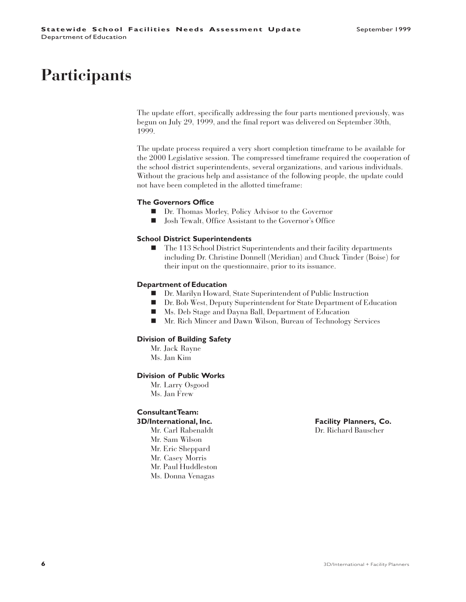## **Participants**

The update effort, specifically addressing the four parts mentioned previously, was begun on July 29, 1999, and the final report was delivered on September 30th, 1999.

The update process required a very short completion timeframe to be available for the 2000 Legislative session. The compressed timeframe required the cooperation of the school district superintendents, several organizations, and various individuals. Without the gracious help and assistance of the following people, the update could not have been completed in the allotted timeframe:

#### The Governors Office

- Dr. Thomas Morley, Policy Advisor to the Governor
- Josh Tewalt, Office Assistant to the Governor's Office

#### School District Superintendents

 $\blacksquare$  The 113 School District Superintendents and their facility departments including Dr. Christine Donnell (Meridian) and Chuck Tinder (Boise) for their input on the questionnaire, prior to its issuance.

#### Department of Education

- Dr. Marilyn Howard, State Superintendent of Public Instruction
- Dr. Bob West, Deputy Superintendent for State Department of Education
- Ms. Deb Stage and Dayna Ball, Department of Education
- n Mr. Rich Mincer and Dawn Wilson, Bureau of Technology Services

#### Division of Building Safety

Mr. Jack Rayne Ms. Jan Kim

#### Division of Public Works

Mr. Larry Osgood Ms. Jan Frew

### Consultant Team:

Mr. Sam Wilson Mr. Eric Sheppard Mr. Casey Morris Mr. Paul Huddleston Ms. Donna Venagas

#### 3D/International, Inc. The Community Planners, Co. Mr. Carl Rabenaldt Dr. Richard Bauscher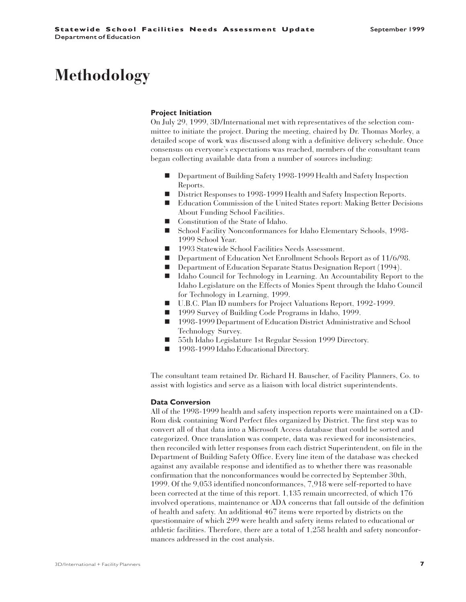# Methodology

#### Project Initiation

On July 29, 1999, 3D/International met with representatives of the selection committee to initiate the project. During the meeting, chaired by Dr. Thomas Morley, a detailed scope of work was discussed along with a definitive delivery schedule. Once consensus on everyone's expectations was reached, members of the consultant team began collecting available data from a number of sources including:

- Department of Building Safety 1998-1999 Health and Safety Inspection Reports.
- District Responses to 1998-1999 Health and Safety Inspection Reports.
- Education Commission of the United States report: Making Better Decisions About Funding School Facilities.
- Constitution of the State of Idaho.
- School Facility Nonconformances for Idaho Elementary Schools, 1998-1999 School Year.
- n 1993 Statewide School Facilities Needs Assessment.
- Department of Education Net Enrollment Schools Report as of 11/6/98.
- Department of Education Separate Status Designation Report (1994).
- Idaho Council for Technology in Learning. An Accountability Report to the Idaho Legislature on the Effects of Monies Spent through the Idaho Council for Technology in Learning, 1999.
- U.B.C. Plan ID numbers for Project Valuations Report, 1992-1999.
- 1999 Survey of Building Code Programs in Idaho, 1999.
- n 1998-1999 Department of Education District Administrative and School Technology Survey.
- 55th Idaho Legislature 1st Regular Session 1999 Directory.
- 1998-1999 Idaho Educational Directory.

The consultant team retained Dr. Richard H. Bauscher, of Facility Planners, Co. to assist with logistics and serve as a liaison with local district superintendents.

#### Data Conversion

All of the 1998-1999 health and safety inspection reports were maintained on a CD-Rom disk containing Word Perfect files organized by District. The first step was to convert all of that data into a Microsoft Access database that could be sorted and categorized. Once translation was compete, data was reviewed for inconsistencies, then reconciled with letter responses from each district Superintendent, on file in the Department of Building Safety Office. Every line item of the database was checked against any available response and identified as to whether there was reasonable confirmation that the nonconformances would be corrected by September 30th, 1999. Of the 9,053 identified nonconformances, 7,918 were self-reported to have been corrected at the time of this report. 1,135 remain uncorrected, of which 176 involved operations, maintenance or ADA concerns that fall outside of the definition of health and safety. An additional 467 items were reported by districts on the questionnaire of which 299 were health and safety items related to educational or athletic facilities. Therefore, there are a total of 1,258 health and safety nonconformances addressed in the cost analysis.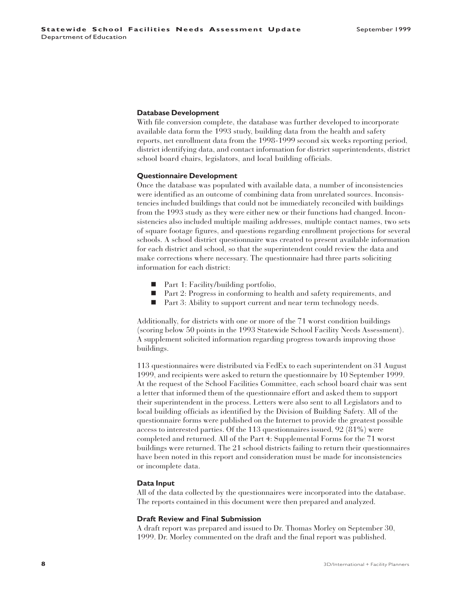#### Database Development

With file conversion complete, the database was further developed to incorporate available data form the 1993 study, building data from the health and safety reports, net enrollment data from the 1998-1999 second six weeks reporting period, district identifying data, and contact information for district superintendents, district school board chairs, legislators, and local building officials.

#### Questionnaire Development

Once the database was populated with available data, a number of inconsistencies were identified as an outcome of combining data from unrelated sources. Inconsistencies included buildings that could not be immediately reconciled with buildings from the 1993 study as they were either new or their functions had changed. Inconsistencies also included multiple mailing addresses, multiple contact names, two sets of square footage figures, and questions regarding enrollment projections for several schools. A school district questionnaire was created to present available information for each district and school, so that the superintendent could review the data and make corrections where necessary. The questionnaire had three parts soliciting information for each district:

- Part 1: Facility/building portfolio,
- Part 2: Progress in conforming to health and safety requirements, and
- Part 3: Ability to support current and near term technology needs.

Additionally, for districts with one or more of the 71 worst condition buildings (scoring below 50 points in the 1993 Statewide School Facility Needs Assessment). A supplement solicited information regarding progress towards improving those buildings.

113 questionnaires were distributed via FedEx to each superintendent on 31 August 1999, and recipients were asked to return the questionnaire by 10 September 1999. At the request of the School Facilities Committee, each school board chair was sent a letter that informed them of the questionnaire effort and asked them to support their superintendent in the process. Letters were also sent to all Legislators and to local building officials as identified by the Division of Building Safety. All of the questionnaire forms were published on the Internet to provide the greatest possible access to interested parties. Of the 113 questionnaires issued, 92 (81%) were completed and returned. All of the Part 4: Supplemental Forms for the 71 worst buildings were returned. The 21 school districts failing to return their questionnaires have been noted in this report and consideration must be made for inconsistencies or incomplete data.

#### Data Input

All of the data collected by the questionnaires were incorporated into the database. The reports contained in this document were then prepared and analyzed.

#### Draft Review and Final Submission

A draft report was prepared and issued to Dr. Thomas Morley on September 30, 1999. Dr. Morley commented on the draft and the final report was published.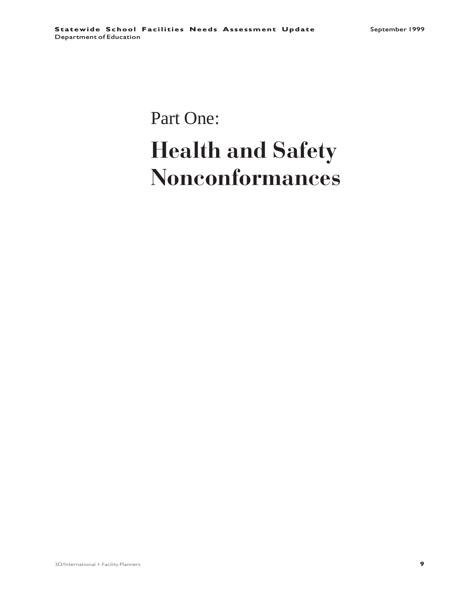# Part One: Health and Safety Nonconformances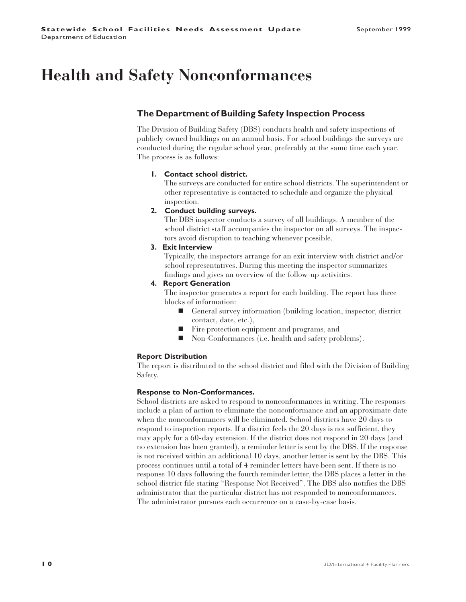# Health and Safety Nonconformances

#### The Department of Building Safety Inspection Process

The Division of Building Safety (DBS) conducts health and safety inspections of publicly-owned buildings on an annual basis. For school buildings the surveys are conducted during the regular school year, preferably at the same time each year. The process is as follows:

#### 1. Contact school district.

The surveys are conducted for entire school districts. The superintendent or other representative is contacted to schedule and organize the physical inspection.

#### 2. Conduct building surveys.

The DBS inspector conducts a survey of all buildings. A member of the school district staff accompanies the inspector on all surveys. The inspectors avoid disruption to teaching whenever possible.

#### 3. Exit Interview

Typically, the inspectors arrange for an exit interview with district and/or school representatives. During this meeting the inspector summarizes findings and gives an overview of the follow-up activities.

#### 4. Report Generation

The inspector generates a report for each building. The report has three blocks of information:

- n General survey information (building location, inspector, district contact, date, etc.),
- Fire protection equipment and programs, and
- Non-Conformances (i.e. health and safety problems).

#### Report Distribution

The report is distributed to the school district and filed with the Division of Building Safety.

#### Response to Non-Conformances.

School districts are asked to respond to nonconformances in writing. The responses include a plan of action to eliminate the nonconformance and an approximate date when the nonconformances will be eliminated. School districts have 20 days to respond to inspection reports. If a district feels the 20 days is not sufficient, they may apply for a 60-day extension. If the district does not respond in 20 days (and no extension has been granted), a reminder letter is sent by the DBS. If the response is not received within an additional 10 days, another letter is sent by the DBS. This process continues until a total of 4 reminder letters have been sent. If there is no response 10 days following the fourth reminder letter, the DBS places a letter in the school district file stating "Response Not Received". The DBS also notifies the DBS administrator that the particular district has not responded to nonconformances. The administrator pursues each occurrence on a case-by-case basis.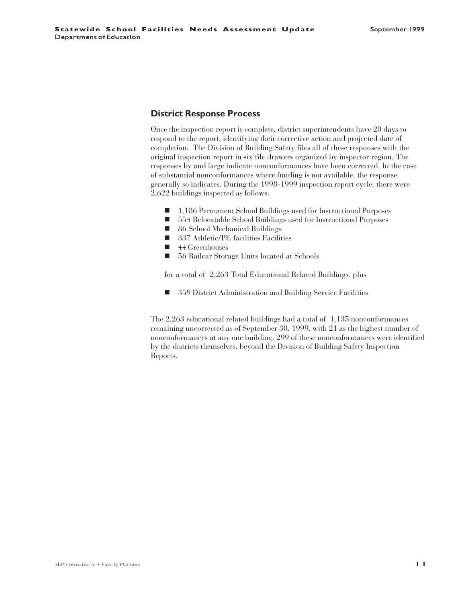#### District Response Process

Once the inspection report is complete, district superintendents have 20 days to respond to the report, identifying their corrective action and projected date of completion. The Division of Building Safety files all of these responses with the original inspection report in six file drawers organized by inspector region. The responses by and large indicate nonconformances have been corrected. In the case of substantial nonconformances where funding is not available, the response generally so indicates. During the 1998-1999 inspection report cycle, there were 2,622 buildings inspected as follows:

- 1,186 Permanent School Buildings used for Instructional Purposes
- 554 Relocatable School Buildings used for Instructional Purposes
- $\blacksquare$  86 School Mechanical Buildings
- $\blacksquare$  337 Athletic/PE facilities Facilities
- $\blacksquare$  44 Greenhouses
- 56 Railcar Storage Units located at Schools

for a total of 2,263 Total Educational Related Buildings, plus

■ 359 District Administration and Building Service Facilities

The 2,263 educational related buildings had a total of 1,135 nonconformances remaining uncorrected as of September 30, 1999, with 21 as the highest number of nonconformances at any one building. 299 of these nonconformances were identified by the districts themselves, beyond the Division of Building Safety Inspection Reports.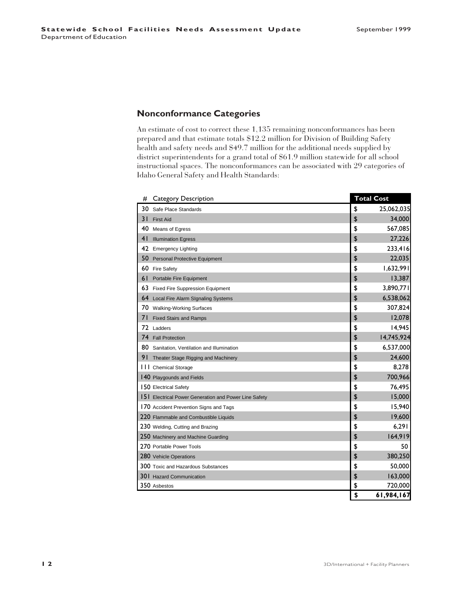#### Nonconformance Categories

An estimate of cost to correct these 1,135 remaining nonconformances has been prepared and that estimate totals \$12.2 million for Division of Building Safety health and safety needs and \$49.7 million for the additional needs supplied by district superintendents for a grand total of \$61.9 million statewide for all school instructional spaces. The nonconformances can be associated with 29 categories of Idaho General Safety and Health Standards:

| #              | Category Description                                  | <b>Total Cost</b> |
|----------------|-------------------------------------------------------|-------------------|
| 30             | Safe Place Standards                                  | \$<br>25,062,035  |
| 31             | <b>First Aid</b>                                      | \$<br>34,000      |
| 40             | Means of Egress                                       | \$<br>567,085     |
| 4 <sub>1</sub> | <b>Illumination Egress</b>                            | \$<br>27,226      |
| 42             | <b>Emergency Lighting</b>                             | \$<br>233,416     |
| 50             | <b>Personal Protective Equipment</b>                  | \$<br>22,035      |
| 60             | <b>Fire Safety</b>                                    | \$<br>1,632,991   |
| 61             | Portable Fire Equipment                               | \$<br>13,387      |
| 63             | <b>Fixed Fire Suppression Equipment</b>               | \$<br>3,890,771   |
| 64             | Local Fire Alarm SIgnaling Systems                    | \$<br>6,538,062   |
| 70             | <b>Walking-Working Surfaces</b>                       | \$<br>307,824     |
| 71             | <b>Fixed Stairs and Ramps</b>                         | \$<br>12,078      |
| 72             | Ladders                                               | \$<br>14,945      |
| 74             | <b>Fall Protection</b>                                | \$<br>14,745,924  |
| 80             | Sanitation, Ventilation and Illumination              | \$<br>6,537,000   |
| 91             | Theater Stage Rigging and Machinery                   | \$<br>24,600      |
|                | III Chemical Storage                                  | \$<br>8,278       |
|                | 140 Playgounds and Fields                             | \$<br>700,966     |
|                | 150 Electrical Safety                                 | \$<br>76,495      |
|                | 151 Electrical Power Generation and Power Line Safety | \$<br>15,000      |
|                | 170 Accident Prevention Signs and Tags                | \$<br>15,940      |
|                | 220 Flammable and Combustible Liquids                 | \$<br>19,600      |
|                | 230 Welding, Cutting and Brazing                      | \$<br>6,291       |
|                | 250 Machinery and Machine Guarding                    | \$<br>164,919     |
|                | 270 Portable Power Tools                              | \$<br>50          |
|                | 280 Vehicle Operations                                | \$<br>380,250     |
|                | 300 Toxic and Hazardous Substances                    | \$<br>50,000      |
|                | <b>301</b> Hazard Communication                       | \$<br>163,000     |
|                | 350 Asbestos                                          | \$<br>720,000     |
|                |                                                       | \$<br>61,984,167  |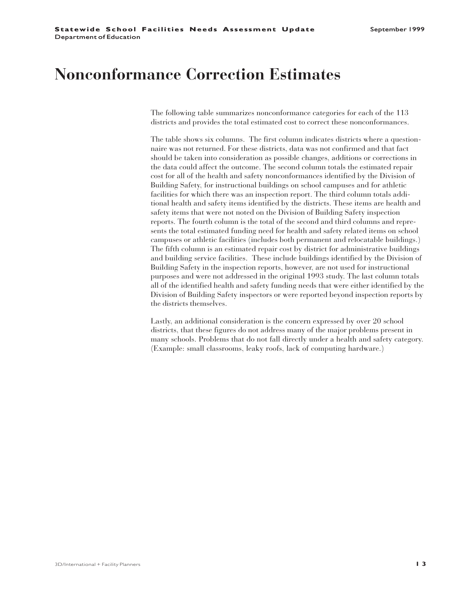# Nonconformance Correction Estimates

The following table summarizes nonconformance categories for each of the 113 districts and provides the total estimated cost to correct these nonconformances.

The table shows six columns. The first column indicates districts where a questionnaire was not returned. For these districts, data was not confirmed and that fact should be taken into consideration as possible changes, additions or corrections in the data could affect the outcome. The second column totals the estimated repair cost for all of the health and safety nonconformances identified by the Division of Building Safety, for instructional buildings on school campuses and for athletic facilities for which there was an inspection report. The third column totals additional health and safety items identified by the districts. These items are health and safety items that were not noted on the Division of Building Safety inspection reports. The fourth column is the total of the second and third columns and represents the total estimated funding need for health and safety related items on school campuses or athletic facilities (includes both permanent and relocatable buildings.) The fifth column is an estimated repair cost by district for administrative buildings and building service facilities. These include buildings identified by the Division of Building Safety in the inspection reports, however, are not used for instructional purposes and were not addressed in the original 1993 study. The last column totals all of the identified health and safety funding needs that were either identified by the Division of Building Safety inspectors or were reported beyond inspection reports by the districts themselves.

Lastly, an additional consideration is the concern expressed by over 20 school districts, that these figures do not address many of the major problems present in many schools. Problems that do not fall directly under a health and safety category. (Example: small classrooms, leaky roofs, lack of computing hardware.)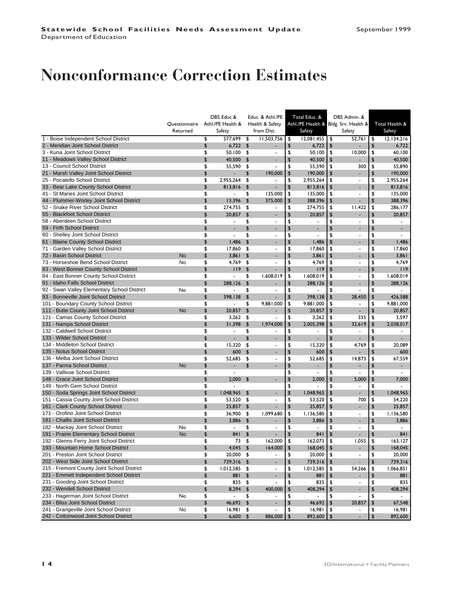# Nonconformance Correction Estimates

|                                                                                        |                                 |          | DBS Educ &               |                           | Educ. & Athl./PE         |          | Total Educ. &    | DBS Admin. &                          |          |                  |
|----------------------------------------------------------------------------------------|---------------------------------|----------|--------------------------|---------------------------|--------------------------|----------|------------------|---------------------------------------|----------|------------------|
|                                                                                        | Ouestionnaire Athl./PE Health & |          |                          |                           | Health & Safety          |          |                  | Athl./PE Health & Bldg. Srv. Health & |          | Total Health &   |
|                                                                                        | Returned                        |          | Safety                   |                           | from Dist.               |          | Safety           | Safety                                |          | Safety           |
| 1 - Boise Independent School District                                                  |                                 | \$       | 577,699                  | \$                        | 11,503,756               | \$       | 12,081,455       | \$<br>52,761                          | \$       | 12,134,216       |
| 2 - Meridian Joint School District                                                     |                                 | \$       | 6,722                    | $\boldsymbol{\mathsf{s}}$ |                          | \$       | 6,722            | \$                                    | \$       | 6,722            |
| 3 - Kuna Joint School District                                                         |                                 | \$       | 50,100                   | \$                        | $\blacksquare$           | \$       | 50,100           | \$<br>10,000                          | \$       | 60.100           |
| 11 - Meadows Valley School District                                                    |                                 | \$       | 40,500                   | \$                        | ä,                       | \$       | 40,500           | \$                                    | \$       | 40,500           |
| 13 - Council School District                                                           |                                 | \$       | 55,590                   | \$                        | $\sim$                   | \$       | 55,590           | \$<br>300                             | \$       | 55,890           |
| 21 - Marsh Valley Joint School District                                                |                                 | \$       |                          | \$                        | 190,000                  | \$       | 190,000          | \$                                    | \$       | 190,000          |
| 25 - Pocatello School District                                                         |                                 | \$       | 2,955,264                | \$                        | $\sim$                   | \$       | 2,955,264        | \$<br>$\blacksquare$                  | \$       | 2,955,264        |
| 33 - Bear Lake County School District                                                  |                                 | \$       | 813,816                  | \$                        | ä,                       | \$       | 813,816          | \$<br>×,                              | \$       | 813,816          |
| 41 - St Maries Joint School District                                                   |                                 | \$       | ÷.                       | \$                        | 135,000                  | \$       | 135,000          | \$<br>ä,                              | \$       | 135,000          |
| 44 - Plummer-Worley Joint School District                                              |                                 | \$       | 13,396                   | $\sqrt{2}$                | 375,000                  | \$       | 388,396          | \$<br>×,                              | \$       | 388,396          |
| 52 - Snake River School District                                                       |                                 | \$       | 274,755                  | \$                        | ä,                       | \$       | 274,755          | \$<br>11,422                          | \$       | 286,177          |
| 55 - Blackfoot School District                                                         |                                 | \$       | 20,857                   | \$                        | ä,                       | \$       | 20,857           | \$<br>÷,                              | \$       | 20,857           |
| 58 - Aberdeen School District                                                          |                                 | \$       | ä,                       | \$                        | ÷,                       | \$       | ä,               | \$<br>ä,                              | \$       | $\blacksquare$   |
| 59 - Firth School District                                                             |                                 | \$       | Ē,                       | \$                        |                          | \$       | $\blacksquare$   | \$<br>٠                               | \$       | $\blacksquare$   |
| 60 - Shelley Joint School District                                                     |                                 | \$       | $\sim$                   | \$                        | $\sim$                   | \$       | $\blacksquare$   | \$<br>$\blacksquare$                  | \$       | $\omega$         |
| 61 - Blaine County School District                                                     |                                 | \$       | 1,486                    | \$                        | ä,                       | \$       | 1,486            | \$<br>×,                              | \$       | 1,486            |
| 71 - Garden Valley School District                                                     |                                 | \$       | 17,860                   | \$                        | $\sim$                   | \$       | 17,860           | \$<br>ä,                              | \$       | 17,860           |
| 72 - Basin School District                                                             | <b>No</b>                       | \$       | 3,861                    | \$                        | ä,                       | \$       | 3,861            | \$<br>×,                              | \$       | 3,861            |
| 73 - Horseshoe Bend School District                                                    | No                              | \$       | 4,769                    | \$                        | $\tilde{\phantom{a}}$    | \$       | 4,769            | \$<br>$\sim$                          | \$       | 4,769            |
| 83 - West Bonner County School District                                                |                                 | \$       | 119                      | $\frac{1}{2}$             | ä,                       | \$       | 119              | \$<br>٠                               | \$       | 119              |
| 84 - East Bonner County School District                                                |                                 | \$       | $\mathbf{r}$             | \$                        | 1,608,019                | \$       | 1,608,019        | \$<br>ä,                              | \$       | 1,608,019        |
| 91 - Idaho Falls School District                                                       |                                 | \$       | 288,126                  | $\frac{1}{2}$             |                          | \$       | 288,126          | \$<br>٠                               | \$       | 288,126          |
| 92 - Swan Valley Elementary School District                                            | No                              | \$       | $\tilde{\phantom{a}}$    | \$                        | $\tilde{\phantom{a}}$    | \$       | $\overline{a}$   | \$<br>÷.                              | \$       |                  |
| 93 - Bonneville Joint School District                                                  |                                 | \$       | 398,138                  | $\frac{1}{2}$             | ä,                       | \$       | 398,138          | \$<br>28,450                          | \$       | 426,588          |
| 101 - Boundary County School District                                                  |                                 | \$       | $\tilde{\phantom{a}}$    | \$                        | 9,881,000                | \$       | 9,881,000        | \$<br>÷.                              | \$       | 9,881,000        |
| 111 - Butte County Joint School District                                               | <b>No</b>                       | \$       | 20,857                   | $\sqrt{2}$                |                          | \$       | 20,857           | \$<br>×,                              | \$       | 20,857           |
| 121 - Camas County School District                                                     |                                 | \$       | 3,262                    | \$                        | $\tilde{\phantom{a}}$    | \$       | 3,262            | \$<br>335                             | \$       | 3,597            |
| 131 - Nampa School District                                                            |                                 | \$       | 31,398                   | $\frac{1}{2}$             | 1,974,000                | \$       | 2,005,398        | \$<br>32,619                          | \$       | 2.038.017        |
| 132 - Caldwell School District                                                         |                                 | \$       | ÷,                       | \$                        | $\sim$                   | \$       | $\blacksquare$   | \$<br>$\sim$                          | \$       |                  |
| 133 - Wilder School District                                                           |                                 | \$       | ÷,                       | \$                        | ÷,                       | \$       | $\blacksquare$   | \$<br>×,                              | \$       | ÷.               |
| 134 - Middleton School District                                                        |                                 | \$       | 15,320                   | \$                        | $\sim$                   | \$       | 15,320           | \$<br>4,769                           | \$       | 20,089           |
| 135 - Notus School District                                                            |                                 | \$       | 600                      | \$                        | ÷,                       | \$       | 600              | \$<br>÷.                              | \$       | 600              |
| 136 - Melba Joint School District                                                      |                                 | \$       | 52,685                   | \$                        | $\sim$                   | \$       | 52,685           | \$<br>14,873                          | \$       | 67,559           |
| 137 - Parma School District                                                            | <b>No</b>                       | \$       | ä,                       | \$                        | ÷,                       | \$       | ÷.               | \$<br>÷.                              | \$       | $\mathbf{r}$     |
| 139 - Vallivue School District                                                         |                                 | \$       | $\sim$                   |                           |                          | \$       | $\omega$         | \$<br>$\sim$                          | \$       | $\omega$         |
| 148 - Grace Joint School District                                                      |                                 | \$       | 2.000                    | $\boldsymbol{\mathsf{s}}$ | ä,                       | \$       | 2,000            | \$<br>5,000                           | \$       | 7,000            |
| 149 - North Gem School District                                                        |                                 | \$       | ÷.                       |                           |                          | \$       | $\blacksquare$   | \$<br>$\blacksquare$                  | \$       | $\mathbf{r}$     |
| 150 - Soda Springs Joint School District                                               |                                 | \$       | 1,048,965                | \$                        | ÷,                       | \$       | 1,048,965        | \$<br>÷.                              | \$       | 1,048,965        |
| 151 - Cassia County Joint School District                                              |                                 | \$       | 53,520                   | \$                        | $\overline{\phantom{a}}$ | \$       | 53,520           | \$<br>700                             | \$       | 54,220           |
| 161 - Clark County School District                                                     |                                 | \$       | 25,857                   | $\sqrt{2}$                | L,                       | \$       | 25,857           | \$<br>÷,                              | \$       | 25,857           |
| 171 - Orofino Joint School District                                                    |                                 | \$       | 36,900                   | \$                        | 1,099,680                | \$       | 1,136,580        | \$<br>$\blacksquare$                  | \$       | 1.136.580        |
| 181 - Challis Joint School District                                                    |                                 | \$       | 3,886                    | \$                        |                          | \$       | 3,886            | \$                                    | \$       | 3,886            |
| 182 - Mackay Joint School District                                                     | No                              | \$       | $\blacksquare$           | \$                        | $\blacksquare$           | \$       | $\blacksquare$   | \$<br>÷,                              | \$       | $\blacksquare$   |
| 191 - Prairie Elementary School District                                               | <b>No</b>                       | \$       | 841                      | \$                        |                          | \$       | 841              | \$                                    | \$       | 841              |
| 192 - Glenns Ferry Joint School District                                               |                                 | \$       | 73                       | \$                        | 162,000                  | \$       | 162.073          | \$<br>1,055                           | \$       | 163, 127         |
| 193 - Mountain Home School District                                                    |                                 | \$       | 4,045                    | $\mathbf{\overline{3}}$   | 164.000                  | \$       | 168,045          | \$                                    | \$       | 168,045          |
| 201 - Preston Joint School District                                                    |                                 | \$       | 20,000 \$                |                           | $\overline{\phantom{a}}$ | \$       | 20,000 \$        | $\overline{a}$                        | \$       | 20,000           |
| 202 - West Side Joint School District                                                  |                                 | \$       | 739,316 \$               |                           |                          | \$       | 739,316 \$       |                                       | \$       | 739,316          |
| 215 - Fremont County Joint School District<br>221 - Emmett Independent School District |                                 | \$       | $1,012,585$ \$           |                           | $\blacksquare$           | \$       | 1,012,585        | \$<br>54,266                          | \$       | 1,066,851        |
|                                                                                        |                                 | \$       | 881 \$                   |                           |                          | \$       | 881              | \$<br>٠                               | \$       | 881              |
| 231 - Gooding Joint School District                                                    |                                 | \$       | 835 \$                   |                           | $\blacksquare$           | \$       | 835              | \$<br>$\blacksquare$                  | \$       | 835              |
| 232 - Wendell School District                                                          |                                 | \$       | 8,294 \$                 |                           | 400,000                  | \$       | 408,294          | \$<br>÷                               | \$       | 408,294          |
| 233 - Hagerman Joint School District<br>234 - Bliss Joint School District              | No                              | \$       | $\blacksquare$           | \$                        | ä,                       | \$       |                  | \$<br>ä,                              | \$       |                  |
| 241 - Grangeville Joint School District                                                | No                              | \$<br>\$ | 46,692 \$<br>$16,981$ \$ |                           | Ξ<br>$\blacksquare$      | \$       | 46,692<br>16,981 | \$<br>20,857                          | \$       | 67,548<br>16,981 |
| 242 - Cottonwood Joint School District                                                 |                                 | \$       | $6,600$ \$               |                           | 886,000                  | \$<br>\$ | 892,600 \$       | \$<br>٠                               | \$<br>\$ | 892,600          |
|                                                                                        |                                 |          |                          |                           |                          |          |                  |                                       |          |                  |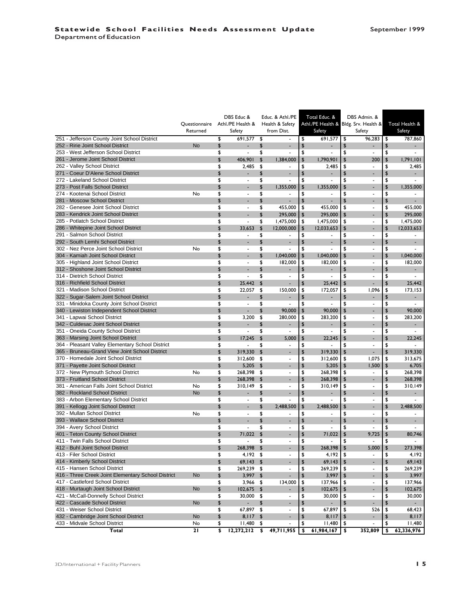|                                                    |                                 |          | DBS Educ &            |      | Educ. & Athl./PE           | <u>Total E</u> duc. &              | DBS Admin. &                          |          |                |
|----------------------------------------------------|---------------------------------|----------|-----------------------|------|----------------------------|------------------------------------|---------------------------------------|----------|----------------|
|                                                    | Questionnaire Athl./PE Health & |          |                       |      | Health & Safety            |                                    | Athl./PE Health & Bldg. Srv. Health & |          | Total Health & |
|                                                    | Returned                        |          | Safety                |      | from Dist.                 | Safety                             | Safety                                |          | Safety         |
| 251 - Jefferson County Joint School District       |                                 | \$       | 691,577               | \$   |                            | \$<br>691,577                      | \$<br>96,283                          | \$       | 787,860        |
| 252 - Ririe Joint School District                  | <b>No</b>                       | \$       | ä,                    | \$   | $\overline{\phantom{a}}$   | \$<br>ä,                           | \$<br>÷,                              | \$       | ÷.             |
| 253 - West Jefferson School District               |                                 | \$       | $\sim$                | \$   | $\sim$                     | \$<br>$\blacksquare$               | \$<br>÷.                              | \$       | $\sim$         |
| 261 - Jerome Joint School District                 |                                 | \$       | 406,901               | \$   | 1,384,000                  | \$<br>1,790,901                    | \$<br>200                             | \$       | 1,791,101      |
| 262 - Valley School District                       |                                 | \$       | 2,485                 | \$   | $\sim$                     | \$<br>2,485                        | \$<br>$\sim$                          | \$       | 2,485          |
| 271 - Coeur D'Alene School District                |                                 | \$       | ä,                    | \$   | $\overline{\phantom{a}}$   | \$<br>÷.                           | \$                                    | \$       | ÷.             |
| 272 - Lakeland School District                     |                                 | \$       | ä,                    | \$   | $\sim$                     | \$<br>$\mathbf{r}$                 | \$<br>$\blacksquare$                  | \$       | $\sim$         |
| 273 - Post Falls School District                   |                                 | \$       | ä,                    | \$   | 1,355,000                  | \$<br>1,355,000                    | \$<br>٠                               | \$       | 1,355,000      |
| 274 - Kootenai School District                     | No                              | \$       | $\tilde{\phantom{a}}$ | \$   | $\sim$                     | \$<br>$\blacksquare$               | \$<br>$\blacksquare$                  | \$       |                |
| 281 - Moscow School District                       |                                 | \$       | ä,                    | \$   | ä,                         | \$<br>$\blacksquare$               | \$<br>×,                              | \$       |                |
| 282 - Genesee Joint School District                |                                 | \$       | $\tilde{\phantom{a}}$ | \$   | 455,000                    | \$<br>455,000                      | \$<br>$\blacksquare$                  | \$       | 455,000        |
| 283 - Kendrick Joint School District               |                                 | \$       | ä,                    | \$   | 295,000                    | \$<br>295,000                      | \$<br>٠                               | \$       | 295,000        |
| 285 - Potlatch School District                     |                                 | \$       | $\blacksquare$        | \$   | 1,475,000                  | \$<br>1,475,000                    | \$<br>$\blacksquare$                  | \$       | 1,475,000      |
| 286 - Whitepine Joint School District              |                                 | \$       | 33,653                | \$   | 12,000,000                 | \$<br>12,033,653                   | \$<br>×,                              | \$       | 12,033,653     |
| 291 - Salmon School District                       |                                 | \$       | ÷.                    | \$   |                            | \$                                 | \$<br>$\blacksquare$                  | \$       |                |
| 292 - South Lemhi School District                  |                                 | \$       | ä,                    | \$   | ÷                          | \$<br>÷,                           | \$<br>×,                              | \$       |                |
| 302 - Nez Perce Joint School District              | No                              | \$       | $\blacksquare$        | \$   | $\sim$                     | \$<br>$\mathbf{r}$                 | \$<br>$\sim$                          | \$       |                |
| 304 - Kamiah Joint School District                 |                                 | \$       | ÷,                    | \$   | 1,040,000                  | \$<br>1,040,000                    | \$<br>÷                               | \$       | 1,040,000      |
| 305 - Highland Joint School District               |                                 | \$       | ÷.                    | \$   | 182,000                    | \$<br>182,000                      | \$<br>$\blacksquare$                  | \$       | 182,000        |
| 312 - Shoshone Joint School District               |                                 | \$       | ÷,                    | \$   | ÷,                         | \$<br>÷.                           | \$<br>$\overline{\phantom{a}}$        | \$       | ÷.             |
| 314 - Dietrich School District                     |                                 | \$       | ä,                    | \$   |                            | $\mathbf{r}$                       | \$                                    | \$       | $\mathbf{r}$   |
| 316 - Richfield School District                    |                                 | \$       | 25,442                | \$   | $\blacksquare$<br>÷,       | \$                                 | $\blacksquare$<br>÷.                  | \$       | 25,442         |
| 321 - Madison School District                      |                                 |          |                       | \$   |                            | \$<br>25,442                       | \$                                    |          | 173,153        |
|                                                    |                                 | \$<br>\$ | 22,057<br>ä,          | \$   | 150,000                    | \$<br>172,057<br>÷.                | \$<br>1,096<br>ä,                     | \$<br>\$ | ÷.             |
| 322 - Sugar-Salem Joint School District            |                                 |          |                       |      | ÷,                         | \$                                 | \$                                    |          |                |
| 331 - Minidoka County Joint School District        |                                 | \$       | $\sim$                | \$   | $\omega$                   | \$<br>$\mathbf{r}$                 | \$<br>$\blacksquare$                  | \$       | $\omega$       |
| 340 - Lewiston Independent School District         |                                 | \$       | Ξ                     | \$   | 90,000                     | \$<br>90,000                       | \$<br>÷,                              | \$       | 90,000         |
| 341 - Lapwai School District                       |                                 | \$       | 3,200                 | \$   | 280,000                    | \$<br>283,200                      | \$<br>$\blacksquare$                  | \$       | 283,200        |
| 342 - Culdesac Joint School District               |                                 | \$       | ä,                    | \$   | ÷.                         | \$<br>÷.                           | \$<br>$\sim$                          | \$       | ÷.             |
| 351 - Oneida County School District                |                                 | \$       | $\blacksquare$        | \$   | $\blacksquare$             | \$<br>$\blacksquare$               | \$<br>$\blacksquare$                  | \$       | $\blacksquare$ |
| 363 - Marsing Joint School District                |                                 | \$       | 17,245                | \$   | 5,000                      | \$<br>22,245                       | \$                                    | \$       | 22,245         |
| 364 - Pleasant Valley Elementary School District   |                                 | \$       | ä,                    | \$   | $\blacksquare$             | \$<br>$\overline{\phantom{a}}$     | \$<br>$\blacksquare$                  | \$       | $\omega$       |
| 365 - Bruneau-Grand View Joint School District     |                                 | \$       | 319,330               | \$   |                            | \$<br>319,330                      | \$                                    | \$       | 319,330        |
| 370 - Homedale Joint School District               |                                 | \$       | 312,600               | - \$ | $\blacksquare$             | \$<br>312,600                      | \$<br>1,075                           | \$       | 313,675        |
| 371 - Payette Joint School District                |                                 | \$       | 5,205                 | \$   | ÷                          | \$<br>5,205                        | \$<br>1,500                           | \$       | 6,705          |
| 372 - New Plymouth School District                 | No                              | \$       | 268,398               | -\$  | $\blacksquare$             | \$<br>268,398                      | \$<br>$\blacksquare$                  | \$       | 268,398        |
| 373 - Fruitland School District                    |                                 | \$       | 268,398               | \$   |                            | \$<br>268,398                      | \$                                    | \$       | 268,398        |
| 381 - American Falls Joint School District         | No                              | \$       | 310,149               | \$   | $\blacksquare$             | \$<br>310,149                      | \$<br>$\blacksquare$                  | \$       | 310,149        |
| 382 - Rockland School District                     | No                              | \$       | ÷                     | \$   |                            | \$<br>$\qquad \qquad \blacksquare$ | \$                                    | \$       |                |
| 383 - Arbon Elementary School District             |                                 | \$       | ÷,                    | \$   | $\blacksquare$             | \$<br>$\overline{\phantom{a}}$     | \$<br>$\blacksquare$                  | \$       | ÷,             |
| 391 - Kellogg Joint School District                |                                 | \$       |                       | \$   | 2,488,500                  | \$<br>2,488,500                    | \$                                    | \$       | 2,488,500      |
| 392 - Mullan School District                       | No                              | \$       | ÷.                    | \$   | $\blacksquare$             | \$<br>$\blacksquare$               | \$<br>$\blacksquare$                  | \$       |                |
| 393 - Wallace School District                      |                                 | \$       |                       | \$   | ٠                          | \$<br>$\overline{\phantom{a}}$     | \$<br>÷                               | \$       |                |
| 394 - Avery School District                        |                                 | \$       | ÷.                    | \$   | $\sim$                     | \$<br>$\blacksquare$               | \$<br>$\mathbf{r}$                    | \$       | $\omega$       |
| 401 - Teton County School District                 |                                 | \$       | 71,022                | \$   | Ξ                          | \$<br>71,022                       | \$<br>9,725                           | \$       | 80,746         |
| 411 - Twin Falls School District                   |                                 | \$       | ä,                    | \$   | $\sim$                     | \$<br>ä,                           | \$<br>$\blacksquare$                  | \$       |                |
| 412 - Buhl Joint School District                   |                                 | \$       | 268,398               | \$   | ÷                          | \$<br>268,398                      | \$<br>5,000                           | \$       | 273,398        |
| 413 - Filer School District                        |                                 | \$       | $4,192$ \$            |      | ä,                         | \$<br>4,192                        | \$<br>$\blacksquare$                  | \$       | 4,192          |
| 414 - Kimberly School District                     |                                 | \$       | $69,143$ \$           |      | ٠                          | \$<br>69,143                       | \$<br>٠                               | \$       | 69,143         |
| 415 - Hansen School District                       |                                 | \$       | 269,239 \$            |      | $\blacksquare$             | \$<br>269,239                      | \$<br>$\blacksquare$                  | \$       | 269,239        |
| 416 - Three Creek Joint Elementary School District | <b>No</b>                       | \$       | $3,997$ \$            |      | ۰                          | \$<br>3,997                        | \$<br>$\blacksquare$                  | \$       | 3,997          |
| 417 - Castleford School District                   |                                 | \$       | $3,966$ \$            |      | 134,000                    | \$<br>137,966                      | \$<br>$\blacksquare$                  | \$       | 137,966        |
| 418 - Murtaugh Joint School District               | <b>No</b>                       | \$       | 102,675 \$            |      | ٠                          | \$<br>102,675                      | \$<br>٠                               | \$       | 102,675        |
| 421 - McCall-Donnelly School District              |                                 | \$       | 30,000 \$             |      | $\blacksquare$             | \$<br>30,000                       | \$<br>$\blacksquare$                  | \$       | 30,000         |
| 422 - Cascade School District                      | No                              | \$       | ÷                     | \$   | ٠                          | \$<br>٠                            | \$<br>٠                               | \$       | $\blacksquare$ |
| 431 - Weiser School District                       |                                 | \$       | 67,897 \$             |      | $\blacksquare$             | \$<br>67,897                       | \$<br>526                             | \$       | 68,423         |
| 432 - Cambridge Joint School District              | No                              | \$       | $8,117$ \$            |      | ٠                          | \$<br>8,117                        | \$<br>٠                               | \$       | 8,117          |
| 433 - Midvale School District                      | No                              | \$       | $11,480$ \$           |      | $\blacksquare$             | \$<br>11,480                       | \$<br>$\blacksquare$                  | \$       | 11,480         |
| Total                                              | 21                              | \$       |                       |      | $12,272,212$ \$ 49,711,955 | \$<br>61,984,167                   | \$<br>352,809                         | \$       | 62,336,976     |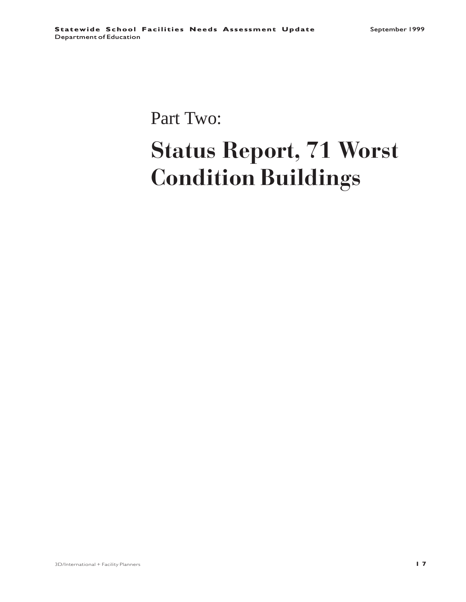Part Two:

# Status Report, 71 Worst Condition Buildings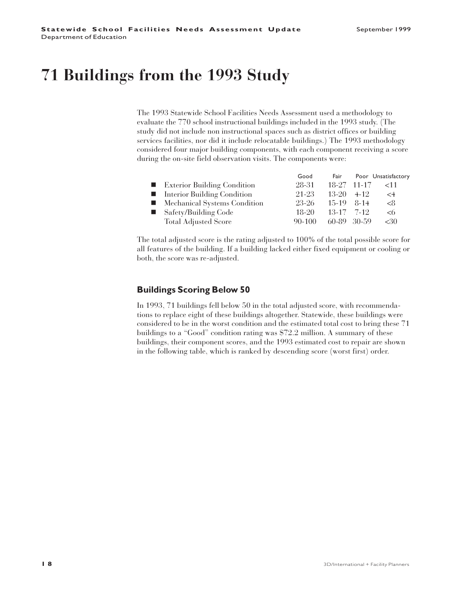# 71 Buildings from the 1993 Study

The 1993 Statewide School Facilities Needs Assessment used a methodology to evaluate the 770 school instructional buildings included in the 1993 study. (The study did not include non instructional spaces such as district offices or building services facilities, nor did it include relocatable buildings.) The 1993 methodology considered four major building components, with each component receiving a score during the on-site field observation visits. The components were:

|                                            | Good       | Fair         | Poor Unsatisfactory |
|--------------------------------------------|------------|--------------|---------------------|
| ■ Exterior Building Condition              | 28-31      | 18-27 11-17  | <11                 |
| $\blacksquare$ Interior Building Condition | 21-23      | $13-20$ 4-12 | $\leq$              |
| ■ Mechanical Systems Condition             | 23-26      | $15-19$ 8-14 | $<$ 8               |
| $\blacksquare$ Safety/Building Code        | 18-20      | $13-17$ 7-12 | $<$ 6               |
| <b>Total Adjusted Score</b>                | $90 - 100$ | 60-89 30-59  | <30                 |

The total adjusted score is the rating adjusted to 100% of the total possible score for all features of the building. If a building lacked either fixed equipment or cooling or both, the score was re-adjusted.

#### Buildings Scoring Below 50

In 1993, 71 buildings fell below 50 in the total adjusted score, with recommendations to replace eight of these buildings altogether. Statewide, these buildings were considered to be in the worst condition and the estimated total cost to bring these 71 buildings to a "Good" condition rating was  $$72.2$  million. A summary of these buildings, their component scores, and the 1993 estimated cost to repair are shown in the following table, which is ranked by descending score (worst first) order.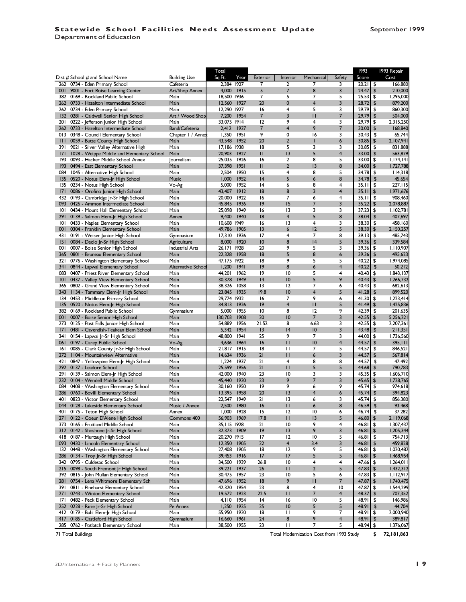|                                                                                           |                           | Total                            |                       |                     |                      |         | 1993           | 1993 Repair                        |
|-------------------------------------------------------------------------------------------|---------------------------|----------------------------------|-----------------------|---------------------|----------------------|---------|----------------|------------------------------------|
| $Dist \# School \# and School Name$                                                       | <b>Building Use</b>       | Sq.Ft.<br>Year                   | Exterior              | Interior            | Mechanical           | Safety  | Score          | Cost                               |
| 0734 - Eden Primary School<br>262                                                         | Cafeteria                 | 2,384 1927                       | 7                     | $\mathbf{2}$        | 7                    | 3       | 20.21          | \$<br>166,880                      |
| 001<br>9001 - Fort Boise Learning Center<br>382 0169 - Rockland Public School             | Art/Shop Annex<br>Main    | 4,000<br>1915<br>18,500 1936     | 5<br>7                | 7<br>5              | 8<br>7               | 3<br>5  | 24.47<br>25.53 | \$<br>210,000<br>\$<br>1,295,000   |
| 262<br>0733 - Hazelton Intermediate School                                                | Main                      | 12,560<br>1927                   | 20                    | 0                   | 4                    | 3       | 28.72          | \$<br>879,200                      |
| 262 0734 - Eden Primary School                                                            | Main                      | 12,290 1927                      | 16                    | 4                   | 5                    | 3       | 29.79          | \$<br>860,300                      |
| 132<br>0281 - Caldwell Senior High School                                                 | Art / Wood Shop           | 7,200<br>1954                    | 7                     | 3                   | П                    | 7       | 29.79          | \$<br>504,000                      |
| 20 I<br>0222 - Jefferson Junior High School                                               | Main                      | 33,075 1914                      | 12                    | 9                   | 4                    | 3       | 29.79          | \$<br>2,315,250                    |
| 262<br>0733 - Hazelton Intermediate School                                                | Band/Cafeteria            | 2,412<br>1927                    | 7                     | 4                   | 9                    | 7       | 30.00          | \$<br>168,840                      |
| 013<br>0348 - Council Elementary School<br>0059 - Butte County High School<br>Ш           | Chapter 1 / Anne:<br>Main | 1951<br>1,350<br>43,548<br>1952  | 9<br>20               | 0<br>$\overline{2}$ | 16                   | 3<br>6  | 30.43<br>30.85 | 65,744<br>\$<br>\$<br>2, 107, 94   |
| 391<br>9021 - Silver Valley Alternative High                                              | Main                      | 17,186 1938                      | 18                    | 5                   | 3                    | 3       | 30.85          | \$<br>831,888                      |
| 171<br>1028 - Weippe Middle and Elementary School                                         | Main                      | 20,903<br>1927                   | П                     | 13                  | 5                    | 4       | 33.00          | \$<br>563,879                      |
| 193<br>0093 - Hacker Middle School Annex                                                  | Journalism                | 1926<br>25,035                   | 16                    | $\mathbf{2}$        | 8                    | 5       | 33.00          | \$<br>1,174,141                    |
| 193<br>0494 - East Elementary School                                                      | Main                      | 37,398<br>1951                   | П                     | $\overline{2}$      | 13                   | 8       | 34.00          | \$<br>1,727,788                    |
| 084<br>1045 - Alternative High School                                                     | Main                      | 2,504<br>1950                    | 15                    | 4                   | 8                    | 5       | 34.78          | \$<br>114,318                      |
| 135<br>0520 - Notus Elem-Jr High School                                                   | <b>Music</b>              | 1,000<br>1952                    | 4                     | 5                   | 6<br>8               | 8<br>4  | 34.78          | \$<br>45,654                       |
| 135<br>0234 - Notus High School<br>171<br>0086 - Orofino Junior High School               | Vo-Ag<br>Main             | 5,000<br>1952<br>43,407<br>1912  | 14<br>18              | 6<br>8              | 3                    | 4       | 35.11<br>35.11 | 227, II5<br>\$<br>\$<br>1,971,676  |
| 432<br>0193 - Cambridge Jr-Sr High School                                                 | Main                      | 20,000<br>1922                   | 16                    | 7                   | 6                    | 4       | 35.11          | \$<br>908,460                      |
| 093<br>0426 - Ammon Intermediate School                                                   | Main                      | 45,845<br>1936                   | 9                     | 15                  | 7                    | 3       | 35.22          | \$<br>2,078,887                    |
| 101.<br>0434 - Mount Hall Elementary School                                               | Main                      | 1949<br>25,098                   | 16                    | $\overline{13}$     | 3                    | 3       | 37.23          | 1,102,78<br>\$                     |
| 291<br>0139 - Salmon Elem-Jr High School                                                  | Annex                     | 9,400<br>1940                    | 8                     | 4                   | 5                    | 8       | 38.04          | \$<br>407,697                      |
| 101<br>0433 - Naples Elementary School                                                    | Main                      | 10,608 1949                      | 16                    | 13                  | 4                    | 3       | 38.30          | \$<br>458,160                      |
| 001<br>0304 - Franklin Elementary School                                                  | Main                      | 49,786<br>1905                   | 13                    | 6                   | 12                   | 5       | 38.30          | \$<br>2,150,257                    |
| 43 I<br>0191 - Weiser Junior High School<br>151<br>0084 - Declo Jr-Sr High School         | Gymnasium<br>Agriculture  | 17,310<br>1936<br>1920<br>8,000  | 17<br>10              | 4<br>8              | 7<br> 4              | 8<br>5  | 39.13<br>39.36 | 485,743<br>\$<br>\$<br>339.584     |
| 001<br>0007 - Boise Senior High School                                                    | <b>Industrial Arts</b>    | 26, 171 1928                     | 20                    | 9                   | 5                    | 3       | 39.36          | \$<br>1,110,907                    |
| 365<br>0801 - Bruneau Elementary School                                                   | Main                      | 22,328<br>1958                   | 8                     | 5                   | 8                    | 6       | 39.36          | \$<br>495,623                      |
| 321<br>0776 - Washington Elementary School                                                | Main                      | 47,175 1922                      | 18                    | 9                   | 5                    | 5       | 40.22          | \$<br>1,974,085                    |
| 34 I<br>0844 - Lapwai Elementary School                                                   | Alternative Schoo         | 1,200<br> 94                     | 19                    | 8                   | 6                    | 4       | 40.22          | \$<br>50,212                       |
| 083<br>0407 - Priest River Elementary School                                              | Main                      | 44,201<br>1962                   | 19                    | 10                  | 5                    | 4       | 40.43          | \$<br>1,843,137                    |
| 0437 - Valley View Elementary School<br>101<br>365<br>0802 - Grand View Elementary School | Main<br>Main              | 30,378<br>1949<br>38,326<br>1058 | 4<br>13               | 10<br>12            | 5<br>7               | 9<br>6  | 40.43<br>40.43 | \$<br>1,266,732<br>\$<br>682,613   |
| 343<br>1134 - Tammany Elem-Jr High School                                                 | Main                      | 23,845<br>1935                   | 19.8                  | 10                  | 4                    | 5       | 41.28          | \$<br>899,520                      |
| 134<br>0453 - Middleton Primary School                                                    | Main                      | 29,774 1932                      | 16                    | 7                   | 9                    | 6       | 41.30          | \$<br>1,223,414                    |
| 135<br>0520 - Notus Elem-Jr High School                                                   | Main                      | 34,813<br>1926                   | 9                     | 4                   | п                    | 5       | 41.49          | \$<br>1,425,836                    |
| 0169 - Rockland Public School<br>382                                                      | Gymnasium                 | 5,000<br>1955                    | 10                    | 8                   | 12                   | 9       | 42.39          | \$<br>201,635                      |
| 001<br>0007 - Boise Senior High School                                                    | Main                      | 130,703<br>1908                  | 20                    | 10                  | 7                    | 3       | 42.55          | \$<br>5,256,221                    |
| 273<br>0125 - Post Falls Junior High School                                               | Main                      | 54,889<br>1956                   | 21.52                 | 8                   | 6.63                 | 3       | 42.55          | \$<br>2,207,36                     |
| 0481 - Cavendish-Teakean Elem School<br>171<br>34 I<br>0154 - Lapwai Jr-Sr High School    | Main<br>Main              | 1954<br>5,342<br> 94 <br>48,800  | $\overline{13}$<br>25 | 4<br>9              | $\overline{10}$<br>7 | 3<br>3  | 43.48<br>44.00 | \$<br>211,351<br>\$<br>1,736,560   |
| 061<br>0197 - Carey Public School                                                         | Vo-Ag                     | 4,636<br>1964                    | 16                    | П                   | 10                   | 4       | 44.57          | \$<br>395, 111                     |
| 161<br>0085 - Clark County Jr-Sr High School                                              | Main                      | 21,817<br>1915                   | 18                    | П                   | 7                    | 5       | 44.57          | \$<br>846,521                      |
| 272<br>1104 - Mountainview Alternative                                                    | Main                      | 14,634<br>1936                   | 21                    | П                   | 6                    | 3       | 44.57          | \$<br>567,814                      |
| 42 I<br>0847 - Yellowpine Elem-Jr High School                                             | Main                      | 1937<br>1,224                    | 21                    | 4                   | 8                    | 8       | 44.57          | \$<br>47,492                       |
| 292<br>0137 - Leadore School                                                              | Main                      | 25,599<br>1956                   | 21                    | П                   | 5                    | 5       | 44.68          | \$<br>790,783                      |
| 291<br>0139 - Salmon Elem-Jr High School                                                  | Main                      | 42,000<br>1940                   | 23                    | 10                  | 3                    | 3       | 45.35          | \$<br>1,606,710                    |
| 232<br>0104 - Wendell Middle School<br>084<br>0408 - Washington Elementary School         | Main<br>Main              | 45,440<br>1920<br>1950<br>30,160 | 23<br> 9              | 9<br>9              | 7<br>6               | 3<br>9  | 45.65<br>45.74 | \$<br>1,728,765<br>\$<br>974,618   |
| 286<br>0760 - Bovill Elementary School                                                    | Main                      | 13,395<br>1958                   | 20                    | 13                  | 4                    | 6       | 45.74          | \$<br>394,823                      |
| 40 I<br>0823 - Victor Elementary School                                                   | Main                      | 1949<br>22,547                   | 21                    | $\overline{13}$     | 6                    | 3       | 45.74          | \$<br>856,380                      |
| 0128 - Lakeside Elementary School<br>044                                                  | Music / Annex             | 2,500<br>1980                    | 16                    | П                   | 6                    | 8       | 46.59          | \$<br>93,468                       |
| 0175 - Teton High School<br>40 I                                                          | Annex                     | 1,000<br>1928                    | 15                    | 12                  | 10                   | 6       | 46.74          | \$<br>37,282                       |
| 271<br>0122 - Coeur D'Alene High School                                                   | Commons 400               | 1969<br>56,903                   | 17.8                  | П                   | 13                   | 5       | 46.80          | \$<br>2,119,068                    |
| 373 0165 - Fruitland Middle School                                                        | Main                      | 35, II5 1928                     | 21                    | 10                  | 9                    | 4       | 46.81          | 1,307,437<br>\$                    |
| 312 0142 - Shoshone Jr-Sr High School<br>418 0187 - Murtaugh High School                  | Main<br>Main              | 32,373 1909<br>20,270 1915       | 9<br>17               | 13<br>12            | 9<br>10              | 3<br>5  | 46.81<br>46.81 | \$<br>1,205,344<br>754,713<br>\$   |
| 093<br>0430 - Lincoln Elementary School                                                   | Main                      | 12,350<br>1905                   | 22                    | 4                   | 3.4                  | 3       | 46.81          | \$<br>459,828                      |
| 132 0448 - Washington Elementary School                                                   | Main                      | 27,408<br>1905                   | 18                    | 12                  | 9                    | 5       | 46.81          | 1,020,482<br>\$                    |
| 286<br>0134 - Troy Jr-Sr High School                                                      | Main                      | 39,453<br>1916                   | 17                    | 17                  | 5                    | 5       | 46.81          | \$<br>1,468,954                    |
| 342 0795 - Culdesac School                                                                | Main                      | 34,500<br>1939                   | 26.8                  | 10                  | 4                    | 4       | 47.66          | \$<br>1,264,011                    |
| 215<br>0098 - South Fremont Jr High School                                                | Main                      | 39,221<br>1937                   | 26                    | П                   | $\mathbf{2}$         | 5       | 47.83          | \$<br>1,432,312                    |
| 0815 - John Mullan Elementary School<br>392                                               | Main                      | 30,475<br>1957                   | 23                    | 10                  | 5                    | 6       | 47.83          | 1,112,917<br>\$                    |
| 281<br>0754 - Lena Whitmore Elementary Sch<br>391<br>0811 - Pinehurst Elementary School   | Main<br>Main              | 47,696<br>1952<br>42,320<br>1954 | 8<br>23               | 9<br>8              | П<br>4               | 7<br>10 | 47.87<br>47.87 | \$<br>1,740,475<br>1,544,299<br>\$ |
| 271<br>0743 - Winton Elementary School                                                    | Main                      | 19,572<br>1923                   | 22.5                  | $\mathbf{H}$        | $\overline{7}$       | 4       | 48.37          | \$<br>707,352                      |
| 171<br>0482 - Peck Elementary School                                                      | Main                      | 4,110<br>1954                    | 4                     | 16                  | 10                   | 5       | 48.91          | 146,986<br>\$                      |
| 252<br>0228 - Ririe Jr-Sr High School                                                     | Pe Annex                  | 1,250<br>1925                    | 25                    | 10                  | 5                    | 5       | 48.91          | 44,704<br>\$                       |
| 412<br>0179 - Buhl Elem-Jr High School                                                    | Main                      | 55,950<br>1920                   | 18                    | П                   | 9                    | 7       | 48.91          | 2,000,940<br>\$                    |
| 0185 - Castleford High School<br>417                                                      | Gymnasium                 | 16,660<br>1961                   | 24                    | 8                   | 9                    | 4       | 48.91          | \$<br>389,817                      |
| 0762 - Potlatch Elementary School<br>285                                                  | Main                      | 38,500<br>1955                   | 23                    | $\mathbf{H}$        | 7                    | 5       | 48.94          | 1,376,067<br>\$                    |

71 Total Buildings Total Modernization Cost from 1993 Study \$ 72,181,863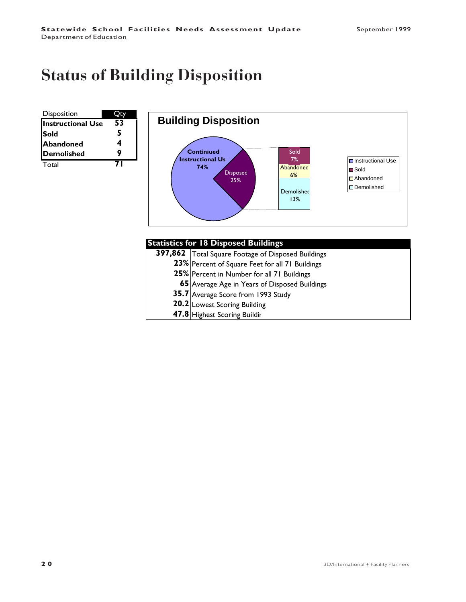# Status of Building Disposition

| Disposition              |    |
|--------------------------|----|
| <b>Instructional Use</b> | 53 |
| Sold                     | 5  |
| Abandoned                | 4  |
| <b>Demolished</b>        | g  |
| Total                    |    |



| <b>Statistics for 18 Disposed Buildings</b> |                                                    |  |  |  |  |  |  |
|---------------------------------------------|----------------------------------------------------|--|--|--|--|--|--|
|                                             | 397,862 Total Square Footage of Disposed Buildings |  |  |  |  |  |  |
|                                             | 23% Percent of Square Feet for all 71 Buildings    |  |  |  |  |  |  |
| 25% Percent in Number for all 71 Buildings  |                                                    |  |  |  |  |  |  |
|                                             | 65 Average Age in Years of Disposed Buildings      |  |  |  |  |  |  |
|                                             | 35.7 Average Score from 1993 Study                 |  |  |  |  |  |  |
|                                             | 20.2 Lowest Scoring Building                       |  |  |  |  |  |  |
|                                             | 47.8 Highest Scoring Buildir                       |  |  |  |  |  |  |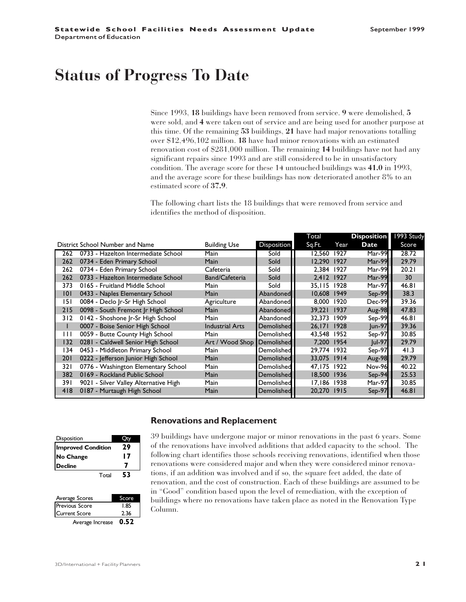# Status of Progress To Date

Since 1993, 18 buildings have been removed from service. 9 were demolished, 5 were sold, and 4 were taken out of service and are being used for another purpose at this time. Of the remaining 53 buildings, 21 have had major renovations totalling over \$12,496,102 million. 18 have had minor renovations with an estimated renovation cost of \$281,000 million. The remaining 14 buildings have not had any significant repairs since 1993 and are still considered to be in unsatisfactory condition. The average score for these 14 untouched buildings was 41.0 in 1993, and the average score for these buildings has now deteriorated another 8% to an estimated score of 37.9.

The following chart lists the 18 buildings that were removed from service and identifies the method of disposition.

|      |                                       |                            |                   | Total       |      | <b>Disposition</b> | 1993 Study |
|------|---------------------------------------|----------------------------|-------------------|-------------|------|--------------------|------------|
|      | District School Number and Name       | <b>Building Use</b>        | Disposition       | Sq.Ft.      | Year | <b>Date</b>        | Score      |
| 262  | 0733 - Hazelton Intermediate School   | Main                       | Sold              | 12.560      | 1927 | Mar-99             | 28.72      |
| 262  | 0734 - Eden Primary School            | <b>Main</b>                | Sold              | 12.290      | 1927 | Mar-99             | 29.79      |
| 262  | 0734 - Eden Primary School            | Cafeteria                  | Sold              | 2.384       | 1927 | Mar-99             | 20.21      |
| 262  | 0733 - Hazelton Intermediate School   | Band/Cafeteria             | Sold              | 2.412 1927  |      | Mar-99             | 30         |
| 373  | 0165 - Fruitland Middle School        | Main                       | Sold              | 35.115      | 1928 | Mar-97             | 46.81      |
| 101  | 0433 - Naples Elementary School       | Main                       | Abandoned         | 10,608      | 1949 | $Sep-99$           | 38.3       |
| 151  | 0084 - Declo Ir-Sr High School        | Agriculture                | Abandoned         | 8,000       | 1920 | Dec-99             | 39.36      |
| 215  | 0098 - South Fremont Jr High School   | <b>Main</b>                | Abandoned         | 39.221      | 1937 | Aug-98             | 47.83      |
| 312  | 0142 - Shoshone Jr-Sr High School     | Main                       | Abandoned         | 32,373      | 1909 | Sep-99             | 46.81      |
|      | 0007 - Boise Senior High School       | <b>Industrial Arts</b>     | <b>Demolished</b> | 26.171      | 1928 | Jun-97             | 39.36      |
| Ш    | 0059 - Butte County High School       | Main                       | Demolished I      | 43.548      | 1952 | $Sep-97$           | 30.85      |
| 132  | 0281 - Caldwell Senior High School    | Art / Wood Shop Demolished |                   | 7.200       | 1954 | $ ul-97$           | 29.79      |
| 134  | 0453 - Middleton Primary School       | Main                       | Demolished        | 29.774 1932 |      | Sep-97             | 41.3       |
| 201  | 0222 - Jefferson Junior High School   | <b>Main</b>                | Demolished        | 33.075      | 1914 | Aug-98             | 29.79      |
| 32 I | 0776 - Washington Elementary School   | Main                       | Demolished I      | 47.175      | 1922 | Nov-96             | 40.22      |
| 382  | 0169 - Rockland Public School         | <b>Main</b>                | Demolished        | 18,500      | 1936 | Sep-94             | 25.53      |
| 391  | 9021 - Silver Valley Alternative High | Main                       | Demolished        | 17.186      | 1938 | Mar-97             | 30.85      |
| 418  | 0187 - Murtaugh High School           | Main                       | Demolished        | 20,270      | 1915 | Sep-97             | 46.81      |

#### Renovations and Replacement

| Disposition               |     |
|---------------------------|-----|
| <b>Improved Condition</b> | 29  |
| No Change                 | I 7 |
| <b> Decline</b>           |     |
| Total                     | 53  |

| Average Scores        | Score |
|-----------------------|-------|
| <b>Previous Score</b> | 1.85  |
| <b>Current Score</b>  | 2.36  |
|                       |       |

Average Increase 0.52

39 buildings have undergone major or minor renovations in the past 6 years. Some of the renovations have involved additions that added capacity to the school. The following chart identifies those schools receiving renovations, identified when those renovations were considered major and when they were considered minor renovations, if an addition was involved and if so, the square feet added, the date of renovation, and the cost of construction. Each of these buildings are assumed to be in "Good" condition based upon the level of remediation, with the exception of buildings where no renovations have taken place as noted in the Renovation Type Column.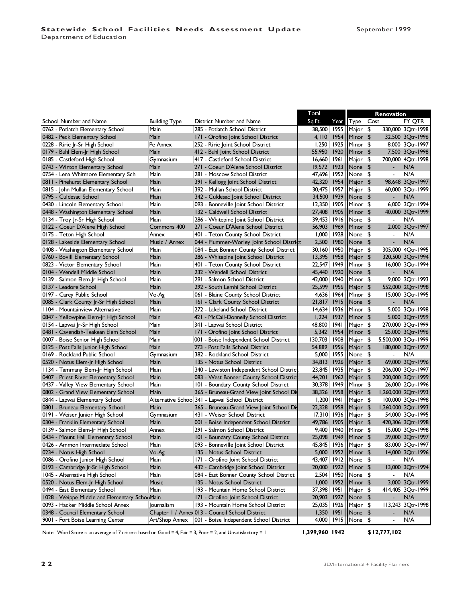n i

|                                                |                |                                                 | Total           |      |          |      | Renovation               |                     |
|------------------------------------------------|----------------|-------------------------------------------------|-----------------|------|----------|------|--------------------------|---------------------|
| School Number and Name                         | Building Type  | District Number and Name                        | Sq.Ft.          | Year | Type     | Cost |                          | FY QTR              |
| 0762 - Potlatch Elementary School              | Main           | 285 - Potlatch School District                  | 38,500   1955   |      | Major \$ |      |                          | 330,000 3Qtr-1998   |
| 0482 - Peck Elementary School                  | Main           | 171 - Orofino Joint School District             | 4,110           | 1954 | Minor \$ |      |                          | 32,500 3Qtr-1996    |
| 0228 - Ririe Jr-Sr High School                 | Pe Annex       | 252 - Ririe Joint School District               | 1,250           | 1925 | Minor \$ |      |                          | 8,000 3Qtr-1997     |
| 0179 - Buhl Elem-Jr High School                | Main           | 412 - Buhl Joint School District                | 55,950          | 1920 | Minor \$ |      |                          | 7,500 3Otr-1998     |
| 0185 - Castleford High School                  | Gymnasium      | 417 - Castleford School District                | 16,660          | 1961 | Major    | \$   |                          | 700,000 4Qtr-1998   |
| 0743 - Winton Elementary School                | Main           | 271 - Coeur D'Alene School District             | 19,572          | 1923 | None \$  |      |                          | N/A                 |
| 0754 - Lena Whitmore Elementary Sch            | Main           | 281 - Moscow School District                    | 47,696          | 1952 | None \$  |      | $\overline{\phantom{a}}$ | N/A                 |
| 0811 - Pinehurst Elementary School             | Main           | 391 - Kellogg Joint School District             | 42,320          | 1954 | Major \$ |      |                          | 98,648 3Qtr-1997    |
| 0815 - John Mullan Elementary School           | Main           | 392 - Mullan School District                    | 30,475          | 1957 | Major    | -\$  |                          | 60,000 3Qtr-1999    |
| 0795 - Culdesac School                         | Main           | 342 - Culdesac Joint School District            | 34,500          | 1939 | None \$  |      | ٠                        | N/A                 |
| 0430 - Lincoln Elementary School               | Main           | 093 - Bonneville Joint School District          | $12,350$   1905 |      | Minor \$ |      |                          | 6,000 3Qtr-1994     |
| 0448 - Washington Elementary School            | Main           | 132 - Caldwell School District                  | 27,408          | 1905 | Minor \$ |      |                          | 40,000 3Otr-1999    |
| 0134 - Troy Jr-Sr High School                  | Main           | 286 - Whitepine Joint School District           | 39,453          | 1916 | None \$  |      | $\blacksquare$           | N/A                 |
| 0122 - Coeur D'Alene High School               | Commons 400    | 271 - Coeur D'Alene School District             | 56,903          | 1969 | Minor \$ |      |                          | 2,000 3Qtr-1997     |
| 0175 - Teton High School                       | Annex          | 401 - Teton County School District              | 1,000           | 1928 | None     | -\$  | $\overline{\phantom{a}}$ | N/A                 |
| 0128 - Lakeside Elementary School              | Music / Annex  | 044 - Plummer-Worley Joint School District      | 2,500           | 1980 | None \$  |      | ÷                        | N/A                 |
| 0408 - Washington Elementary School            | Main           | 084 - East Bonner County School District        | 30,160          | 1950 | Major \$ |      |                          | 305,000 4Qtr-1995   |
| 0760 - Bovill Elementary School                | Main           | 286 - Whitepine Joint School District           | 13,395          | 1958 | Major \$ |      |                          | 320,500 3Qtr-1994   |
| 0823 - Victor Elementary School                | Main           | 401 - Teton County School District              | 22,547          | 1949 | Minor \$ |      |                          | 16,000 3Qtr-1994    |
| 0104 - Wendell Middle School                   | Main           | 232 - Wendell School District                   | 45,440          | 1920 | None \$  |      |                          | N/A                 |
| 0139 - Salmon Elem-Jr High School              | Main           | 291 - Salmon School District                    | 42,000          | 1940 | Minor \$ |      |                          | 9,000 3Qtr-1993     |
| 0137 - Leadore School                          | Main           | 292 - South Lemhi School District               | 25,599          | 1956 | Major    | -\$  |                          | 552,000 2Qtr-1998   |
| 0197 - Carey Public School                     | Vo-Ag          | 061 - Blaine County School District             | 4,636           | 1964 | Minor \$ |      |                          | 15,000 3Qtr-1995    |
| 0085 - Clark County Jr-Sr High School          | Main           | 161 - Clark County School District              | 21,817          | 1915 | None \$  |      |                          | N/A                 |
| 1104 - Mountainview Alternative                | Main           | 272 - Lakeland School District                  | 14,634   1936   |      | Minor \$ |      |                          | 5,000 3Qtr-1998     |
| 0847 - Yellowpine Elem-Jr High School          | Main           | 421 - McCall-Donnelly School District           | 1,224           | 1937 | Minor \$ |      |                          | 5,000 3Qtr-1999     |
| 0154 - Lapwai Jr-Sr High School                | Main           | 341 - Lapwai School District                    | 48,800          | 1941 | Major \$ |      |                          | 270,000 3Qtr-1999   |
| 0481 - Cavendish-Teakean Elem School           | Main           | 171 - Orofino Joint School District             | 5,342           | 1954 | Minor \$ |      |                          | 25,000 3Qtr-1996    |
| 0007 - Boise Senior High School                | Main           | 001 - Boise Independent School District         | 130,703         | 1908 | Major    | -\$  |                          | 5,500,000 3Qtr-1999 |
| 0125 - Post Falls Junior High School           | Main           | 273 - Post Falls School District                | 54,889          | 1956 | Major \$ |      |                          | 180,000 3Qtr-1997   |
| 0169 - Rockland Public School                  | Gymnasium      | 382 - Rockland School District                  | 5,000           | 1955 | None \$  |      | $\blacksquare$           | N/A                 |
| 0520 - Notus Elem-Jr High School               | Main           | 135 - Notus School District                     | 34,813          | 1926 | Major \$ |      |                          | 69,000 3Qtr-1996    |
| 1134 - Tammany Elem-Jr High School             | Main           | 340 - Lewiston Independent School Distric       | 23,845          | 1935 | Major \$ |      |                          | 206,000 3Qtr-1997   |
| 0407 - Priest River Elementary School          | Main           | 083 - West Bonner County School Distric         | 44,201          | 1962 | Major \$ |      |                          | 200,000 3Qtr-1999   |
| 0437 - Valley View Elementary School           | Main           | 101 - Boundary County School District           | 30,378          | 1949 | Minor \$ |      |                          | 26,000 2Qtr-1996    |
| 0802 - Grand View Elementary School            | Main           | 365 - Bruneau-Grand View Joint School Dis       | 38,326          | 1958 | Major \$ |      |                          | 1,260,000 2Qtr-1993 |
| 0844 - Lapwai Elementary School                |                | Alternative Schoo  341 - Lapwai School District | 1,200           | 1941 | Major \$ |      |                          | 100,000 3Qtr-1998   |
| 0801 - Bruneau Elementary School               | Main           | 365 - Bruneau-Grand View Joint School Dis       | 22,328          | 1958 | Major \$ |      |                          | I,260,000 2Qtr-1993 |
| 0191 - Weiser Junior High School               | Gymnasium      | 431 - Weiser School District                    | 17,310 1936     |      | Major    | - \$ |                          | 54,000 3Qtr-1995    |
| 0304 - Franklin Elementary School              | Main           | 001 - Boise Independent School District         | 49,786          | 1905 | Major \$ |      |                          | 420,306 3Qtr-1998   |
| 0139 - Salmon Elem-Jr High School              | Annex          | 291 - Salmon School District                    | 9,400           | 1940 | Minor \$ |      |                          | 15,000 3Qtr-1998    |
| 0434 - Mount Hall Elementary School            | Main           | 101 - Boundary County School District           | 25,098          | 1949 | Minor \$ |      |                          | 39,000 3Otr-1997    |
| 0426 - Ammon Intermediate School               | Main           | 093 - Bonneville Joint School District          | 45,845   1936   |      | Major \$ |      |                          | 83,000 3Qtr-1997    |
| 0234 - Notus High School                       | Vo-Ag          | 135 - Notus School District                     | 5,000 1952      |      | Minor \$ |      |                          | 14,000 3Qtr-1996    |
| 0086 - Orofino Junior High School              | Main           | 171 - Orofino Joint School District             | 43,407   1912   |      | None \$  |      | $\sim$                   | N/A                 |
| 0193 - Cambridge Jr-Sr High School             | Main           | 432 - Cambridge Joint School District           | 20,000          | 1922 | Minor \$ |      |                          | 13,000 3Qtr-1994    |
| 1045 - Alternative High School                 | Main           | 084 - East Bonner County School District        | 2,504   1950    |      | None \$  |      | $\overline{\phantom{a}}$ | N/A                 |
| 0520 - Notus Elem-Jr High School               | Music          | 135 - Notus School District                     | 1,000           | 1952 | Minor \$ |      |                          | 3,000 3Qtr-1999     |
| 0494 - East Elementary School                  | Main           | 193 - Mountain Home School District             | 37,398   1951   |      | Major \$ |      |                          | 414,405 3Qtr-1999   |
| 1028 - Weippe Middle and Elementary SchoolMain |                | 171 - Orofino Joint School District             | 20,903          | 1927 | None \$  |      | ٠                        | N/A                 |
| 0093 - Hacker Middle School Annex              | Journalism     | 193 - Mountain Home School District             | 25,035   1926   |      | Major \$ |      |                          | 113,243 3Qtr-1998   |
| 0348 - Council Elementary School               |                | Chapter 1 / Annex 013 - Council School District | 1,350           | 1951 | None \$  |      |                          | N/A                 |
| 9001 - Fort Boise Learning Center              | Art/Shop Annex | 001 - Boise Independent School District         | 4,000   1915    |      | None \$  |      | $\overline{\phantom{a}}$ | N/A                 |
|                                                |                |                                                 |                 |      |          |      |                          |                     |

Note: Word Score is an average of 7 criteria based on Good = 4, Fair = 3, Poor = 2, and Unsatisfactory = 1 1,399,960 1942 \$12,777,102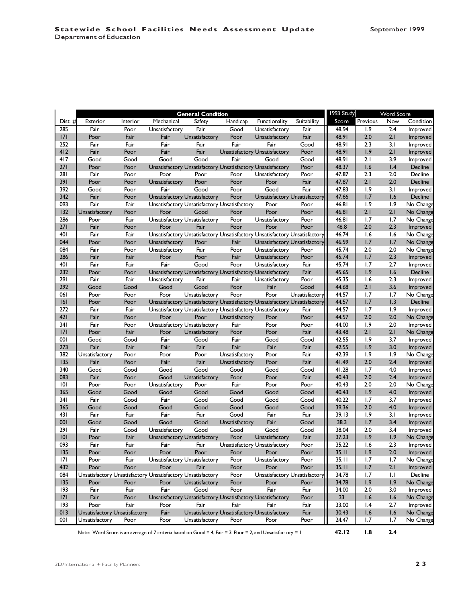|         |                                                             |          |                                              | 1993 Study     |                | <b>Word Score</b>                                                          |                |       |          |     |           |
|---------|-------------------------------------------------------------|----------|----------------------------------------------|----------------|----------------|----------------------------------------------------------------------------|----------------|-------|----------|-----|-----------|
| Dist. # | Exterior                                                    | Interior | Mechanical                                   | Safety         | Handicap       | Functionality                                                              | Suitability    | Score | Previous | Now | Condition |
| 285     | Fair                                                        | Poor     | Unsatisfactory                               | Fair           | Good           | Unsatisfactory                                                             | Fair           | 48.94 | 1.9      | 2.4 | Improved  |
| 7       | Poor                                                        | Fair     | Fair                                         | Unsatisfactory | Poor           | Unsatisfactory                                                             | Fair           | 48.91 | 2.0      | 2.1 | Improved  |
| 252     | Fair                                                        | Fair     | Fair                                         | Fair           | Fair           | Fair                                                                       | Good           | 48.91 | 2.3      | 3.1 | Improved  |
| 412     | Fair                                                        | Poor     | Fair                                         | Fair           |                | Unsatisfactory Unsatisfactory                                              | Poor           | 48.91 | 1.9      | 2.1 | Improved  |
| 417     | Good                                                        | Good     | Good                                         | Good           | Fair           | Good                                                                       | Good           | 48.91 | 2.1      | 3.9 | Improved  |
| 271     | Poor                                                        | Poor     |                                              |                |                | Unsatisfactory Unsatisfactory Unsatisfactory Unsatisfactory                | Poor           | 48.37 | 1.6      | 1.4 | Decline   |
| 281     | Fair                                                        | Poor     | Poor                                         | Poor           | Poor           | Unsatisfactory                                                             | Poor           | 47.87 | 2.3      | 2.0 | Decline   |
| 391     | Poor                                                        | Poor     | Unsatisfactory                               | Poor           | Poor           | Poor                                                                       | Fair           | 47.87 | 2.1      | 2.0 | Decline   |
| 392     | Good                                                        | Poor     | Fair                                         | Good           | Poor           | Good                                                                       | Fair           | 47.83 | 1.9      | 3.1 | Improved  |
| 342     | Fair                                                        | Poor     | <b>Unsatisfactory Unsatisfactory</b>         |                | Poor           | Unsatisfactory Unsatisfactory                                              |                | 47.66 | 1.7      | 1.6 | Decline   |
| 093     | Fair                                                        | Fair     | Unsatisfactory Unsatisfactory Unsatisfactory |                |                | Poor                                                                       | Poor           | 46.81 | 1.9      | 1.9 | No Change |
| 132     | Unsatisfactory                                              | Poor     | Poor                                         | Good           | Poor           | Poor                                                                       | Poor           | 46.81 | 2.1      | 2.1 | No Change |
| 286     | Poor                                                        | Fair     | Unsatisfactory Unsatisfactory                |                | Poor           | Unsatisfactory                                                             | Poor           | 46.81 | 1.7      | 1.7 | No Change |
| 271     | Fair                                                        | Poor     | Poor                                         | Fair           | Poor           | Poor                                                                       | Poor           | 46.8  | 2.0      | 2.3 | Improved  |
| 401     | Fair                                                        | Fair     |                                              |                |                | Unsatisfactory Unsatisfactory Unsatisfactory Unsatisfactory Unsatisfactory |                | 46.74 | 1.6      | 1.6 | No Change |
| 044     | Poor                                                        | Poor     | Unsatisfactory                               | Poor           | Fair           | Unsatisfactory Unsatisfactory                                              |                | 46.59 | 1.7      | 1.7 | No Change |
| 084     | Fair                                                        | Poor     | Unsatisfactory                               | Fair           | Poor           | Unsatisfactory                                                             | Poor           | 45.74 | 2.0      | 2.0 | No Change |
| 286     | Fair                                                        | Fair     | Poor                                         | Poor           | Fair           | Unsatisfactory                                                             | Poor           | 45.74 | 1.7      | 2.3 | Improved  |
| 401     | Fair                                                        | Fair     | Fair                                         | Good           | Poor           | Unsatisfactory                                                             | Fair           | 45.74 | 1.7      | 2.7 | Improved  |
| 232     | Poor                                                        |          |                                              |                |                | Unsatisfactory Unsatisfactory Unsatisfactory Unsatisfactory                | Fair           | 45.65 | 1.9      | 1.6 |           |
|         |                                                             | Poor     |                                              |                |                |                                                                            |                |       |          |     | Decline   |
| 291     | Fair                                                        | Fair     | Unsatisfactory                               | Fair           | Fair           | Unsatisfactory                                                             | Poor           | 45.35 | 1.6      | 2.3 | Improved  |
| 292     | Good                                                        | Good     | Good                                         | Good           | Poor           | Fair                                                                       | Good           | 44.68 | 2.1      | 3.6 | Improved  |
| 061     | Poor                                                        | Poor     | Poor                                         | Unsatisfactory | Poor           | Poor                                                                       | Unsatisfactory | 44.57 | 1.7      | 1.7 | No Change |
| 161     | Poor                                                        | Poor     |                                              |                |                | Unsatisfactory Unsatisfactory Unsatisfactory Unsatisfactory Unsatisfactory |                | 44.57 | 1.7      | 1.3 | Decline   |
| 272     | Fair                                                        | Fair     |                                              |                |                | Unsatisfactory Unsatisfactory Unsatisfactory Unsatisfactory                | Fair           | 44.57 | 1.7      | 1.9 | Improved  |
| 42 I    | Fair                                                        | Poor     | Poor                                         | Poor           | Unsatisfactory | Poor                                                                       | Poor           | 44.57 | 2.0      | 2.0 | No Change |
| 34 I    | Fair                                                        | Poor     | Unsatisfactory Unsatisfactory                |                | Fair           | Poor                                                                       | Poor           | 44.00 | 1.9      | 2.0 | Improved  |
| 171     | Poor                                                        | Fair     | Poor                                         | Unsatisfactory | Poor           | Poor                                                                       | Fair           | 43.48 | 2.1      | 2.1 | No Change |
| 001     | Good                                                        | Good     | Fair                                         | Good           | Fair           | Good                                                                       | Good           | 42.55 | 1.9      | 3.7 | Improved  |
| 273     | Fair                                                        | Fair     | Fair                                         | Fair           | Fair           | Fair                                                                       | Fair           | 42.55 | 1.9      | 3.0 | Improved  |
| 382     | Unsatisfactory                                              | Poor     | Poor                                         | Poor           | Unsatisfactory | Poor                                                                       | Fair           | 42.39 | 1.9      | 1.9 | No Change |
| 135     | Fair                                                        | Poor     | Fair                                         | Fair           | Unsatisfactory | Poor                                                                       | Fair           | 41.49 | 2.0      | 2.4 | Improved  |
| 340     | Good                                                        | Good     | Good                                         | Good           | Good           | Good                                                                       | Good           | 41.28 | 1.7      | 4.0 | Improved  |
| 083     | Fair                                                        | Poor     | Good                                         | Unsatisfactory | Poor           | Poor                                                                       | Fair           | 40.43 | 2.0      | 2.4 | Improved  |
| 101     | Poor                                                        | Poor     | Unsatisfactory                               | Poor           | Fair           | Poor                                                                       | Poor           | 40.43 | 2.0      | 2.0 | No Change |
| 365     | Good                                                        | Good     | Good                                         | Good           | Good           | Good                                                                       | Good           | 40.43 | 1.9      | 4.0 | Improved  |
| 34 I    | Fair                                                        | Good     | Fair                                         | Good           | Good           | Good                                                                       | Good           | 40.22 | 1.7      | 3.7 | Improved  |
| 365     | Good                                                        | Good     | Good                                         | Good           | Good           | Good                                                                       | Good           | 39.36 | 2.0      | 4.0 | Improved  |
| 431     | Fair                                                        | Fair     | Fair                                         | Fair           | Good           | Fair                                                                       | Fair           | 39.13 | 1.9      | 3.1 | Improved  |
| 001     | Good                                                        | Good     | Good                                         | Good           | Unsatisfactory | Fair                                                                       | Good           | 38.3  | 1.7      | 3.4 | Improved  |
| 291     | Fair                                                        | Good     | Unsatisfactory                               | Good           | Good           | Good                                                                       | Good           | 38.04 | 2.0      | 3.4 | Improved  |
| 0       | Poor                                                        | Fair     | Unsatisfactory Unsatisfactory                |                | Poor           | Unsatisfactory                                                             | Fair           | 37.23 | 1.9      | 1.9 | No Change |
| 093     | Fair                                                        | Fair     | Fair                                         | Fair           |                | Unsatisfactory Unsatisfactory                                              | Poor           | 35.22 | 1.6      | 2.3 | Improved  |
| 135     | Poor                                                        | Poor     | Poor                                         | Poor           | Poor           | Poor                                                                       | Poor           | 35.11 | 1.9      | 2.0 | Improved  |
| 171     | Poor                                                        | Fair     | Unsatisfactory Unsatisfactory                |                | Poor           | Unsatisfactory                                                             | Poor           | 35.11 | 1.7      | 1.7 | No Change |
| 432     | Poor                                                        | Poor     | Poor                                         | Fair           | Poor           | Poor                                                                       | Poor           | 35.11 | 1.7      | 2.1 | Improved  |
| 084     | Unsatisfactory Unsatisfactory Unsatisfactory Unsatisfactory |          |                                              |                | Poor           | Unsatisfactory Unsatisfactory                                              |                | 34.78 | 1.7      | 1.1 | Decline   |
|         |                                                             |          |                                              |                |                |                                                                            |                |       |          |     |           |
| 135     | Poor                                                        | Poor     | Poor                                         | Unsatisfactory | Poor           | Poor                                                                       | Poor           | 34.78 | 1.9      | 1.9 | No Change |
| 193     | Fair                                                        | Fair     | Fair                                         | Good           | Poor           | Fair                                                                       | Fair           | 34.00 | 2.0      | 3.0 | Improved  |
| 171     | Fair                                                        | Poor     |                                              |                |                | Unsatisfactory Unsatisfactory Unsatisfactory Unsatisfactory                | Poor           | 33    | 1.6      | 1.6 | No Change |
| 193     | Poor                                                        | Fair     | Poor                                         | Fair           | Fair           | Fair                                                                       | Fair           | 33.00 | 1.4      | 2.7 | Improved  |
| 013     | Unsatisfactory Unsatisfactory                               |          | Fair                                         |                |                | Unsatisfactory Unsatisfactory Unsatisfactory                               | Fair           | 30.43 | 1.6      | 1.6 | No Change |
| 100     | Unsatisfactory                                              | Poor     | Poor                                         | Unsatisfactory | Poor           | Poor                                                                       | Poor           | 24.47 | 1.7      | 1.7 | No Change |
|         |                                                             |          |                                              |                |                |                                                                            |                |       |          |     |           |

Note: Word Score is an average of 7 criteria based on Good = 4, Fair = 3, Poor = 2, and Unsatisfactory = 1 42.12 1.8 2.4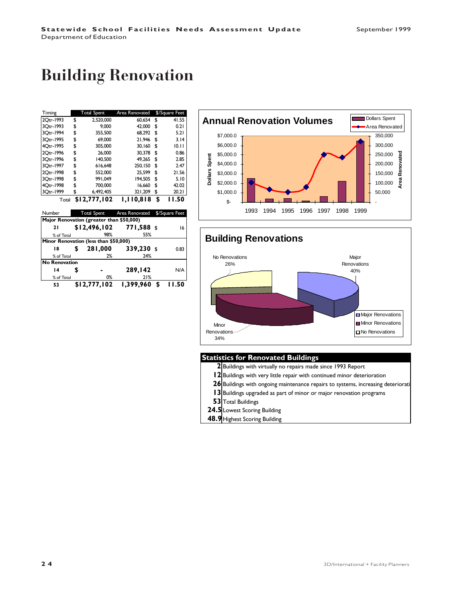# Building Renovation

| Timing    | <b>Total Spent</b> | Area Renovated | \$/Square Feet |
|-----------|--------------------|----------------|----------------|
| 2Qtr-1993 | \$<br>2.520,000    | 60.654         | \$<br>41.55    |
| 3Qtr-1993 | \$<br>9.000        | 42,000         | \$<br>0.21     |
| 3Qtr-1994 | \$<br>355,500      | 68.292         | \$<br>5.21     |
| 3Otr-1995 | \$<br>69,000       | 21.946         | \$<br>3.14     |
| 4Qtr-1995 | \$<br>305.000      | 30.160         | \$<br>10.11    |
| 2Qtr-1996 | \$<br>26,000       | 30,378         | \$<br>0.86     |
| 3Qtr-1996 | \$<br>140,500      | 49.265         | \$<br>2.85     |
| 3Qtr-1997 | \$<br>616,648      | 250.150        | \$<br>2.47     |
| 2Qtr-1998 | \$<br>552.000      | 25.599         | \$<br>21.56    |
| 3Otr-1998 | \$<br>991.049      | 194.505        | \$<br>5.10     |
| 4Qtr-1998 | \$<br>700,000      | 16.660         | \$<br>42.02    |
| 3Qtr-1999 | \$<br>6,492,405    | 321.209        | \$<br>20.21    |
| Total     | \$12,777,102       | 1,110,818      | \$<br>l I.50   |

| Number                                   |                                       |              | Total Spent Area Renovated |  | \$/Square Feet |  |  |  |  |  |
|------------------------------------------|---------------------------------------|--------------|----------------------------|--|----------------|--|--|--|--|--|
| Major Renovation (greater than \$50,000) |                                       |              |                            |  |                |  |  |  |  |  |
| 21                                       |                                       | \$12,496,102 | 771,588 \$                 |  | 16             |  |  |  |  |  |
| % of Total                               |                                       | 98%          | 55%                        |  |                |  |  |  |  |  |
|                                          | Minor Renovation (less than \$50,000) |              |                            |  |                |  |  |  |  |  |
| 18                                       |                                       | 281,000      | 339,230 \$                 |  | 0.83           |  |  |  |  |  |
| % of Total                               |                                       | 2%           | 24%                        |  |                |  |  |  |  |  |
| <b>No Renovation</b>                     |                                       |              |                            |  |                |  |  |  |  |  |
| 14                                       | S                                     |              | 289,142                    |  | N/A            |  |  |  |  |  |
| % of Total                               |                                       | 0%           | 21%                        |  |                |  |  |  |  |  |
| 53                                       |                                       | \$12,777,102 | $1.399.960$ \$             |  | 11.50          |  |  |  |  |  |



#### **Building Renovations**



#### Statistics for Renovated Buildings

- 2 Buildings with virtually no repairs made since 1993 Report
- 12 Buildings with very little repair with continued minor deterioration
- 26 Buildings with ongoing maintenance repairs to systems, increasing deteriorati
- 13 Buildings upgraded as part of minor or major renovation programs
- 53 Total Buildings
- 24.5 Lowest Scoring Building
- 48.9 Highest Scoring Building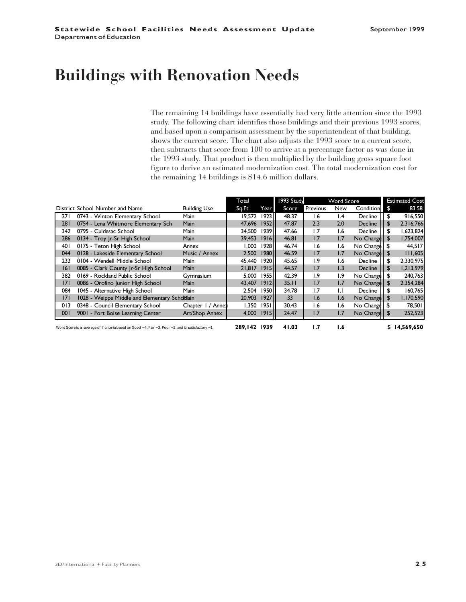### Buildings with Renovation Needs

The remaining 14 buildings have essentially had very little attention since the 1993 study. The following chart identifies those buildings and their previous 1993 scores, and based upon a comparison assessment by the superintendent of that building, shows the current score. The chart also adjusts the 1993 score to a current score, then subtracts that score from 100 to arrive at a percentage factor as was done in the 1993 study. That product is then multiplied by the building gross square foot figure to derive an estimated modernization cost. The total modernization cost for the remaining 14 buildings is \$14.6 million dollars.

|            |                                                                                                      |                     | Total        |      | 1993 Study | <b>Word Score</b> |                         |                  |     | <b>Estimated Cost</b> |
|------------|------------------------------------------------------------------------------------------------------|---------------------|--------------|------|------------|-------------------|-------------------------|------------------|-----|-----------------------|
|            | District School Number and Name                                                                      | <b>Building Use</b> | Sq.Ft.       | Year | Score      | Previous          | New                     | <b>Condition</b> | -\$ | 83.58                 |
| <b>271</b> | 0743 - Winton Elementary School                                                                      | Main                | 19,572       | 1923 | 48.37      | 1.6               | l.4                     | Decline          | \$  | 916,550               |
| 281        | 0754 - Lena Whitmore Elementary Sch                                                                  | <b>Main</b>         | 47.696       | 1952 | 47.87      | 2.3               | 2.0                     | Decline          | \$  | 2,316,766             |
| 342        | 0795 - Culdesac School                                                                               | Main                | 34,500       | 1939 | 47.66      | 1.7               | 1.6                     | Decline          | \$  | 1,623,824             |
| 286        | 0134 - Troy Jr-Sr High School                                                                        | <b>Main</b>         | 39,453       | 1916 | 46.81      | 1.7               | 1.7                     | No Change        | \$  | 1,754,007             |
| 401        | 0175 - Teton High School                                                                             | Annex               | 000.1        | 1928 | 46.74      | 1.6               | 1.6                     | No Change        |     | 44,517                |
| 044        | 0128 - Lakeside Elementary School                                                                    | Music / Annex       | 2,500        | 1980 | 46.59      | 1.7               | 1.7                     | No Change        | \$  | 111,605               |
| 232        | 0104 - Wendell Middle School                                                                         | Main                | 45,440       | 1920 | 45.65      | 1.9               | 1.6                     | Decline          | \$  | 2,330,975             |
| 6          | 0085 - Clark County Jr-Sr High School                                                                | <b>Main</b>         | 21,817       | 1915 | 44.57      | 1.7               | 1.3                     | Decline          | \$  | 1,213,979             |
| 382        | 0169 - Rockland Public School                                                                        | Gymnasium           | 5.000        | 1955 | 42.39      | 1.9               | 1.9                     | No Change        |     | 240,763               |
| 171        | 0086 - Orofino Junior High School                                                                    | <b>Main</b>         | 43,407       | 1912 | 35.11      | 1.7               | 1.7                     | No Change        | \$  | 2,354,284             |
| 084        | 1045 - Alternative High School                                                                       | Main                | 2.504        | 1950 | 34.78      | 1.7               | $\mathsf{L} \mathsf{I}$ | Decline          | \$  | 160,765               |
| 7          | 1028 - Weippe Middle and Elementary Scholdlain                                                       |                     | 20,903       | 1927 | 33         | 1.6               | 1.6                     | No Change        | \$  | 1,170,590             |
| 013        | 0348 - Council Elementary School                                                                     | Chapter 1 / Annex   | 350. ا       | 1951 | 30.43      | 1.6               | 1.6                     | No Change        |     | 78,501                |
| 001        | 9001 - Fort Boise Learning Center                                                                    | Art/Shop Annex      | 4,000        | 1915 | 24.47      | 1.7               | 1.7                     | No Change        | \$  | 252,523               |
|            | Word Score is an average of 7 oriteria based on Good = 4, Fair = 3, Poor = 2, and Unsatisfactory = 1 |                     | 289,142 1939 |      | 41.03      | 1.7               | 1.6                     |                  | \$  | 14,569,650            |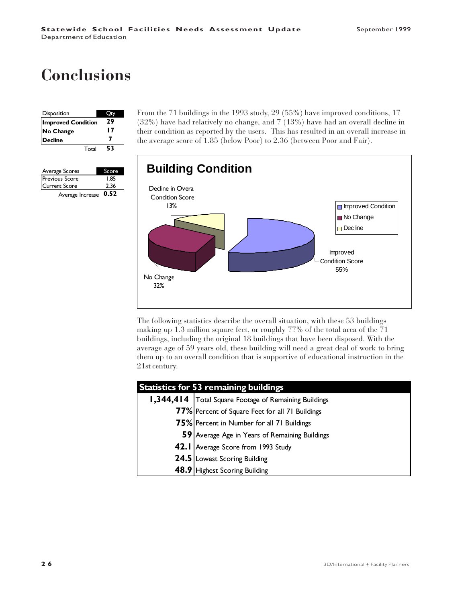# **Conclusions**

| Disposition        |       |    |
|--------------------|-------|----|
| Improved Condition |       | 29 |
| No Change          |       | 17 |
| <b>Decline</b>     |       |    |
|                    | Total | 53 |

| Average Increase 0.52 |       |
|-----------------------|-------|
| <b>Current Score</b>  | 2.36  |
| Previous Score        | 1.85  |
| Average Scores        | Score |
|                       |       |

From the 71 buildings in the 1993 study, 29 (55%) have improved conditions, 17 (32%) have had relatively no change, and 7 (13%) have had an overall decline in their condition as reported by the users. This has resulted in an overall increase in the average score of 1.85 (below Poor) to 2.36 (between Poor and Fair).



The following statistics describe the overall situation, with these 53 buildings making up 1.3 million square feet, or roughly 77% of the total area of the 71 buildings, including the original 18 buildings that have been disposed. With the average age of 59 years old, these building will need a great deal of work to bring them up to an overall condition that is supportive of educational instruction in the 21st century.

|                                            | <b>Statistics for 53 remaining buildings</b>            |  |  |  |  |  |  |  |  |  |
|--------------------------------------------|---------------------------------------------------------|--|--|--|--|--|--|--|--|--|
|                                            | 1,344,414   Total Square Footage of Remaining Buildings |  |  |  |  |  |  |  |  |  |
|                                            | 77% Percent of Square Feet for all 71 Buildings         |  |  |  |  |  |  |  |  |  |
| 75% Percent in Number for all 71 Buildings |                                                         |  |  |  |  |  |  |  |  |  |
|                                            | 59 Average Age in Years of Remaining Buildings          |  |  |  |  |  |  |  |  |  |
|                                            | 42.1 Average Score from 1993 Study                      |  |  |  |  |  |  |  |  |  |
|                                            | 24.5 Lowest Scoring Building                            |  |  |  |  |  |  |  |  |  |
|                                            | 48.9 Highest Scoring Building                           |  |  |  |  |  |  |  |  |  |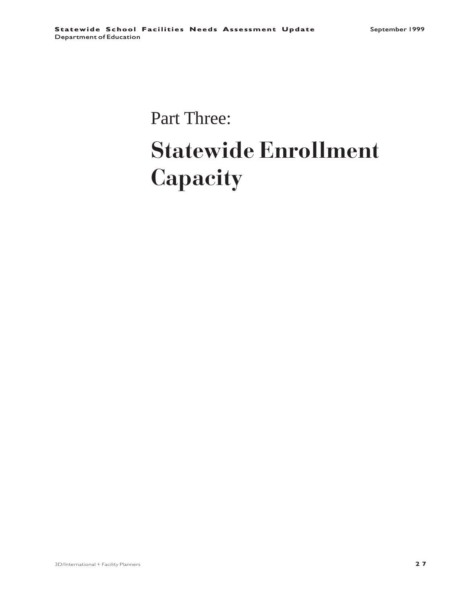# Part Three: Statewide Enrollment **Capacity**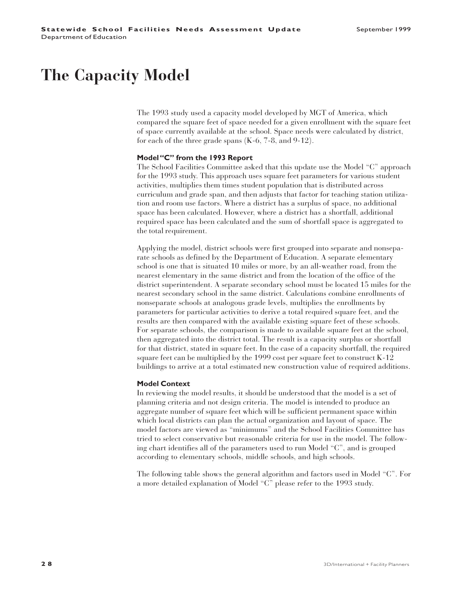# The Capacity Model

The 1993 study used a capacity model developed by MGT of America, which compared the square feet of space needed for a given enrollment with the square feet of space currently available at the school. Space needs were calculated by district, for each of the three grade spans (K-6, 7-8, and 9-12).

#### Model "C" from the 1993 Report

The School Facilities Committee asked that this update use the Model "C" approach for the 1993 study. This approach uses square feet parameters for various student activities, multiplies them times student population that is distributed across curriculum and grade span, and then adjusts that factor for teaching station utilization and room use factors. Where a district has a surplus of space, no additional space has been calculated. However, where a district has a shortfall, additional required space has been calculated and the sum of shortfall space is aggregated to the total requirement.

Applying the model, district schools were first grouped into separate and nonseparate schools as defined by the Department of Education. A separate elementary school is one that is situated 10 miles or more, by an all-weather road, from the nearest elementary in the same district and from the location of the office of the district superintendent. A separate secondary school must be located 15 miles for the nearest secondary school in the same district. Calculations combine enrollments of nonseparate schools at analogous grade levels, multiplies the enrollments by parameters for particular activities to derive a total required square feet, and the results are then compared with the available existing square feet of these schools. For separate schools, the comparison is made to available square feet at the school, then aggregated into the district total. The result is a capacity surplus or shortfall for that district, stated in square feet. In the case of a capacity shortfall, the required square feet can be multiplied by the 1999 cost per square feet to construct K-12 buildings to arrive at a total estimated new construction value of required additions.

#### Model Context

In reviewing the model results, it should be understood that the model is a set of planning criteria and not design criteria. The model is intended to produce an aggregate number of square feet which will be sufficient permanent space within which local districts can plan the actual organization and layout of space. The model factors are viewed as "minimums" and the School Facilities Committee has tried to select conservative but reasonable criteria for use in the model. The following chart identifies all of the parameters used to run Model "C", and is grouped according to elementary schools, middle schools, and high schools.

The following table shows the general algorithm and factors used in Model "C". For a more detailed explanation of Model "C" please refer to the 1993 study.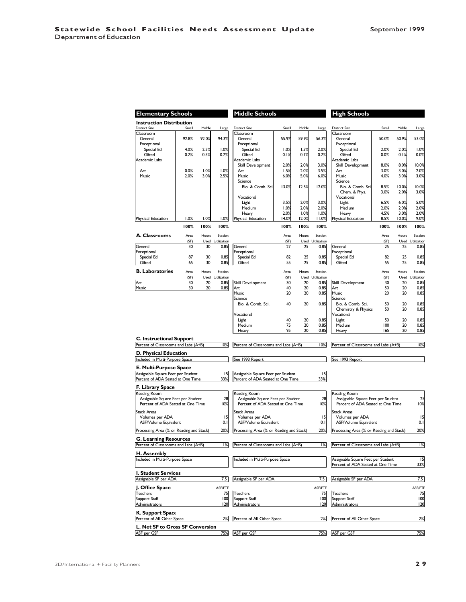| <b>Elementary Schools</b>                                               |          |              |                  | <b>Middle Schools</b>                    |              |              |                                      | <b>High Schools</b>                      |              |              |                  |  |  |
|-------------------------------------------------------------------------|----------|--------------|------------------|------------------------------------------|--------------|--------------|--------------------------------------|------------------------------------------|--------------|--------------|------------------|--|--|
| <b>Instruction Distribution</b>                                         |          |              |                  |                                          |              |              |                                      |                                          |              |              |                  |  |  |
| <b>District Size</b>                                                    | Small    | Middle       | Large            | <b>District Size</b>                     | Small        | Middle       | Large                                | <b>District Size</b>                     | Small        | Middle       | Large            |  |  |
| Classroom                                                               |          |              |                  | Classroom                                |              |              |                                      | Classroom                                |              |              |                  |  |  |
| General<br>Exceptional                                                  | 92.8%    | 92.0%        | 94.3%            | General<br>Exceptional                   | 55.9%        | 59.9%        | 56.3%                                | General<br>Exceptional                   | 50.0%        | 50.9%        | 53.0%            |  |  |
| Special Ed                                                              | 4.0%     | 2.5%         | 1.0%             | Special Ed                               | 1.0%         | 1.5%         | 2.0%                                 | Special Ed                               | 2.0%         | 2.0%         | 1.0%             |  |  |
| Gifted                                                                  | 0.2%     | 0.5%         | 0.2%             | Gifted                                   | 0.1%         | 0.1%         | 0.2%                                 | Gifted                                   | 0.0%         | 0.1%         | 0.0%             |  |  |
| Academic Labs                                                           |          |              |                  | Academic Labs                            |              |              |                                      | Academic Labs                            |              |              |                  |  |  |
|                                                                         |          |              |                  | Skill Development                        | 2.0%         | 2.0%         | 3.0%                                 | Skill Development                        | 8.0%         | 8.0%         | 10.0%            |  |  |
| Art                                                                     | 0.0%     | 1.0%<br>3.0% | 1.0%             | Art                                      | 1.5%<br>6.0% | 2.0%         | 3.5%                                 | Art                                      | 3.0%         | 3.0%         | 2.0%             |  |  |
| Music                                                                   | 2.0%     |              | 2.5%             | Music<br>Science                         |              | 5.0%         | 6.0%                                 | Music<br>Science                         | 4.0%         | 3.0%         | 3.0%             |  |  |
|                                                                         |          |              |                  | Bio. & Comb. Sci.                        | 13.0%        | 12.5%        | 12.0%                                | Bio. & Comb. Sci                         | 8.5%         | 10.0%        | 10.0%            |  |  |
|                                                                         |          |              |                  |                                          |              |              |                                      | Chem. & Phys.                            | 3.0%         | 2.0%         | 3.0%             |  |  |
|                                                                         |          |              |                  | Vocational                               |              |              |                                      | Vocational                               |              |              |                  |  |  |
|                                                                         |          |              |                  | Light                                    | 3.5%         | 2.0%         | 3.0%                                 | Light                                    | 6.5%         | 6.0%         | 5.0%             |  |  |
|                                                                         |          |              |                  | Medium                                   | 1.0%<br>2.0% | 2.0%<br>1.0% | 2.0%<br>1.0%                         | Medium                                   | 2.0%<br>4.5% | 2.0%<br>3.0% | 2.0%<br>2.0%     |  |  |
| <b>Physical Education</b>                                               | 1.0%     | 1.0%         | 1.0%             | Heavy<br>Physical Education              | 14.0%        | 12.0%        | 11.0%                                | Heavy<br>Physical Education              | 8.5%         | 10.0%        | 9.0%             |  |  |
|                                                                         |          |              |                  |                                          |              |              |                                      |                                          |              |              |                  |  |  |
|                                                                         | 100%     | 100%         | 100%             |                                          | 100%         | 100%         | 100%                                 |                                          | 100%         | 100%         | 100%             |  |  |
| A. Classrooms                                                           | Area     | Hours        | Station          |                                          | Area         | Hours        | Station                              |                                          | Area         | Hours        | Station          |  |  |
|                                                                         | (SF)     | Used         | Utilization      |                                          | (SF)         |              | Used Utilization                     |                                          | (SF)         |              | Used Utilization |  |  |
| General                                                                 | 30       | 30           | 0.85             | General                                  | 27           | 25           | 0.85                                 | General                                  | 25           | 25           | 0.85             |  |  |
| Exceptional                                                             | 87       | 30           |                  | Exceptional                              |              | 25           |                                      | Exceptional                              |              |              |                  |  |  |
| Special Ed<br>Gifted                                                    | 65       | 30           | 0.85<br>0.85     | Special Ed<br>Gifted                     | 82<br>55     | 25           | 0.85<br>0.85                         | Special Ed<br>Gifted                     | 82<br>55     | 25<br>25     | 0.85<br>0.85     |  |  |
|                                                                         |          |              |                  |                                          |              |              |                                      |                                          |              |              |                  |  |  |
| <b>B.</b> Laboratories                                                  | Area     | Hours        | Station          |                                          | Area         | Hours        | Station                              |                                          | Area         | Hours        | Station          |  |  |
|                                                                         | (SF)     |              | Used Utilization |                                          | (SF)         |              | Used Utilization                     |                                          | (SF)         |              | Used Utilization |  |  |
| Art<br>Music                                                            | 30<br>30 | 20<br>20     | 0.85<br>0.85     | Skill Development<br>Art                 | 30<br>40     | 20<br>20     | 0.85<br>0.85                         | Skill Development<br>Art                 | 30<br>50     | 20<br>20     | 0.85<br>0.85     |  |  |
|                                                                         |          |              |                  | Music                                    | 20           | 20           | 0.85                                 | Music                                    | 20           | 20           | 0.85             |  |  |
|                                                                         |          |              |                  | Science                                  |              |              |                                      | Science                                  |              |              |                  |  |  |
|                                                                         |          |              |                  | Bio. & Comb. Sci.                        | 40           | 20           | 0.85                                 | Bio. & Comb. Sci.                        | 50           | 20           | 0.85             |  |  |
|                                                                         |          |              |                  |                                          |              |              |                                      | Chemistry & Physics                      | 50           | 20           | 0.85             |  |  |
|                                                                         |          |              |                  | Vocational                               |              |              |                                      | Vocational                               |              |              |                  |  |  |
|                                                                         |          |              |                  | Light<br>Medium                          | 40<br>75     | 20<br>20     | 0.85<br>0.85                         | Light<br>Medium                          | 50<br>100    | 20<br>20     | 0.85<br>0.85     |  |  |
|                                                                         |          |              |                  | Heavy                                    | 95           | 20           | 0.85                                 | Heavy                                    | 165          | 20           | 0.85             |  |  |
|                                                                         |          |              |                  |                                          |              |              |                                      |                                          |              |              |                  |  |  |
| <b>C. Instructional Support</b><br>Percent of Classrooms and Labs (A+B) |          |              | 10%              | Percent of Classrooms and Labs (A+B)     |              | 10%          | Percent of Classrooms and Labs (A+B) |                                          |              | 10%          |                  |  |  |
|                                                                         |          |              |                  |                                          |              |              |                                      |                                          |              |              |                  |  |  |
| D. Physical Education                                                   |          |              |                  |                                          |              |              |                                      |                                          |              |              |                  |  |  |
| Included in Multi-Purpose Space                                         |          |              |                  | See 1993 Report                          |              |              |                                      | See 1993 Report                          |              |              |                  |  |  |
| E. Multi-Purpose Space                                                  |          |              |                  |                                          |              |              |                                      |                                          |              |              |                  |  |  |
| Assignable Square Feet per Student                                      |          |              | 15               | Assignable Square Feet per Student       |              |              | 15                                   |                                          |              |              |                  |  |  |
| Percent of ADA Seated at One Time                                       |          |              | 33%              | Percent of ADA Seated at One Time        |              |              | 33%                                  |                                          |              |              |                  |  |  |
| F. Library Space                                                        |          |              |                  |                                          |              |              |                                      |                                          |              |              |                  |  |  |
| Reading Room                                                            |          |              |                  | Reading Room                             |              |              |                                      | Reading Room                             |              |              |                  |  |  |
| Assignable Square Feet per Student                                      |          |              | 28               | Assignable Square Feet per Student       |              |              | 28                                   | Assignable Square Feet per Student       |              |              | 25               |  |  |
| Percent of ADA Seated at One Time                                       |          |              | 10%              | Percent of ADA Seated at One Time        |              |              | 10%                                  | Percent of ADA Seated at One Time        |              |              | 10%              |  |  |
| <b>Stack Areas</b>                                                      |          |              |                  | <b>Stack Areas</b>                       |              |              |                                      | <b>Stack Areas</b>                       |              |              |                  |  |  |
| Volumes per ADA                                                         |          |              | 15               | Volumes per ADA                          |              |              | 15                                   | Volumes per ADA                          |              |              | 15               |  |  |
| ASF/Volume Equivalent                                                   |          |              | 0.1              | ASF/Volume Equivalent                    |              |              | 0.1                                  | ASF/Volume Equivalent                    |              |              | 0.1              |  |  |
| Processing Area (% or Reading and Stack)                                |          |              | 20%              | Processing Area (% or Reading and Stack) |              |              | 20%                                  | Processing Area (% or Reading and Stack) |              |              | 20%              |  |  |
| <b>G. Learning Resources</b>                                            |          |              |                  |                                          |              |              |                                      |                                          |              |              |                  |  |  |
| Percent of Classrooms and Labs (A+B)                                    |          |              | 1%               | Percent of Classrooms and Labs (A+B)     |              |              | 1%                                   | Percent of Classrooms and Labs (A+B)     |              |              | 1%               |  |  |
|                                                                         |          |              |                  |                                          |              |              |                                      |                                          |              |              |                  |  |  |
| H. Assembly                                                             |          |              |                  |                                          |              |              |                                      | Assignable Square Feet per Student       |              |              | 15               |  |  |
| Included in Multi-Purpose Space                                         |          |              |                  | Included in Multi-Purpose Space          |              |              |                                      | Percent of ADA Seated at One Time        |              |              | 33%              |  |  |
|                                                                         |          |              |                  |                                          |              |              |                                      |                                          |              |              |                  |  |  |
| <b>I. Student Services</b>                                              |          |              |                  |                                          |              |              |                                      |                                          |              |              |                  |  |  |
| Assignable SF per ADA                                                   |          |              | 7.5              | Assignable SF per ADA                    |              |              | 7.5                                  | Assignable SF per ADA                    |              |              | 7.5              |  |  |
| J. Office Space                                                         |          |              | ASF/FTE          |                                          |              |              | ASF/FTE                              |                                          |              |              | ASF/FTE          |  |  |
| <b>Teachers</b>                                                         |          |              | 75               | <b>Teachers</b>                          |              |              | 75                                   | <b>Teachers</b>                          |              |              | 75               |  |  |
| Support Staff                                                           |          |              | 100              | Support Staff                            |              |              | 100                                  | Support Staff                            |              |              | 100              |  |  |
| Administrators                                                          |          |              | 120              | Administrators                           |              |              | 120                                  | Administrators                           |              |              | 120              |  |  |
| K. Support Space                                                        |          |              |                  |                                          |              |              |                                      |                                          |              |              |                  |  |  |
| Percent of All Other Space                                              |          |              | 2%               | Percent of All Other Space               |              |              | 2%                                   | Percent of All Other Space               |              |              | 2%               |  |  |
| L. Net SF to Gross SF Conversion                                        |          |              |                  |                                          |              |              |                                      |                                          |              |              |                  |  |  |
| ASF per GSF                                                             |          |              | 75%              | ASF per GSF                              |              |              | 75%                                  | ASF per GSF                              |              |              | 75%              |  |  |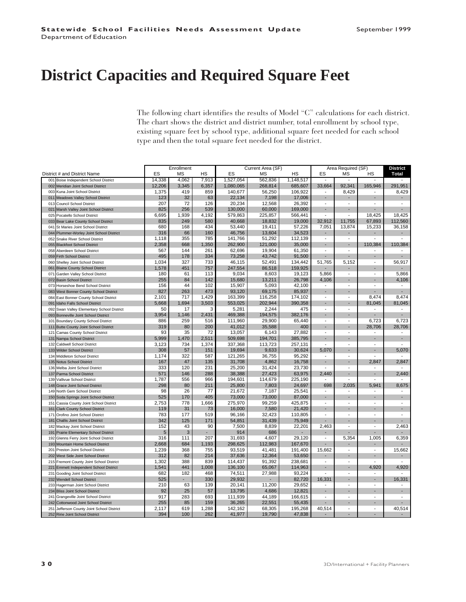# **District Capacities and Required Square Feet**

The following chart identifies the results of Model "C" calculations for each district. The chart shows the district and district number, total enrollment by school type, existing square feet by school type, additional square feet needed for each school type and then the total square feet needed for the district.

|                 |                                           |        | Enrollment | Current Area (SF) |           |           |           | Area Required (SF)       | <b>District</b>          |                          |                          |
|-----------------|-------------------------------------------|--------|------------|-------------------|-----------|-----------|-----------|--------------------------|--------------------------|--------------------------|--------------------------|
|                 | District # and District Name              | ES     | <b>MS</b>  | HS                | ES        | <b>MS</b> | HS        | ES                       | MS                       | HS                       | Total                    |
|                 | 001 Boise Independent School District     | 14,338 | 4,062      | 7,913             | 1,527,054 | 562,836   | 1,148,517 |                          |                          |                          |                          |
|                 | 002 Meridian Joint School District        | 12,206 | 3,345      | 6,357             | 1,080,065 | 268,814   | 685,607   | 33,664                   | 92,341                   | 165,946                  | 291,951                  |
| 003             | Kuna Joint School District                | 1,375  | 419        | 859               | 140,677   | 56,250    | 106,922   | ÷,                       | 8,429                    |                          | 8,429                    |
| 011             | Meadows Valley School District            | 123    | 32         | 63                | 22,134    | 7,198     | 17,006    |                          | $\overline{\phantom{a}}$ |                          | $\overline{\phantom{a}}$ |
| 013             | <b>Council School District</b>            | 207    | 72         | 126               | 20,234    | 12,568    | 26,392    | $\overline{\phantom{a}}$ | $\overline{a}$           | $\overline{a}$           | $\sim$                   |
| 021             | Marsh Valley Joint School District        | 825    | 256        | 539               | 130,000   | 60,000    | 169,000   | -                        |                          |                          | $\overline{\phantom{0}}$ |
| 025             | Pocatello School District                 | 6,695  | 1,939      | 4,192             | 579,863   | 225,857   | 566,441   |                          |                          | 18,425                   | 18,425                   |
| 033             | Bear Lake County School District          | 835    | 249        | 580               | 40,668    | 18,832    | 19,000    | 32,912                   | 11,755                   | 67,893                   | 112,560                  |
| 041             | St Maries Joint School District           | 680    | 168        | 434               | 53,440    | 19,411    | 57,226    | 7,051                    | 13,874                   | 15,233                   | 36,158                   |
| 044             | Plummer-Worley Joint School District      | 316    | 66         | 160               | 46,756    | 13,604    | 34,523    |                          |                          |                          | ÷                        |
| 052             | Snake River School District               | 1,118  | 355        | 785               | 141,766   | 51,292    | 112,139   |                          | $\overline{a}$           |                          |                          |
| 055             | <b>Blackfoot School District</b>          | 2,358  | 668        | 1,350             | 262,900   | 121,000   | 35,000    |                          |                          | 110,384                  | 110,384                  |
| 058             | Aberdeen School District                  | 567    | 144        | 261               | 62,696    | 19,904    | 61,350    |                          |                          |                          |                          |
| 059             | <b>Firth School District</b>              | 495    | 178        | 334               | 73,258    | 43,742    | 91,500    | $\overline{a}$           | ÷,                       |                          |                          |
| 060             | Shelley Joint School District             | 1.034  | 327        | 733               | 46,115    | 52,491    | 134,442   | 51,765                   | 5,152                    |                          | 56,917                   |
| 061             | <b>Blaine County School District</b>      | 1,578  | 451        | 757               | 247,554   | 86,518    | 159,925   |                          |                          |                          |                          |
| 07              | Garden Valley School District             | 180    | 61         | 113               | 9,034     | 8,603     | 19,123    | 5,866                    | $\overline{a}$           | $\overline{a}$           | 5,866                    |
| 072             | <b>Basin School District</b>              | 255    | 84         | 142               | 15,680    | 13,211    | 26,798    | 4,106                    |                          | $\overline{a}$           | 4,106                    |
| 073             | Horseshoe Bend School District            | 156    | 44         | 102               | 15,907    | 5,093     | 42,100    |                          |                          |                          |                          |
| 083             | West Bonner County School District        | 827    | 263        | 473               | 93,120    | 69,175    | 85,937    | ÷,                       | L.                       | L.                       | ÷.                       |
| 084             | East Bonner County School District        | 2,101  | 717        | 1,429             | 163,399   | 116,258   | 174,102   | $\overline{a}$           | $\overline{a}$           | 8,474                    | 8,474                    |
| 091             | Idaho Falls School District               | 5,668  | 1,694      | 3,503             | 553,025   | 202,944   | 390,358   | L,                       | ٠                        | 81,045                   | 81,045                   |
| 092             | Swan Valley Elementary School District    | 50     | 17         | 3                 | 5,281     | 2,244     | 475       | $\overline{\phantom{a}}$ | ٠                        | $\overline{\phantom{0}}$ | $\overline{\phantom{0}}$ |
| 093             | Bonneville Joint School District          | 3,954  | 1,146      | 2,431             | 469,388   | 194,575   | 382,176   | ÷,                       | ÷.                       | L                        | ÷.                       |
| 10 <sup>1</sup> | <b>Boundary County School District</b>    | 886    | 259        | 516               | 111,960   | 29,900    | 65,440    | $\overline{\phantom{a}}$ | $\overline{a}$           | 6,723                    | 6,723                    |
| 11              | <b>Butte County Joint School District</b> | 319    | 80         | 200               | 41,012    | 35,588    | 400       | ÷,                       | $\overline{a}$           | 28,706                   | 28,706                   |
| 12 <sup>1</sup> | Camas County School District              | 93     | 35         | 72                | 13,057    | 6,143     | 27,882    | $\overline{a}$           | $\overline{\phantom{a}}$ | $\overline{\phantom{a}}$ | $\overline{\phantom{a}}$ |
| 131             | Nampa School District                     | 5,999  | 1,470      | 2,511             | 509,698   | 194,701   | 385,795   | L.                       | ÷.                       | L,                       | ÷.                       |
| 132             | <b>Caldwell School District</b>           | 3,123  | 734        | 1,374             | 337,368   | 113,723   | 257,131   | $\overline{a}$           | $\overline{\phantom{a}}$ | $\overline{a}$           | $\overline{\phantom{a}}$ |
| 133             | <b>Wilder School District</b>             | 308    | 57         | 151               | 19,694    | 9,633     | 30,624    | 5,070                    | L.                       | L,                       | 5,070                    |
| 134             | Middleton School District                 | 1,174  | 322        | 587               | 121,265   | 36,755    | 95.292    | $\blacksquare$           | $\overline{a}$           | $\overline{a}$           | $\overline{\phantom{a}}$ |
| 135             | <b>Notus School District</b>              | 167    | 47         | 135               | 31,708    | 4,862     | 16,758    | ÷,                       | L.                       | 2,847                    | 2,847                    |
| 136             | Melba Joint School District               | 333    | 120        | 231               | 25,200    | 31,424    | 23,730    | $\overline{\phantom{a}}$ | $\overline{a}$           | $\overline{\phantom{a}}$ | $\overline{\phantom{a}}$ |
| 137             | Parma School District                     | 571    | 146        | 288               | 38,388    | 27,423    | 63,975    | 2,440                    | L.                       | L.                       | 2,440                    |
| 139             | Vallivue School District                  | 1,787  | 556        | 966               | 194,601   | 114,679   | 225,190   | $\blacksquare$           | $\blacksquare$           | $\overline{\phantom{a}}$ | $\overline{\phantom{a}}$ |
| 148             | <b>Grace Joint School District</b>        | 298    | 80         | 211               | 25,800    | 7,803     | 24,697    | 698                      | 2,035                    | 5,941                    | 8,675                    |
| 149             | North Gem School District                 | 98     | 26         | 77                | 21,672    | 7,187     | 25,541    | $\overline{\phantom{a}}$ | $\overline{\phantom{a}}$ | $\overline{\phantom{a}}$ | $\overline{\phantom{a}}$ |
| 150             | Soda Springs Joint School District        | 525    | 170        | 405               | 73,000    | 73,000    | 87,000    | L.                       | L.                       | L,                       | $\blacksquare$           |
| 151             | Cassia County Joint School District       | 2,753  | 778        | 1,666             | 275,970   | 99,259    | 425,875   | $\blacksquare$           | $\overline{\phantom{a}}$ | $\overline{\phantom{a}}$ | $\overline{\phantom{a}}$ |
| 161             | <b>Clark County School District</b>       | 119    | 31         | 73                | 16,000    | 7,580     | 21,420    | ÷,                       | L.                       | L,                       | $\blacksquare$           |
| 171             | Orofino Joint School District             | 783    | 177        | 519               | 96,166    | 32,423    | 110,805   |                          | $\overline{\phantom{a}}$ | $\blacksquare$           | $\blacksquare$           |
| 181             | Challis Joint School District             | 342    | 125        | 171               | 54,851    | 31,439    | 75,949    | $\overline{a}$           | L.                       | L                        | ÷.                       |
| 182             | Mackay Joint School District              | 152    | 43         | 90                | 7,500     | 8,839     | 22,201    | 2,463                    | $\blacksquare$           | $\blacksquare$           | 2,463                    |
| 191             | Prairie Elementary School District        | 5      | 3          | ÷.                | 914       | 686       |           |                          |                          |                          |                          |
| 192             | Glenns Ferry Joint School District        | 316    | 111        | 207               | 31,693    | 4,607     | 29,120    | $\overline{\phantom{a}}$ | 5,354                    | 1,005                    | 6,359                    |
| 193             | Mountain Home School District             | 2,668  | 684        | 1,193             | 298,625   | 112,983   | 167,670   | $\overline{a}$           | $\overline{a}$           |                          |                          |
| 20 <sup>1</sup> | Preston Joint School District             | 1,239  | 368        | 755               | 93,519    | 41,481    | 191,400   | 15,662                   | $\overline{\phantom{a}}$ | $\overline{\phantom{a}}$ | 15,662                   |
| 202             | West Side Joint School District           | 312    | 82         | 214               | 37,636    | 12,364    | 53,650    | $\overline{a}$           | $\overline{a}$           | L,                       | ÷.                       |
| 215             | Fremont County Joint School District      | 1,302  | 388        | 839               | 114,437   | 91,392    | 238,681   |                          |                          |                          |                          |
| 22'             | Emmett Independent School District        | 1,541  | 441        | 1,008             | 136,100   | 65,067    | 114,963   | ÷,                       |                          | 4.920                    | 4,920                    |
| 23'             | Gooding Joint School District             | 682    | 182        | 468               | 74,511    | 27,988    | 93,224    | ÷,                       |                          |                          |                          |
| 232             | <b>Wendell School District</b>            | 525    |            | 330               | 29,932    |           | 82,720    | 16.331                   | ÷,                       | L,                       | 16.331                   |
| 233             | Hagerman Joint School District            | 210    | 63         | 139               | 20,141    | 11,200    | 29,652    | $\overline{\phantom{a}}$ | $\overline{\phantom{a}}$ |                          | ٠                        |
| 234             | <b>Bliss Joint School District</b>        | 92     | 25         | 57                | 13,795    | 4,686     | 12,821    | $\overline{a}$           | $\overline{a}$           | L.                       | L.                       |
| 24 <sup>1</sup> | Grangeville Joint School District         | 917    | 283        | 693               | 111,939   | 44,189    | 166,615   |                          |                          |                          |                          |
| 242             | Cottonwood Joint School District          | 255    | 85         | 159               | 36,265    | 22,551    | 55,435    |                          | ÷,                       | $\blacksquare$           | ÷.                       |
| 25 <sup>1</sup> | Jefferson County Joint School District    | 2,117  | 619        | 1,288             | 142,162   | 68,305    | 195,268   | 40,514                   | $\overline{a}$           |                          | 40,514                   |
|                 | 252 Ririe Joint School District           | 394    | 100        | 262               | 41,977    | 19,790    | 47,838    | $\overline{\phantom{0}}$ | $\overline{\phantom{a}}$ | L.                       | $\overline{a}$           |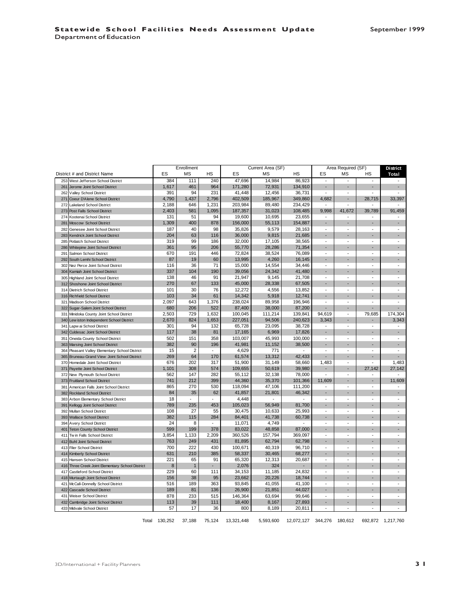|                                                   |         | Current Area (SF)<br>Enrollment |                          |            |                          |                          |                          | Area Required (SF)       |                          |                          |
|---------------------------------------------------|---------|---------------------------------|--------------------------|------------|--------------------------|--------------------------|--------------------------|--------------------------|--------------------------|--------------------------|
| District # and District Name                      | ES      | MS                              | HS                       | ES         | MS                       | <b>HS</b>                | ES                       | MS                       | HS                       | District<br>Total        |
| West Jefferson School District<br>253             | 384     | 111                             | 240                      | 47.696     | 14,984                   | 86.923                   |                          |                          |                          |                          |
| 261<br>Jerome Joint School District               | 1,617   | 461                             | 964                      | 171,280    | 72,931                   | 134,910                  |                          |                          |                          |                          |
| 262<br>Valley School District                     | 391     | 94                              | 231                      | 41,448     | 12,456                   | 36,731                   | $\overline{\phantom{a}}$ | $\overline{\phantom{a}}$ | ٠                        |                          |
| 271<br>Coeur D'Alene School District              | 4,790   | 1,437                           | 2,796                    | 402,509    | 185,967                  | 349,860                  | 4,682                    | ٠                        | 28,715                   | 33.397                   |
| 272<br>Lakeland School District                   | 2,188   | 646                             | 1,231                    | 203,984    | 89,480                   | 234,429                  |                          |                          |                          |                          |
| Post Falls School District<br>273                 | 2,403   | 581                             | 1,095                    | 187,357    | 31,023                   | 108,485                  | 9,998                    | 41,672                   | 39,789                   | 91,459                   |
| 274<br>Kootenai School District                   | 131     | 51                              | 94                       | 19,600     | 10,695                   | 23,655                   |                          |                          |                          |                          |
| 281<br>Moscow School District                     | 1,309   | 400                             | 878                      | 156,000    | 55,113                   | 154,887                  | $\overline{\phantom{a}}$ | $\overline{\phantom{a}}$ | ٠                        | ٠                        |
| 282<br>Genesee Joint School District              | 187     | 40                              | 98                       | 35,826     | 9,579                    | 28,163                   | $\overline{a}$           | $\overline{\phantom{a}}$ | $\overline{a}$           | $\overline{a}$           |
| Kendrick Joint School District<br>283             | 204     | 63                              | 116                      | 36,000     | 9,815                    | 21,685                   | ٠                        | $\overline{\phantom{0}}$ | -                        |                          |
| 285<br><b>Potlatch School District</b>            | 319     | 99                              | 186                      | 32,000     | 17,105                   | 38,565                   | $\overline{\phantom{a}}$ | $\overline{\phantom{a}}$ | $\overline{a}$           | $\overline{\phantom{a}}$ |
| <b>Whitepine Joint School District</b><br>286     | 361     | 95                              | 206                      | 55,770     | 28,286                   | 71,354                   |                          | $\overline{\phantom{a}}$ | $\overline{\phantom{a}}$ | $\overline{\phantom{a}}$ |
| 291<br>Salmon School District                     | 670     | 191                             | 446                      | 72,824     | 38,524                   | 76,089                   |                          | $\overline{a}$           |                          | $\overline{a}$           |
| 292<br>South Lemhi School District                | 87      | 19                              | 60                       | 13,995     | 4,260                    | 16,145                   | $\overline{\phantom{a}}$ | ٠                        | ٠                        | ٠                        |
| 302<br>Nez Perce Joint School District            | 116     | 36                              | 71                       | 15,000     | 14,554                   | 34,446                   |                          | $\overline{a}$           |                          | $\overline{\phantom{0}}$ |
| 304 Kamiah Joint School District                  | 337     | 104                             | 190                      | 39,056     | 24,342                   | 41,480                   | ٠                        | ÷                        | ÷                        | $\overline{\phantom{a}}$ |
| <b>Highland Joint School District</b><br>305      | 138     | 46                              | 91                       | 21,947     | 9,145                    | 21,708                   |                          |                          |                          |                          |
| 312 Shoshone Joint School District                | 270     | 67                              | 133                      | 45,000     | 28,338                   | 67,505                   | ÷                        | ÷,                       | ÷,                       |                          |
| 314<br><b>Dietrich School District</b>            | 101     | 30                              | 76                       | 12,272     | 4,556                    | 13,852                   |                          |                          |                          | $\overline{\phantom{a}}$ |
| 316 Richfield School District                     | 103     | 34                              | 61                       | 14,342     | 5,918                    | 12,741                   | ÷                        | ÷,                       | ÷                        | ÷.                       |
| 321<br><b>Madison School District</b>             | 2.097   | 643                             | 1,376                    | 238,024    | 89,958                   | 196,946                  |                          |                          |                          |                          |
| 322 Sugar-Salem Joint School District             | 680     | 206                             | 522                      | 87,400     | 38,000                   | 87,200                   |                          |                          |                          |                          |
| 331<br>Minidoka County Joint School District      | 2,503   | 729                             | 1,632                    | 100,045    | 111,214                  | 139,841                  | 94,619                   | $\overline{\phantom{a}}$ | 79,685                   | 174,304                  |
| 340 Lew iston Independent School District         | 2,670   | 824                             | 1,653                    | 227,051    | 94,506                   | 240,623                  | 3,343                    | ÷,                       | ÷,                       | 3,343                    |
| 341<br>Lapw ai School District                    | 301     | 94                              | 132                      | 65,728     | 23,095                   | 38,728                   | $\overline{\phantom{a}}$ | $\overline{\phantom{a}}$ | $\overline{\phantom{a}}$ | $\overline{\phantom{a}}$ |
| 342 Culdesac Joint School District                | 117     | 38                              | 81                       | 17,165     | 6,969                    | 17,826                   | ÷,                       |                          | L,                       |                          |
| 351<br>Oneida County School District              | 502     | 151                             | 358                      | 103,007    | 45,993                   | 100,000                  | $\overline{\phantom{a}}$ | $\overline{\phantom{a}}$ | $\overline{a}$           | $\overline{\phantom{a}}$ |
| 363 Marsing Joint School District                 | 382     | 90                              | 196                      | 41,981     | 11,152                   | 38,500                   | ÷                        | ٠                        | ÷                        | L.                       |
| 364<br>Pleasant Valley Elementary School District | 15      | $\overline{2}$                  | $\overline{\phantom{a}}$ | 4,629      | 771                      | $\overline{\phantom{a}}$ | $\overline{\phantom{a}}$ | $\overline{\phantom{a}}$ | ٠                        | $\overline{\phantom{a}}$ |
| 365 Bruneau-Grand View Joint School District      | 269     | 64                              | 170                      | 61,574     | 13,312                   | 42,433                   | ÷                        | ٠                        | ÷                        | ÷                        |
| 370 Homedale Joint School District                | 676     | 202                             | 317                      | 51,900     | 31,149                   | 58,660                   | 1,483                    | $\overline{\phantom{a}}$ | $\overline{\phantom{a}}$ | 1,483                    |
| Payette Joint School District<br>371              | 1,101   | 308                             | 574                      | 109,655    | 50,619                   | 39,980                   | ÷                        | ٠                        | 27,142                   | 27,142                   |
| 372<br>New Plymouth School District               | 562     | 147                             | 282                      | 55,112     | 32,138                   | 78,000                   | $\overline{\phantom{a}}$ | $\overline{\phantom{a}}$ | $\overline{\phantom{a}}$ | $\overline{\phantom{a}}$ |
| 373 Fruitland School District                     | 741     | 212                             | 399                      | 44,360     | 35,370                   | 101,366                  | 11,609                   | ÷.                       | ÷,                       | 11,609                   |
| 381<br>American Falls Joint School District       | 865     | 270                             | 530                      | 118,094    | 47,106                   | 111,200                  | $\overline{\phantom{a}}$ | $\overline{\phantom{a}}$ | $\overline{\phantom{a}}$ | $\overline{\phantom{a}}$ |
| 382 Rockland School District                      | 84      | 35                              | 62                       | 41,857     | 21,801                   | 46,342                   | ÷,                       | ÷.                       | ÷,                       | ÷,                       |
| 383<br>Arbon Elementary School District           | 18      | $\overline{\phantom{a}}$        | $\overline{\phantom{a}}$ | 4,448      | $\overline{\phantom{a}}$ | $\overline{\phantom{a}}$ | $\overline{\phantom{a}}$ | $\overline{\phantom{a}}$ | $\overline{\phantom{a}}$ | $\overline{\phantom{a}}$ |
| Kellogg Joint School District<br>391              | 789     | 235                             | 453                      | 105,023    | 56,949                   | 81,700                   | ÷                        | ÷.                       | ÷,                       | ÷.                       |
| 392<br>Mullan School District                     | 108     | 27                              | 55                       | 30.475     | 10,633                   | 25,993                   | $\overline{\phantom{a}}$ | $\overline{a}$           | $\overline{\phantom{a}}$ | $\overline{\phantom{a}}$ |
| <b>Wallace School District</b><br>393             | 382     | 115                             | 284                      | 84,401     | 41,738                   | 60,738                   | ÷                        | ÷.                       | ÷                        | ÷                        |
| 394 Avery School District                         | 24      | 8                               |                          | 11,071     | 4,749                    | $\overline{a}$           | $\overline{a}$           |                          | $\overline{a}$           | $\overline{a}$           |
| 401<br><b>Teton County School District</b>        | 599     | 199                             | 378                      | 83,022     | 48,858                   | 87,000                   |                          |                          |                          | ÷,                       |
| 411<br>Tw in Falls School District                | 3,854   | 1,133                           | 2,209                    | 360,526    | 157,794                  | 369,097                  |                          |                          | $\overline{a}$           | $\overline{a}$           |
| <b>Buhl Joint School District</b><br>412          | 763     | 249                             | 431                      | 81,895     | 62,794                   | 62,798                   |                          | $\overline{a}$           | L.                       | L.                       |
| 413 Filer School District                         | 700     | 222                             | 430                      | 100,671    | 40,319                   | 96,710                   |                          |                          |                          |                          |
| Kimberly School District<br>414                   | 631     | 210                             | 385                      | 58,337     | 30,465                   | 68,277                   |                          |                          |                          |                          |
| 415 Hansen School District                        | 221     | 65                              | 91                       | 65,320     | 12,313                   | 20,687                   |                          |                          |                          |                          |
| 416 Three Creek Joint Elementary School District  | 8       | $\mathbf{1}$                    |                          | 2,076      | 324                      |                          |                          |                          |                          |                          |
| 417<br>Castleford School District                 | 229     | 60                              | 111                      | 34,153     | 11,185                   | 24,832                   | $\overline{\phantom{a}}$ | $\overline{\phantom{a}}$ | $\overline{\phantom{a}}$ | $\overline{\phantom{a}}$ |
| 418 Murtaugh Joint School District                | 156     | 38                              | 95                       | 23,662     | 20,226                   | 18,744                   |                          | $\overline{\phantom{0}}$ |                          |                          |
| 421<br>McCall-Donnelly School District            | 516     | 189                             | 363                      | 93,845     | 41,055                   | 41,100                   |                          | $\overline{a}$           |                          | $\overline{\phantom{a}}$ |
| 422<br>Cascade School District                    | 189     | 81                              | 136                      | 26,900     | 21,851                   | 44,027                   |                          | -                        |                          |                          |
| 431<br>Weiser School District                     | 878     | 233                             | 515                      | 146,364    | 63,694                   | 99,646                   |                          | $\overline{a}$           | $\overline{a}$           | $\overline{a}$           |
| Cambridge Joint School District<br>432            | 113     | 39                              | 111                      | 18,400     | 8,167                    | 27,893                   | ٠                        | $\overline{\phantom{a}}$ | ٠                        | ÷,                       |
| Midvale School District<br>433                    | 57      | 17                              | 36                       | 800        | 8,189                    | 20,811                   |                          |                          |                          |                          |
|                                                   |         |                                 |                          |            |                          |                          |                          |                          |                          |                          |
| Total                                             | 130,252 | 37,188                          | 75,124                   | 13,321,448 | 5,593,600                | 12,072,127               | 344,276                  | 180,612                  |                          | 692,872 1,217,760        |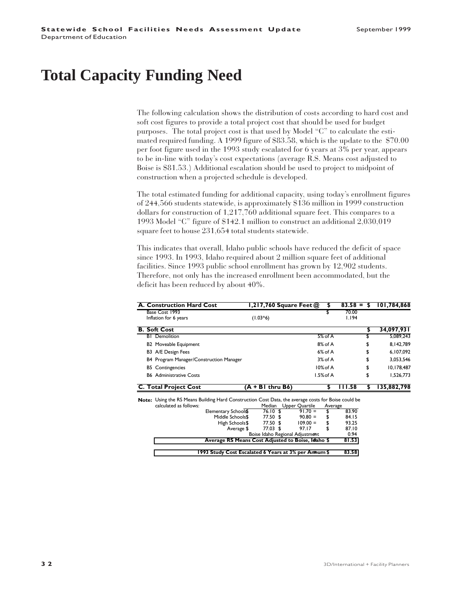### **Total Capacity Funding Need**

The following calculation shows the distribution of costs according to hard cost and soft cost figures to provide a total project cost that should be used for budget purposes. The total project cost is that used by Model "C" to calculate the estimated required funding. A 1999 figure of \$83.58, which is the update to the \$70.00 per foot figure used in the 1993 study escalated for 6 years at 3% per year, appears to be in-line with todays cost expectations (average R.S. Means cost adjusted to Boise is \$81.53.) Additional escalation should be used to project to midpoint of construction when a projected schedule is developed.

The total estimated funding for additional capacity, using today's enrollment figures of 244,566 students statewide, is approximately \$136 million in 1999 construction dollars for construction of 1,217,760 additional square feet. This compares to a 1993 Model "C" figure of \$142.1 million to construct an additional  $2,030,019$ square feet to house 231,654 total students statewide.

This indicates that overall, Idaho public schools have reduced the deficit of space since 1993. In 1993, Idaho required about 2 million square feet of additional facilities. Since 1993 public school enrollment has grown by 12,902 students. Therefore, not only has the increased enrollment been accommodated, but the deficit has been reduced by about 40%.

|    | A. Construction Hard Cost                                                                           |                       | 1,217,760 Square Feet @         | \$          | $83.58 = S$ | 101,784,868       |
|----|-----------------------------------------------------------------------------------------------------|-----------------------|---------------------------------|-------------|-------------|-------------------|
|    | Base Cost 1993                                                                                      |                       |                                 | \$          | 70.00       |                   |
|    | Inflation for 6 years                                                                               | (1.03 <sup>0</sup> 6) |                                 |             | 1.194       |                   |
|    | <b>B. Soft Cost</b>                                                                                 |                       |                                 |             |             | \$<br>34,097,931  |
|    | <b>BI</b> Demolition                                                                                |                       |                                 | $5%$ of A   |             | \$<br>5,089,243   |
|    | <b>B2</b> Moveable Equipment                                                                        |                       |                                 | $8\%$ of A  |             | \$<br>8,142,789   |
| B3 | A/E Design Fees                                                                                     |                       |                                 | $6\%$ of A  |             | \$<br>6,107,092   |
|    | B4 Program Manager/Construction Manager                                                             |                       |                                 | $3%$ of A   |             | \$<br>3,053,546   |
| B5 | Contingencies                                                                                       |                       |                                 | $10\%$ of A |             | \$<br>10,178,487  |
|    | <b>B6</b> Administrative Costs                                                                      |                       |                                 | $1.5%$ of A |             | \$<br>1,526,773   |
|    | <b>C. Total Project Cost</b>                                                                        | (A + BI thru B6)      |                                 | \$          | 111.58      | \$<br>135,882,798 |
|    | Note: Using the RS Means Building Hard Construction Cost Data, the average costs for Boise could be |                       |                                 |             |             |                   |
|    | calculated as follows:                                                                              | Median                | Upper Quartile                  |             | Average     |                   |
|    | Elementary School\$                                                                                 | 76.10 \$              | $91.70 =$                       | \$          | 83.90       |                   |
|    | Middle Schools\$                                                                                    | 77.50 \$              | $90.80 =$                       | \$          | 84.15       |                   |
|    | High Schools\$                                                                                      | 77.50 \$              | $109.00 =$                      | \$          | 93.25       |                   |
|    | Average \$                                                                                          | 77.03 \$              | 97.17                           | \$          | 87.10       |                   |
|    |                                                                                                     |                       | Boise Idaho Regional Adjustment |             | 0.94        |                   |
|    | Average RS Means Cost Adjusted to Boise, Idaho \$                                                   |                       |                                 |             | 81.53       |                   |
|    |                                                                                                     |                       |                                 |             |             |                   |
|    | 1993 Study Cost Escalated 6 Years at 3% per Annum \$                                                |                       |                                 |             | 83.58       |                   |
|    |                                                                                                     |                       |                                 |             |             |                   |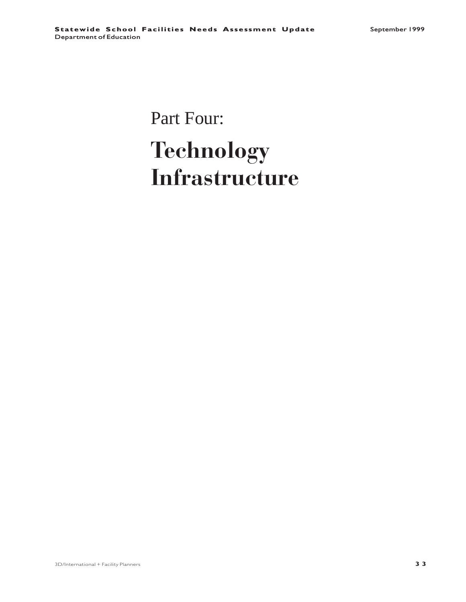# Part Four: Technology Infrastructure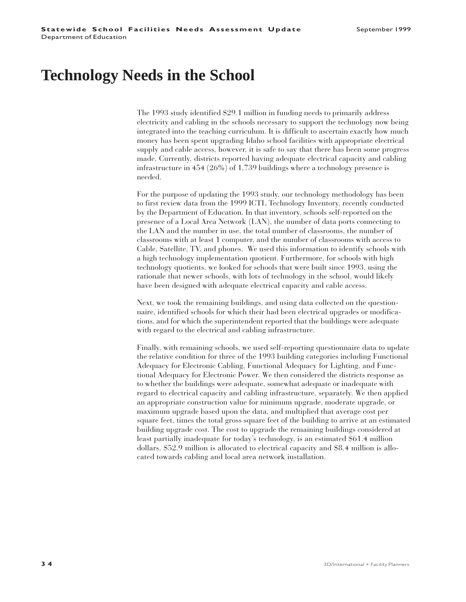### **Technology Needs in the School**

The 1993 study identified \$29.1 million in funding needs to primarily address electricity and cabling in the schools necessary to support the technology now being integrated into the teaching curriculum. It is difficult to ascertain exactly how much money has been spent upgrading Idaho school facilities with appropriate electrical supply and cable access, however, it is safe to say that there has been some progress made. Currently, districts reported having adequate electrical capacity and cabling infrastructure in 454 (26%) of 1,739 buildings where a technology presence is needed.

For the purpose of updating the 1993 study, our technology methodology has been to first review data from the 1999 ICTL Technology Inventory, recently conducted by the Department of Education. In that inventory, schools self-reported on the presence of a Local Area Network (LAN), the number of data ports connecting to the LAN and the number in use, the total number of classrooms, the number of classrooms with at least 1 computer, and the number of classrooms with access to Cable, Satellite, TV, and phones. We used this information to identify schools with a high technology implementation quotient. Furthermore, for schools with high technology quotients, we looked for schools that were built since 1993, using the rationale that newer schools, with lots of technology in the school, would likely have been designed with adequate electrical capacity and cable access.

Next, we took the remaining buildings, and using data collected on the questionnaire, identified schools for which their had been electrical upgrades or modifications, and for which the superintendent reported that the buildings were adequate with regard to the electrical and cabling infrastructure.

Finally, with remaining schools, we used self-reporting questionnaire data to update the relative condition for three of the 1993 building categories including Functional Adequacy for Electronic Cabling, Functional Adequacy for Lighting, and Functional Adequacy for Electronic Power. We then considered the districts response as to whether the buildings were adequate, somewhat adequate or inadequate with regard to electrical capacity and cabling infrastructure, separately. We then applied an appropriate construction value for minimum upgrade, moderate upgrade, or maximum upgrade based upon the data, and multiplied that average cost per square feet, times the total gross square feet of the building to arrive at an estimated building upgrade cost. The cost to upgrade the remaining buildings considered at least partially inadequate for today's technology, is an estimated \$61.4 million dollars. \$52.9 million is allocated to electrical capacity and \$8.4 million is allocated towards cabling and local area network installation.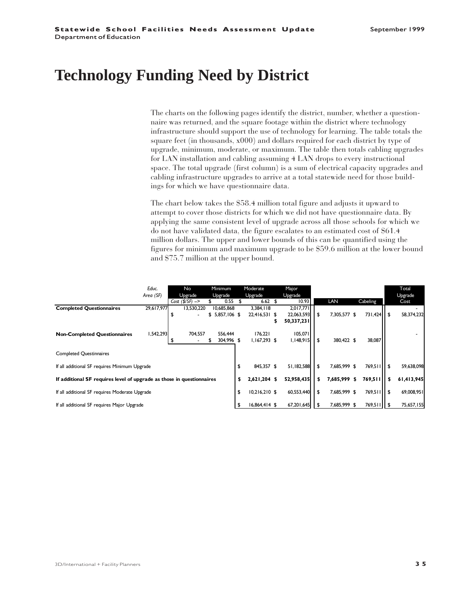## **Technology Funding Need by District**

The charts on the following pages identify the district, number, whether a questionnaire was returned, and the square footage within the district where technology infrastructure should support the use of technology for learning. The table totals the square feet (in thousands, x000) and dollars required for each district by type of upgrade, minimum, moderate, or maximum. The table then totals cabling upgrades for LAN installation and cabling assuming 4 LAN drops to every instructional space. The total upgrade (first column) is a sum of electrical capacity upgrades and cabling infrastructure upgrades to arrive at a total statewide need for those buildings for which we have questionnaire data.

The chart below takes the \$58.4 million total figure and adjusts it upward to attempt to cover those districts for which we did not have questionnaire data. By applying the same consistent level of upgrade across all those schools for which we do not have validated data, the figure escalates to an estimated cost of \$61.4 million dollars. The upper and lower bounds of this can be quantified using the figures for minimum and maximum upgrade to be \$59.6 million at the lower bound and \$75.7 million at the upper bound.

|                                                                       | Educ.<br>Area (SF)  | No<br>Upgrade<br>Cost $(S/SF)$ -> | Minimum<br>Upgrade<br>0.55 | \$<br>Moderate<br>Upgrade<br>$6.62$ \$ | Major<br>Upgrade<br>10.93                   | LAN                | Cabeling                | Total<br>Upgrade<br>Cost |
|-----------------------------------------------------------------------|---------------------|-----------------------------------|----------------------------|----------------------------------------|---------------------------------------------|--------------------|-------------------------|--------------------------|
| <b>Completed Questionnaires</b>                                       | 29,617,977          | 13,530,220<br>\$                  | 10,685,868<br>5,857,106 \$ | 3,384,118<br>22,416,531 \$             | \$<br>2,017,771<br>22,063,593<br>50,337,231 | \$<br>7,305,577 \$ | $731,424$ \$            | 58,374,232               |
| <b>Non-Completed Questionnaires</b>                                   | 1,542,293           | 704.557                           | 556,444<br>304,996 \$<br>S | 176.221<br>$1,167,293$ \$              | 105,071<br>1,148,915                        | \$<br>380.422 \$   | 38,087                  |                          |
| <b>Completed Questinnaires</b>                                        |                     |                                   |                            |                                        |                                             |                    |                         |                          |
| If all additional SF requires Minimum Upgrade                         |                     |                                   |                            | \$<br>845,357 \$                       | 51,182,588                                  | \$<br>7.685.999 \$ | 769,511 \$              | 59,638,098               |
| If additional SF requires level of upgrade as those in questionnaires |                     |                                   |                            | \$<br>2,621,204 \$                     | 52,958,435                                  | \$<br>7,685,999 \$ | $769,511$ $\frac{1}{5}$ | 61,413,945               |
| If all additional SF requires Moderate Upgrade                        |                     |                                   |                            | \$<br>10,216,210 \$                    | 60,553,440                                  | \$<br>7,685,999 \$ | 769,511 \$              | 69,008,951               |
| If all additional SF requires Major Upgrade                           | \$<br>16,864,414 \$ | 67,201,645                        | \$<br>7,685,999 \$         | 769,511 \$                             | 75,657,155                                  |                    |                         |                          |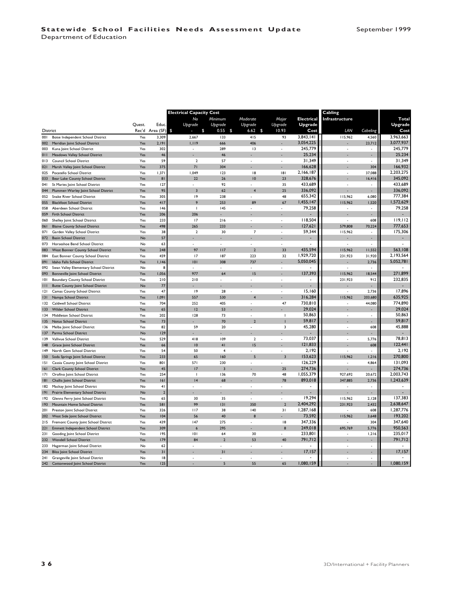| Minimum<br>Infrastructure<br>Total<br>No<br>Moderate<br>Major<br><b>Electrical</b><br><b>Upgrade</b><br>Upgrade<br>Upgrade<br>Quest.<br>Educ.<br>Upgrade<br>Upgrade<br>Upgrade<br>$0.55$ \$<br>10.93<br>LAN<br>Rec'd Area (SF)<br>\$<br>6.62<br>\$<br>Cost<br>Cost<br>\$<br>Cabeling<br>District<br>93<br>3,843,141<br>3,963,663<br>100<br>Boise Independent School District<br>3,309<br>2,667<br>133<br>415<br>115,962<br>4,560<br>Yes<br>3,054,225<br>3,077,937<br>Meridian Joint School District<br>2,191<br>1,119<br>666<br>406<br>23,712<br>002<br>Yes<br>ä,<br>245,779<br>245,779<br>302<br>289<br> 3<br>Kuna Joint School District<br>Yes<br>003<br>٠<br>×,<br>$\overline{\phantom{a}}$<br>$\overline{\phantom{a}}$<br>25,234<br>25,234<br>46<br>46<br>011<br>Meadows Valley School District<br>Yes<br>÷.<br>31.349<br>31.349<br>013<br>Council School District<br>Yes<br>59<br>$\overline{2}$<br>57<br>÷<br>×<br>٠<br>$\overline{\phantom{a}}$<br>375<br>71<br>304<br>166,628<br>304<br>166.932<br>021<br>Marsh Valley Joint School District<br>Yes<br>ä,<br>2,166,187<br>2.203.275<br>1.371<br>1.049<br>123<br>37,088<br>025<br>Pocatello School District<br>Yes<br> 8<br> 8 <br>22<br>10<br>328,676<br>345,092<br>033<br>Bear Lake County School District<br>Yes<br>81<br>26<br>23<br>16.416<br>433,689<br>433,689<br>041<br>St Maries Joint School District<br>Yes<br>127<br>92<br>35<br>×.<br>÷.<br>$\overline{\phantom{a}}$<br>336,092<br>336,092<br>Plummer-Worley Joint School District<br>95<br>$\overline{\mathbf{3}}$<br>62<br>$\overline{4}$<br>25<br>044<br>Yes<br>÷.<br>777,384<br> 9<br>655,342<br>Snake River School District<br>305<br>238<br>48<br>115,962<br>6,080<br>052<br>Yes<br>,455,147<br>1,572,629<br><b>Blackfoot School District</b><br>417<br>9<br>253<br>89<br>67<br>115,962<br>1,520<br>055<br>Yes<br>146<br>145<br>79,258<br>79,258<br>058<br>Aberdeen School District<br>Yes<br>$\overline{1}$<br>ä,<br>206<br>206<br>059<br>Firth School District<br>Yes<br>÷.<br>ä,<br>233<br>17<br>216<br>118,504<br>119,112<br>060<br>Shelley Joint School District<br>Yes<br>608<br>×,<br>127,621<br>777,653<br>498<br>265<br>233<br>579,808<br>70,224<br><b>Blaine County School District</b><br>Yes<br>061<br>$\overline{7}$<br>59,344<br>175,306<br>071<br>Garden Valley School District<br>Yes<br>38<br>$\overline{2}$<br>30<br>115,962<br>ä,<br>÷.<br><b>Basin School District</b><br>No<br>57<br>072<br>÷.<br>Horseshoe Bend School District<br>No<br>63<br>073<br>J,<br>435,594<br>563,108<br>West Bonner County School District<br>248<br>97<br>117<br>$\overline{2}$<br>33<br>115,962<br>11,552<br>083<br>Yes<br>1,929,720<br>2,193,564<br>East Bonner County School District<br>Yes<br>459<br>17<br>187<br>223<br>32<br>231,923<br>31,920<br>084<br>5,050,045<br>5,052,781<br>Idaho Falls School District<br>I, I46<br>101<br>308<br>737<br>2,736<br>091<br>Yes<br>×<br>Swan Valley Elementary School District<br>8<br>092<br>No<br>l,<br>137,393<br>271,899<br>093<br><b>Bonneville Joint School District</b><br>Yes<br>1,056<br>977<br>64<br>15<br>115,962<br>18,544<br>232,835<br>101<br>Boundary County School District<br>Yes<br>210<br>210<br>231,923<br>912<br>i,<br><b>Butte County Joint School District</b><br>No<br>77<br>$\mathbf{H}$<br>÷.<br>15,160<br>17,896<br> 2 <br>Camas County School District<br>Yes<br>47<br>19<br>28<br>2,736<br>635,925<br>316,284<br>131<br>Nampa School District<br>Yes<br>1,091<br>557<br>530<br>$\overline{4}$<br>115,962<br>203,680<br>47<br>730,810<br>774,890<br>Yes<br>704<br>252<br>405<br>44,080<br>132<br>Caldwell School District<br>÷<br>29,024<br>29,024<br>12<br>53<br>133<br>Wilder School District<br>Yes<br>65<br>÷,<br>50,863<br>50,863<br>202<br>134<br>Middleton School District<br>Yes<br>128<br>73<br>$\blacksquare$<br>÷.<br>59,817<br>59,817<br>73<br>70<br>135<br>Notus School District<br>Yes<br>$\overline{2}$<br>ī<br>45,280<br>45,888<br>3<br>82<br>59<br>20<br>136<br>Melba Joint School District<br>Yes<br>608<br>×.<br>$\overline{\phantom{a}}$<br>129<br>137<br>Parma School District<br>No<br>$\overline{\phantom{a}}$<br>٠<br>73,037<br>78,813<br>529<br>418<br>109<br>$\overline{2}$<br>5,776<br>Vallivue School District<br>Yes<br>139<br>÷<br>121,833<br>122,441<br>41<br>15<br>608<br>Grace Joint School District<br>66<br>10<br> 48<br>Yes<br>÷<br>2,192<br>2,192<br>54<br>50<br>$\overline{4}$<br>North Gem School District<br>Yes<br>149<br>÷<br>÷.<br>153,623<br>270,800<br>65<br>Soda Springs Joint School District<br>233<br>160<br>5<br>$\overline{\mathbf{3}}$<br>115,962<br>1,216<br>150<br>Yes<br>126,229<br>131,093<br>801<br>571<br>Cassia County Joint School District<br>230<br>4,864<br>151<br>Yes<br>÷<br>÷<br>45<br>17<br>$\overline{\mathbf{3}}$<br>274,736<br>274,736<br>Clark County School District<br>25<br>Yes<br>161<br>÷<br>254<br>70<br>1,055,379<br>20,672<br>2,003,743<br>171<br>Yes<br>$\blacksquare$<br>136<br>48<br>927,692<br>Orofino Joint School District<br>68<br>893,018<br>347,885<br>1,243,639<br>Challis Joint School District<br>161<br> 4<br>78<br>2,736<br>Yes<br> 8 <br>41<br>182<br>Mackay Joint School District<br>No<br>÷<br>٠<br>÷.<br>÷<br>×<br>Prairie Elementary School District<br>No<br>$\overline{2}$<br> 9 <br>÷<br>٠<br>19.294<br>137,383<br>65<br>30<br>35<br>115,962<br>2,128<br>192<br>Glenns Ferry Joint School District<br>Yes<br>÷.<br>÷<br>2,404,292<br>2,638,647<br>581<br>99<br>131<br>350<br>231,923<br>2,432<br>Mountain Home School District<br>Yes<br>$\overline{2}$<br>193<br>1,287,168<br>1,287,776<br>326<br>117<br>38<br>140<br>31<br>608<br>201<br>Preston Joint School District<br>Yes<br>73,592<br>193,202<br>104<br>56<br>40<br>8<br>115,962<br>3,648<br>West Side Joint School District<br>202<br>Yes<br>439<br>147<br>275<br> 8<br>347,336<br>304<br>347,640<br>$215$<br>Fremont County Joint School District<br>Yes<br>950,563<br>309<br>295<br>249,018<br>695,769<br>5,776<br>Emmett Independent School District<br>$\boldsymbol{6}$<br>8<br>221<br>Yes<br>233.801<br>235.017<br>195<br>101<br>30<br>1,216<br>Gooding Joint School District<br>64<br>231<br>Yes<br>÷<br>$\overline{2}$<br>53<br>791,712<br>791,712<br>232<br><b>Wendell School District</b><br>179<br>84<br>40<br>Yes<br>ä,<br>Hagerman Joint School District<br>No<br>62<br>233<br>ä,<br>ä,<br>٠<br>17,157<br>17,157<br><b>Bliss Joint School District</b><br>31<br>31<br>234<br>Yes<br>÷,<br>Grangeville Joint School District<br>No<br> 8<br>241<br>ä,<br>ä,<br>×<br>1,080,159<br>Cottonwood Joint School District<br>125<br>5<br>55<br>65<br>1,080,159<br>242<br>Yes |  |  | <b>Electrical Capacity Cost</b> |  |  | <b>Cabling</b> |  |
|-------------------------------------------------------------------------------------------------------------------------------------------------------------------------------------------------------------------------------------------------------------------------------------------------------------------------------------------------------------------------------------------------------------------------------------------------------------------------------------------------------------------------------------------------------------------------------------------------------------------------------------------------------------------------------------------------------------------------------------------------------------------------------------------------------------------------------------------------------------------------------------------------------------------------------------------------------------------------------------------------------------------------------------------------------------------------------------------------------------------------------------------------------------------------------------------------------------------------------------------------------------------------------------------------------------------------------------------------------------------------------------------------------------------------------------------------------------------------------------------------------------------------------------------------------------------------------------------------------------------------------------------------------------------------------------------------------------------------------------------------------------------------------------------------------------------------------------------------------------------------------------------------------------------------------------------------------------------------------------------------------------------------------------------------------------------------------------------------------------------------------------------------------------------------------------------------------------------------------------------------------------------------------------------------------------------------------------------------------------------------------------------------------------------------------------------------------------------------------------------------------------------------------------------------------------------------------------------------------------------------------------------------------------------------------------------------------------------------------------------------------------------------------------------------------------------------------------------------------------------------------------------------------------------------------------------------------------------------------------------------------------------------------------------------------------------------------------------------------------------------------------------------------------------------------------------------------------------------------------------------------------------------------------------------------------------------------------------------------------------------------------------------------------------------------------------------------------------------------------------------------------------------------------------------------------------------------------------------------------------------------------------------------------------------------------------------------------------------------------------------------------------------------------------------------------------------------------------------------------------------------------------------------------------------------------------------------------------------------------------------------------------------------------------------------------------------------------------------------------------------------------------------------------------------------------------------------------------------------------------------------------------------------------------------------------------------------------------------------------------------------------------------------------------------------------------------------------------------------------------------------------------------------------------------------------------------------------------------------------------------------------------------------------------------------------------------------------------------------------------------------------------------------------------------------------------------------------------------------------------------------------------------------------------------------------------------------------------------------------------------------------------------------------------------------------------------------------------------------------------------------------------------------------------------------------------------------------------------------------------------------------------------------------------------------------------------------------------------------------------------------------------------------------------------------------------------------------------------------------------------------------------------------------------------------------------------------------------------------------------------------------------------------------------------------------------------------------------------------------------------------------------------------------------------------------------------------------------------------------------------------------------------------------------------------------------------------------------------------------------------------------------------------------------------------------------------------------------------------------------------------------------------------------------------------------------------------------------------------------------------------------------------------------------------------------------------------------------------------------------------------------------------------------------------------------------------------------------------------------------------------------------------------------------------------------------------------------------------------------------------------------------------|--|--|---------------------------------|--|--|----------------|--|
|                                                                                                                                                                                                                                                                                                                                                                                                                                                                                                                                                                                                                                                                                                                                                                                                                                                                                                                                                                                                                                                                                                                                                                                                                                                                                                                                                                                                                                                                                                                                                                                                                                                                                                                                                                                                                                                                                                                                                                                                                                                                                                                                                                                                                                                                                                                                                                                                                                                                                                                                                                                                                                                                                                                                                                                                                                                                                                                                                                                                                                                                                                                                                                                                                                                                                                                                                                                                                                                                                                                                                                                                                                                                                                                                                                                                                                                                                                                                                                                                                                                                                                                                                                                                                                                                                                                                                                                                                                                                                                                                                                                                                                                                                                                                                                                                                                                                                                                                                                                                                                                                                                                                                                                                                                                                                                                                                                                                                                                                                                                                                                                                                                                                                                                                                                                                                                                                                                                                                                                                                                                                                                                                                                                                                                                                                                                                                                                                                                                                                                                                                                                                                                                 |  |  |                                 |  |  |                |  |
|                                                                                                                                                                                                                                                                                                                                                                                                                                                                                                                                                                                                                                                                                                                                                                                                                                                                                                                                                                                                                                                                                                                                                                                                                                                                                                                                                                                                                                                                                                                                                                                                                                                                                                                                                                                                                                                                                                                                                                                                                                                                                                                                                                                                                                                                                                                                                                                                                                                                                                                                                                                                                                                                                                                                                                                                                                                                                                                                                                                                                                                                                                                                                                                                                                                                                                                                                                                                                                                                                                                                                                                                                                                                                                                                                                                                                                                                                                                                                                                                                                                                                                                                                                                                                                                                                                                                                                                                                                                                                                                                                                                                                                                                                                                                                                                                                                                                                                                                                                                                                                                                                                                                                                                                                                                                                                                                                                                                                                                                                                                                                                                                                                                                                                                                                                                                                                                                                                                                                                                                                                                                                                                                                                                                                                                                                                                                                                                                                                                                                                                                                                                                                                                 |  |  |                                 |  |  |                |  |
|                                                                                                                                                                                                                                                                                                                                                                                                                                                                                                                                                                                                                                                                                                                                                                                                                                                                                                                                                                                                                                                                                                                                                                                                                                                                                                                                                                                                                                                                                                                                                                                                                                                                                                                                                                                                                                                                                                                                                                                                                                                                                                                                                                                                                                                                                                                                                                                                                                                                                                                                                                                                                                                                                                                                                                                                                                                                                                                                                                                                                                                                                                                                                                                                                                                                                                                                                                                                                                                                                                                                                                                                                                                                                                                                                                                                                                                                                                                                                                                                                                                                                                                                                                                                                                                                                                                                                                                                                                                                                                                                                                                                                                                                                                                                                                                                                                                                                                                                                                                                                                                                                                                                                                                                                                                                                                                                                                                                                                                                                                                                                                                                                                                                                                                                                                                                                                                                                                                                                                                                                                                                                                                                                                                                                                                                                                                                                                                                                                                                                                                                                                                                                                                 |  |  |                                 |  |  |                |  |
|                                                                                                                                                                                                                                                                                                                                                                                                                                                                                                                                                                                                                                                                                                                                                                                                                                                                                                                                                                                                                                                                                                                                                                                                                                                                                                                                                                                                                                                                                                                                                                                                                                                                                                                                                                                                                                                                                                                                                                                                                                                                                                                                                                                                                                                                                                                                                                                                                                                                                                                                                                                                                                                                                                                                                                                                                                                                                                                                                                                                                                                                                                                                                                                                                                                                                                                                                                                                                                                                                                                                                                                                                                                                                                                                                                                                                                                                                                                                                                                                                                                                                                                                                                                                                                                                                                                                                                                                                                                                                                                                                                                                                                                                                                                                                                                                                                                                                                                                                                                                                                                                                                                                                                                                                                                                                                                                                                                                                                                                                                                                                                                                                                                                                                                                                                                                                                                                                                                                                                                                                                                                                                                                                                                                                                                                                                                                                                                                                                                                                                                                                                                                                                                 |  |  |                                 |  |  |                |  |
|                                                                                                                                                                                                                                                                                                                                                                                                                                                                                                                                                                                                                                                                                                                                                                                                                                                                                                                                                                                                                                                                                                                                                                                                                                                                                                                                                                                                                                                                                                                                                                                                                                                                                                                                                                                                                                                                                                                                                                                                                                                                                                                                                                                                                                                                                                                                                                                                                                                                                                                                                                                                                                                                                                                                                                                                                                                                                                                                                                                                                                                                                                                                                                                                                                                                                                                                                                                                                                                                                                                                                                                                                                                                                                                                                                                                                                                                                                                                                                                                                                                                                                                                                                                                                                                                                                                                                                                                                                                                                                                                                                                                                                                                                                                                                                                                                                                                                                                                                                                                                                                                                                                                                                                                                                                                                                                                                                                                                                                                                                                                                                                                                                                                                                                                                                                                                                                                                                                                                                                                                                                                                                                                                                                                                                                                                                                                                                                                                                                                                                                                                                                                                                                 |  |  |                                 |  |  |                |  |
|                                                                                                                                                                                                                                                                                                                                                                                                                                                                                                                                                                                                                                                                                                                                                                                                                                                                                                                                                                                                                                                                                                                                                                                                                                                                                                                                                                                                                                                                                                                                                                                                                                                                                                                                                                                                                                                                                                                                                                                                                                                                                                                                                                                                                                                                                                                                                                                                                                                                                                                                                                                                                                                                                                                                                                                                                                                                                                                                                                                                                                                                                                                                                                                                                                                                                                                                                                                                                                                                                                                                                                                                                                                                                                                                                                                                                                                                                                                                                                                                                                                                                                                                                                                                                                                                                                                                                                                                                                                                                                                                                                                                                                                                                                                                                                                                                                                                                                                                                                                                                                                                                                                                                                                                                                                                                                                                                                                                                                                                                                                                                                                                                                                                                                                                                                                                                                                                                                                                                                                                                                                                                                                                                                                                                                                                                                                                                                                                                                                                                                                                                                                                                                                 |  |  |                                 |  |  |                |  |
|                                                                                                                                                                                                                                                                                                                                                                                                                                                                                                                                                                                                                                                                                                                                                                                                                                                                                                                                                                                                                                                                                                                                                                                                                                                                                                                                                                                                                                                                                                                                                                                                                                                                                                                                                                                                                                                                                                                                                                                                                                                                                                                                                                                                                                                                                                                                                                                                                                                                                                                                                                                                                                                                                                                                                                                                                                                                                                                                                                                                                                                                                                                                                                                                                                                                                                                                                                                                                                                                                                                                                                                                                                                                                                                                                                                                                                                                                                                                                                                                                                                                                                                                                                                                                                                                                                                                                                                                                                                                                                                                                                                                                                                                                                                                                                                                                                                                                                                                                                                                                                                                                                                                                                                                                                                                                                                                                                                                                                                                                                                                                                                                                                                                                                                                                                                                                                                                                                                                                                                                                                                                                                                                                                                                                                                                                                                                                                                                                                                                                                                                                                                                                                                 |  |  |                                 |  |  |                |  |
|                                                                                                                                                                                                                                                                                                                                                                                                                                                                                                                                                                                                                                                                                                                                                                                                                                                                                                                                                                                                                                                                                                                                                                                                                                                                                                                                                                                                                                                                                                                                                                                                                                                                                                                                                                                                                                                                                                                                                                                                                                                                                                                                                                                                                                                                                                                                                                                                                                                                                                                                                                                                                                                                                                                                                                                                                                                                                                                                                                                                                                                                                                                                                                                                                                                                                                                                                                                                                                                                                                                                                                                                                                                                                                                                                                                                                                                                                                                                                                                                                                                                                                                                                                                                                                                                                                                                                                                                                                                                                                                                                                                                                                                                                                                                                                                                                                                                                                                                                                                                                                                                                                                                                                                                                                                                                                                                                                                                                                                                                                                                                                                                                                                                                                                                                                                                                                                                                                                                                                                                                                                                                                                                                                                                                                                                                                                                                                                                                                                                                                                                                                                                                                                 |  |  |                                 |  |  |                |  |
|                                                                                                                                                                                                                                                                                                                                                                                                                                                                                                                                                                                                                                                                                                                                                                                                                                                                                                                                                                                                                                                                                                                                                                                                                                                                                                                                                                                                                                                                                                                                                                                                                                                                                                                                                                                                                                                                                                                                                                                                                                                                                                                                                                                                                                                                                                                                                                                                                                                                                                                                                                                                                                                                                                                                                                                                                                                                                                                                                                                                                                                                                                                                                                                                                                                                                                                                                                                                                                                                                                                                                                                                                                                                                                                                                                                                                                                                                                                                                                                                                                                                                                                                                                                                                                                                                                                                                                                                                                                                                                                                                                                                                                                                                                                                                                                                                                                                                                                                                                                                                                                                                                                                                                                                                                                                                                                                                                                                                                                                                                                                                                                                                                                                                                                                                                                                                                                                                                                                                                                                                                                                                                                                                                                                                                                                                                                                                                                                                                                                                                                                                                                                                                                 |  |  |                                 |  |  |                |  |
|                                                                                                                                                                                                                                                                                                                                                                                                                                                                                                                                                                                                                                                                                                                                                                                                                                                                                                                                                                                                                                                                                                                                                                                                                                                                                                                                                                                                                                                                                                                                                                                                                                                                                                                                                                                                                                                                                                                                                                                                                                                                                                                                                                                                                                                                                                                                                                                                                                                                                                                                                                                                                                                                                                                                                                                                                                                                                                                                                                                                                                                                                                                                                                                                                                                                                                                                                                                                                                                                                                                                                                                                                                                                                                                                                                                                                                                                                                                                                                                                                                                                                                                                                                                                                                                                                                                                                                                                                                                                                                                                                                                                                                                                                                                                                                                                                                                                                                                                                                                                                                                                                                                                                                                                                                                                                                                                                                                                                                                                                                                                                                                                                                                                                                                                                                                                                                                                                                                                                                                                                                                                                                                                                                                                                                                                                                                                                                                                                                                                                                                                                                                                                                                 |  |  |                                 |  |  |                |  |
|                                                                                                                                                                                                                                                                                                                                                                                                                                                                                                                                                                                                                                                                                                                                                                                                                                                                                                                                                                                                                                                                                                                                                                                                                                                                                                                                                                                                                                                                                                                                                                                                                                                                                                                                                                                                                                                                                                                                                                                                                                                                                                                                                                                                                                                                                                                                                                                                                                                                                                                                                                                                                                                                                                                                                                                                                                                                                                                                                                                                                                                                                                                                                                                                                                                                                                                                                                                                                                                                                                                                                                                                                                                                                                                                                                                                                                                                                                                                                                                                                                                                                                                                                                                                                                                                                                                                                                                                                                                                                                                                                                                                                                                                                                                                                                                                                                                                                                                                                                                                                                                                                                                                                                                                                                                                                                                                                                                                                                                                                                                                                                                                                                                                                                                                                                                                                                                                                                                                                                                                                                                                                                                                                                                                                                                                                                                                                                                                                                                                                                                                                                                                                                                 |  |  |                                 |  |  |                |  |
|                                                                                                                                                                                                                                                                                                                                                                                                                                                                                                                                                                                                                                                                                                                                                                                                                                                                                                                                                                                                                                                                                                                                                                                                                                                                                                                                                                                                                                                                                                                                                                                                                                                                                                                                                                                                                                                                                                                                                                                                                                                                                                                                                                                                                                                                                                                                                                                                                                                                                                                                                                                                                                                                                                                                                                                                                                                                                                                                                                                                                                                                                                                                                                                                                                                                                                                                                                                                                                                                                                                                                                                                                                                                                                                                                                                                                                                                                                                                                                                                                                                                                                                                                                                                                                                                                                                                                                                                                                                                                                                                                                                                                                                                                                                                                                                                                                                                                                                                                                                                                                                                                                                                                                                                                                                                                                                                                                                                                                                                                                                                                                                                                                                                                                                                                                                                                                                                                                                                                                                                                                                                                                                                                                                                                                                                                                                                                                                                                                                                                                                                                                                                                                                 |  |  |                                 |  |  |                |  |
|                                                                                                                                                                                                                                                                                                                                                                                                                                                                                                                                                                                                                                                                                                                                                                                                                                                                                                                                                                                                                                                                                                                                                                                                                                                                                                                                                                                                                                                                                                                                                                                                                                                                                                                                                                                                                                                                                                                                                                                                                                                                                                                                                                                                                                                                                                                                                                                                                                                                                                                                                                                                                                                                                                                                                                                                                                                                                                                                                                                                                                                                                                                                                                                                                                                                                                                                                                                                                                                                                                                                                                                                                                                                                                                                                                                                                                                                                                                                                                                                                                                                                                                                                                                                                                                                                                                                                                                                                                                                                                                                                                                                                                                                                                                                                                                                                                                                                                                                                                                                                                                                                                                                                                                                                                                                                                                                                                                                                                                                                                                                                                                                                                                                                                                                                                                                                                                                                                                                                                                                                                                                                                                                                                                                                                                                                                                                                                                                                                                                                                                                                                                                                                                 |  |  |                                 |  |  |                |  |
|                                                                                                                                                                                                                                                                                                                                                                                                                                                                                                                                                                                                                                                                                                                                                                                                                                                                                                                                                                                                                                                                                                                                                                                                                                                                                                                                                                                                                                                                                                                                                                                                                                                                                                                                                                                                                                                                                                                                                                                                                                                                                                                                                                                                                                                                                                                                                                                                                                                                                                                                                                                                                                                                                                                                                                                                                                                                                                                                                                                                                                                                                                                                                                                                                                                                                                                                                                                                                                                                                                                                                                                                                                                                                                                                                                                                                                                                                                                                                                                                                                                                                                                                                                                                                                                                                                                                                                                                                                                                                                                                                                                                                                                                                                                                                                                                                                                                                                                                                                                                                                                                                                                                                                                                                                                                                                                                                                                                                                                                                                                                                                                                                                                                                                                                                                                                                                                                                                                                                                                                                                                                                                                                                                                                                                                                                                                                                                                                                                                                                                                                                                                                                                                 |  |  |                                 |  |  |                |  |
|                                                                                                                                                                                                                                                                                                                                                                                                                                                                                                                                                                                                                                                                                                                                                                                                                                                                                                                                                                                                                                                                                                                                                                                                                                                                                                                                                                                                                                                                                                                                                                                                                                                                                                                                                                                                                                                                                                                                                                                                                                                                                                                                                                                                                                                                                                                                                                                                                                                                                                                                                                                                                                                                                                                                                                                                                                                                                                                                                                                                                                                                                                                                                                                                                                                                                                                                                                                                                                                                                                                                                                                                                                                                                                                                                                                                                                                                                                                                                                                                                                                                                                                                                                                                                                                                                                                                                                                                                                                                                                                                                                                                                                                                                                                                                                                                                                                                                                                                                                                                                                                                                                                                                                                                                                                                                                                                                                                                                                                                                                                                                                                                                                                                                                                                                                                                                                                                                                                                                                                                                                                                                                                                                                                                                                                                                                                                                                                                                                                                                                                                                                                                                                                 |  |  |                                 |  |  |                |  |
|                                                                                                                                                                                                                                                                                                                                                                                                                                                                                                                                                                                                                                                                                                                                                                                                                                                                                                                                                                                                                                                                                                                                                                                                                                                                                                                                                                                                                                                                                                                                                                                                                                                                                                                                                                                                                                                                                                                                                                                                                                                                                                                                                                                                                                                                                                                                                                                                                                                                                                                                                                                                                                                                                                                                                                                                                                                                                                                                                                                                                                                                                                                                                                                                                                                                                                                                                                                                                                                                                                                                                                                                                                                                                                                                                                                                                                                                                                                                                                                                                                                                                                                                                                                                                                                                                                                                                                                                                                                                                                                                                                                                                                                                                                                                                                                                                                                                                                                                                                                                                                                                                                                                                                                                                                                                                                                                                                                                                                                                                                                                                                                                                                                                                                                                                                                                                                                                                                                                                                                                                                                                                                                                                                                                                                                                                                                                                                                                                                                                                                                                                                                                                                                 |  |  |                                 |  |  |                |  |
|                                                                                                                                                                                                                                                                                                                                                                                                                                                                                                                                                                                                                                                                                                                                                                                                                                                                                                                                                                                                                                                                                                                                                                                                                                                                                                                                                                                                                                                                                                                                                                                                                                                                                                                                                                                                                                                                                                                                                                                                                                                                                                                                                                                                                                                                                                                                                                                                                                                                                                                                                                                                                                                                                                                                                                                                                                                                                                                                                                                                                                                                                                                                                                                                                                                                                                                                                                                                                                                                                                                                                                                                                                                                                                                                                                                                                                                                                                                                                                                                                                                                                                                                                                                                                                                                                                                                                                                                                                                                                                                                                                                                                                                                                                                                                                                                                                                                                                                                                                                                                                                                                                                                                                                                                                                                                                                                                                                                                                                                                                                                                                                                                                                                                                                                                                                                                                                                                                                                                                                                                                                                                                                                                                                                                                                                                                                                                                                                                                                                                                                                                                                                                                                 |  |  |                                 |  |  |                |  |
|                                                                                                                                                                                                                                                                                                                                                                                                                                                                                                                                                                                                                                                                                                                                                                                                                                                                                                                                                                                                                                                                                                                                                                                                                                                                                                                                                                                                                                                                                                                                                                                                                                                                                                                                                                                                                                                                                                                                                                                                                                                                                                                                                                                                                                                                                                                                                                                                                                                                                                                                                                                                                                                                                                                                                                                                                                                                                                                                                                                                                                                                                                                                                                                                                                                                                                                                                                                                                                                                                                                                                                                                                                                                                                                                                                                                                                                                                                                                                                                                                                                                                                                                                                                                                                                                                                                                                                                                                                                                                                                                                                                                                                                                                                                                                                                                                                                                                                                                                                                                                                                                                                                                                                                                                                                                                                                                                                                                                                                                                                                                                                                                                                                                                                                                                                                                                                                                                                                                                                                                                                                                                                                                                                                                                                                                                                                                                                                                                                                                                                                                                                                                                                                 |  |  |                                 |  |  |                |  |
|                                                                                                                                                                                                                                                                                                                                                                                                                                                                                                                                                                                                                                                                                                                                                                                                                                                                                                                                                                                                                                                                                                                                                                                                                                                                                                                                                                                                                                                                                                                                                                                                                                                                                                                                                                                                                                                                                                                                                                                                                                                                                                                                                                                                                                                                                                                                                                                                                                                                                                                                                                                                                                                                                                                                                                                                                                                                                                                                                                                                                                                                                                                                                                                                                                                                                                                                                                                                                                                                                                                                                                                                                                                                                                                                                                                                                                                                                                                                                                                                                                                                                                                                                                                                                                                                                                                                                                                                                                                                                                                                                                                                                                                                                                                                                                                                                                                                                                                                                                                                                                                                                                                                                                                                                                                                                                                                                                                                                                                                                                                                                                                                                                                                                                                                                                                                                                                                                                                                                                                                                                                                                                                                                                                                                                                                                                                                                                                                                                                                                                                                                                                                                                                 |  |  |                                 |  |  |                |  |
|                                                                                                                                                                                                                                                                                                                                                                                                                                                                                                                                                                                                                                                                                                                                                                                                                                                                                                                                                                                                                                                                                                                                                                                                                                                                                                                                                                                                                                                                                                                                                                                                                                                                                                                                                                                                                                                                                                                                                                                                                                                                                                                                                                                                                                                                                                                                                                                                                                                                                                                                                                                                                                                                                                                                                                                                                                                                                                                                                                                                                                                                                                                                                                                                                                                                                                                                                                                                                                                                                                                                                                                                                                                                                                                                                                                                                                                                                                                                                                                                                                                                                                                                                                                                                                                                                                                                                                                                                                                                                                                                                                                                                                                                                                                                                                                                                                                                                                                                                                                                                                                                                                                                                                                                                                                                                                                                                                                                                                                                                                                                                                                                                                                                                                                                                                                                                                                                                                                                                                                                                                                                                                                                                                                                                                                                                                                                                                                                                                                                                                                                                                                                                                                 |  |  |                                 |  |  |                |  |
|                                                                                                                                                                                                                                                                                                                                                                                                                                                                                                                                                                                                                                                                                                                                                                                                                                                                                                                                                                                                                                                                                                                                                                                                                                                                                                                                                                                                                                                                                                                                                                                                                                                                                                                                                                                                                                                                                                                                                                                                                                                                                                                                                                                                                                                                                                                                                                                                                                                                                                                                                                                                                                                                                                                                                                                                                                                                                                                                                                                                                                                                                                                                                                                                                                                                                                                                                                                                                                                                                                                                                                                                                                                                                                                                                                                                                                                                                                                                                                                                                                                                                                                                                                                                                                                                                                                                                                                                                                                                                                                                                                                                                                                                                                                                                                                                                                                                                                                                                                                                                                                                                                                                                                                                                                                                                                                                                                                                                                                                                                                                                                                                                                                                                                                                                                                                                                                                                                                                                                                                                                                                                                                                                                                                                                                                                                                                                                                                                                                                                                                                                                                                                                                 |  |  |                                 |  |  |                |  |
|                                                                                                                                                                                                                                                                                                                                                                                                                                                                                                                                                                                                                                                                                                                                                                                                                                                                                                                                                                                                                                                                                                                                                                                                                                                                                                                                                                                                                                                                                                                                                                                                                                                                                                                                                                                                                                                                                                                                                                                                                                                                                                                                                                                                                                                                                                                                                                                                                                                                                                                                                                                                                                                                                                                                                                                                                                                                                                                                                                                                                                                                                                                                                                                                                                                                                                                                                                                                                                                                                                                                                                                                                                                                                                                                                                                                                                                                                                                                                                                                                                                                                                                                                                                                                                                                                                                                                                                                                                                                                                                                                                                                                                                                                                                                                                                                                                                                                                                                                                                                                                                                                                                                                                                                                                                                                                                                                                                                                                                                                                                                                                                                                                                                                                                                                                                                                                                                                                                                                                                                                                                                                                                                                                                                                                                                                                                                                                                                                                                                                                                                                                                                                                                 |  |  |                                 |  |  |                |  |
|                                                                                                                                                                                                                                                                                                                                                                                                                                                                                                                                                                                                                                                                                                                                                                                                                                                                                                                                                                                                                                                                                                                                                                                                                                                                                                                                                                                                                                                                                                                                                                                                                                                                                                                                                                                                                                                                                                                                                                                                                                                                                                                                                                                                                                                                                                                                                                                                                                                                                                                                                                                                                                                                                                                                                                                                                                                                                                                                                                                                                                                                                                                                                                                                                                                                                                                                                                                                                                                                                                                                                                                                                                                                                                                                                                                                                                                                                                                                                                                                                                                                                                                                                                                                                                                                                                                                                                                                                                                                                                                                                                                                                                                                                                                                                                                                                                                                                                                                                                                                                                                                                                                                                                                                                                                                                                                                                                                                                                                                                                                                                                                                                                                                                                                                                                                                                                                                                                                                                                                                                                                                                                                                                                                                                                                                                                                                                                                                                                                                                                                                                                                                                                                 |  |  |                                 |  |  |                |  |
|                                                                                                                                                                                                                                                                                                                                                                                                                                                                                                                                                                                                                                                                                                                                                                                                                                                                                                                                                                                                                                                                                                                                                                                                                                                                                                                                                                                                                                                                                                                                                                                                                                                                                                                                                                                                                                                                                                                                                                                                                                                                                                                                                                                                                                                                                                                                                                                                                                                                                                                                                                                                                                                                                                                                                                                                                                                                                                                                                                                                                                                                                                                                                                                                                                                                                                                                                                                                                                                                                                                                                                                                                                                                                                                                                                                                                                                                                                                                                                                                                                                                                                                                                                                                                                                                                                                                                                                                                                                                                                                                                                                                                                                                                                                                                                                                                                                                                                                                                                                                                                                                                                                                                                                                                                                                                                                                                                                                                                                                                                                                                                                                                                                                                                                                                                                                                                                                                                                                                                                                                                                                                                                                                                                                                                                                                                                                                                                                                                                                                                                                                                                                                                                 |  |  |                                 |  |  |                |  |
|                                                                                                                                                                                                                                                                                                                                                                                                                                                                                                                                                                                                                                                                                                                                                                                                                                                                                                                                                                                                                                                                                                                                                                                                                                                                                                                                                                                                                                                                                                                                                                                                                                                                                                                                                                                                                                                                                                                                                                                                                                                                                                                                                                                                                                                                                                                                                                                                                                                                                                                                                                                                                                                                                                                                                                                                                                                                                                                                                                                                                                                                                                                                                                                                                                                                                                                                                                                                                                                                                                                                                                                                                                                                                                                                                                                                                                                                                                                                                                                                                                                                                                                                                                                                                                                                                                                                                                                                                                                                                                                                                                                                                                                                                                                                                                                                                                                                                                                                                                                                                                                                                                                                                                                                                                                                                                                                                                                                                                                                                                                                                                                                                                                                                                                                                                                                                                                                                                                                                                                                                                                                                                                                                                                                                                                                                                                                                                                                                                                                                                                                                                                                                                                 |  |  |                                 |  |  |                |  |
|                                                                                                                                                                                                                                                                                                                                                                                                                                                                                                                                                                                                                                                                                                                                                                                                                                                                                                                                                                                                                                                                                                                                                                                                                                                                                                                                                                                                                                                                                                                                                                                                                                                                                                                                                                                                                                                                                                                                                                                                                                                                                                                                                                                                                                                                                                                                                                                                                                                                                                                                                                                                                                                                                                                                                                                                                                                                                                                                                                                                                                                                                                                                                                                                                                                                                                                                                                                                                                                                                                                                                                                                                                                                                                                                                                                                                                                                                                                                                                                                                                                                                                                                                                                                                                                                                                                                                                                                                                                                                                                                                                                                                                                                                                                                                                                                                                                                                                                                                                                                                                                                                                                                                                                                                                                                                                                                                                                                                                                                                                                                                                                                                                                                                                                                                                                                                                                                                                                                                                                                                                                                                                                                                                                                                                                                                                                                                                                                                                                                                                                                                                                                                                                 |  |  |                                 |  |  |                |  |
|                                                                                                                                                                                                                                                                                                                                                                                                                                                                                                                                                                                                                                                                                                                                                                                                                                                                                                                                                                                                                                                                                                                                                                                                                                                                                                                                                                                                                                                                                                                                                                                                                                                                                                                                                                                                                                                                                                                                                                                                                                                                                                                                                                                                                                                                                                                                                                                                                                                                                                                                                                                                                                                                                                                                                                                                                                                                                                                                                                                                                                                                                                                                                                                                                                                                                                                                                                                                                                                                                                                                                                                                                                                                                                                                                                                                                                                                                                                                                                                                                                                                                                                                                                                                                                                                                                                                                                                                                                                                                                                                                                                                                                                                                                                                                                                                                                                                                                                                                                                                                                                                                                                                                                                                                                                                                                                                                                                                                                                                                                                                                                                                                                                                                                                                                                                                                                                                                                                                                                                                                                                                                                                                                                                                                                                                                                                                                                                                                                                                                                                                                                                                                                                 |  |  |                                 |  |  |                |  |
|                                                                                                                                                                                                                                                                                                                                                                                                                                                                                                                                                                                                                                                                                                                                                                                                                                                                                                                                                                                                                                                                                                                                                                                                                                                                                                                                                                                                                                                                                                                                                                                                                                                                                                                                                                                                                                                                                                                                                                                                                                                                                                                                                                                                                                                                                                                                                                                                                                                                                                                                                                                                                                                                                                                                                                                                                                                                                                                                                                                                                                                                                                                                                                                                                                                                                                                                                                                                                                                                                                                                                                                                                                                                                                                                                                                                                                                                                                                                                                                                                                                                                                                                                                                                                                                                                                                                                                                                                                                                                                                                                                                                                                                                                                                                                                                                                                                                                                                                                                                                                                                                                                                                                                                                                                                                                                                                                                                                                                                                                                                                                                                                                                                                                                                                                                                                                                                                                                                                                                                                                                                                                                                                                                                                                                                                                                                                                                                                                                                                                                                                                                                                                                                 |  |  |                                 |  |  |                |  |
|                                                                                                                                                                                                                                                                                                                                                                                                                                                                                                                                                                                                                                                                                                                                                                                                                                                                                                                                                                                                                                                                                                                                                                                                                                                                                                                                                                                                                                                                                                                                                                                                                                                                                                                                                                                                                                                                                                                                                                                                                                                                                                                                                                                                                                                                                                                                                                                                                                                                                                                                                                                                                                                                                                                                                                                                                                                                                                                                                                                                                                                                                                                                                                                                                                                                                                                                                                                                                                                                                                                                                                                                                                                                                                                                                                                                                                                                                                                                                                                                                                                                                                                                                                                                                                                                                                                                                                                                                                                                                                                                                                                                                                                                                                                                                                                                                                                                                                                                                                                                                                                                                                                                                                                                                                                                                                                                                                                                                                                                                                                                                                                                                                                                                                                                                                                                                                                                                                                                                                                                                                                                                                                                                                                                                                                                                                                                                                                                                                                                                                                                                                                                                                                 |  |  |                                 |  |  |                |  |
|                                                                                                                                                                                                                                                                                                                                                                                                                                                                                                                                                                                                                                                                                                                                                                                                                                                                                                                                                                                                                                                                                                                                                                                                                                                                                                                                                                                                                                                                                                                                                                                                                                                                                                                                                                                                                                                                                                                                                                                                                                                                                                                                                                                                                                                                                                                                                                                                                                                                                                                                                                                                                                                                                                                                                                                                                                                                                                                                                                                                                                                                                                                                                                                                                                                                                                                                                                                                                                                                                                                                                                                                                                                                                                                                                                                                                                                                                                                                                                                                                                                                                                                                                                                                                                                                                                                                                                                                                                                                                                                                                                                                                                                                                                                                                                                                                                                                                                                                                                                                                                                                                                                                                                                                                                                                                                                                                                                                                                                                                                                                                                                                                                                                                                                                                                                                                                                                                                                                                                                                                                                                                                                                                                                                                                                                                                                                                                                                                                                                                                                                                                                                                                                 |  |  |                                 |  |  |                |  |
|                                                                                                                                                                                                                                                                                                                                                                                                                                                                                                                                                                                                                                                                                                                                                                                                                                                                                                                                                                                                                                                                                                                                                                                                                                                                                                                                                                                                                                                                                                                                                                                                                                                                                                                                                                                                                                                                                                                                                                                                                                                                                                                                                                                                                                                                                                                                                                                                                                                                                                                                                                                                                                                                                                                                                                                                                                                                                                                                                                                                                                                                                                                                                                                                                                                                                                                                                                                                                                                                                                                                                                                                                                                                                                                                                                                                                                                                                                                                                                                                                                                                                                                                                                                                                                                                                                                                                                                                                                                                                                                                                                                                                                                                                                                                                                                                                                                                                                                                                                                                                                                                                                                                                                                                                                                                                                                                                                                                                                                                                                                                                                                                                                                                                                                                                                                                                                                                                                                                                                                                                                                                                                                                                                                                                                                                                                                                                                                                                                                                                                                                                                                                                                                 |  |  |                                 |  |  |                |  |
|                                                                                                                                                                                                                                                                                                                                                                                                                                                                                                                                                                                                                                                                                                                                                                                                                                                                                                                                                                                                                                                                                                                                                                                                                                                                                                                                                                                                                                                                                                                                                                                                                                                                                                                                                                                                                                                                                                                                                                                                                                                                                                                                                                                                                                                                                                                                                                                                                                                                                                                                                                                                                                                                                                                                                                                                                                                                                                                                                                                                                                                                                                                                                                                                                                                                                                                                                                                                                                                                                                                                                                                                                                                                                                                                                                                                                                                                                                                                                                                                                                                                                                                                                                                                                                                                                                                                                                                                                                                                                                                                                                                                                                                                                                                                                                                                                                                                                                                                                                                                                                                                                                                                                                                                                                                                                                                                                                                                                                                                                                                                                                                                                                                                                                                                                                                                                                                                                                                                                                                                                                                                                                                                                                                                                                                                                                                                                                                                                                                                                                                                                                                                                                                 |  |  |                                 |  |  |                |  |
|                                                                                                                                                                                                                                                                                                                                                                                                                                                                                                                                                                                                                                                                                                                                                                                                                                                                                                                                                                                                                                                                                                                                                                                                                                                                                                                                                                                                                                                                                                                                                                                                                                                                                                                                                                                                                                                                                                                                                                                                                                                                                                                                                                                                                                                                                                                                                                                                                                                                                                                                                                                                                                                                                                                                                                                                                                                                                                                                                                                                                                                                                                                                                                                                                                                                                                                                                                                                                                                                                                                                                                                                                                                                                                                                                                                                                                                                                                                                                                                                                                                                                                                                                                                                                                                                                                                                                                                                                                                                                                                                                                                                                                                                                                                                                                                                                                                                                                                                                                                                                                                                                                                                                                                                                                                                                                                                                                                                                                                                                                                                                                                                                                                                                                                                                                                                                                                                                                                                                                                                                                                                                                                                                                                                                                                                                                                                                                                                                                                                                                                                                                                                                                                 |  |  |                                 |  |  |                |  |
|                                                                                                                                                                                                                                                                                                                                                                                                                                                                                                                                                                                                                                                                                                                                                                                                                                                                                                                                                                                                                                                                                                                                                                                                                                                                                                                                                                                                                                                                                                                                                                                                                                                                                                                                                                                                                                                                                                                                                                                                                                                                                                                                                                                                                                                                                                                                                                                                                                                                                                                                                                                                                                                                                                                                                                                                                                                                                                                                                                                                                                                                                                                                                                                                                                                                                                                                                                                                                                                                                                                                                                                                                                                                                                                                                                                                                                                                                                                                                                                                                                                                                                                                                                                                                                                                                                                                                                                                                                                                                                                                                                                                                                                                                                                                                                                                                                                                                                                                                                                                                                                                                                                                                                                                                                                                                                                                                                                                                                                                                                                                                                                                                                                                                                                                                                                                                                                                                                                                                                                                                                                                                                                                                                                                                                                                                                                                                                                                                                                                                                                                                                                                                                                 |  |  |                                 |  |  |                |  |
|                                                                                                                                                                                                                                                                                                                                                                                                                                                                                                                                                                                                                                                                                                                                                                                                                                                                                                                                                                                                                                                                                                                                                                                                                                                                                                                                                                                                                                                                                                                                                                                                                                                                                                                                                                                                                                                                                                                                                                                                                                                                                                                                                                                                                                                                                                                                                                                                                                                                                                                                                                                                                                                                                                                                                                                                                                                                                                                                                                                                                                                                                                                                                                                                                                                                                                                                                                                                                                                                                                                                                                                                                                                                                                                                                                                                                                                                                                                                                                                                                                                                                                                                                                                                                                                                                                                                                                                                                                                                                                                                                                                                                                                                                                                                                                                                                                                                                                                                                                                                                                                                                                                                                                                                                                                                                                                                                                                                                                                                                                                                                                                                                                                                                                                                                                                                                                                                                                                                                                                                                                                                                                                                                                                                                                                                                                                                                                                                                                                                                                                                                                                                                                                 |  |  |                                 |  |  |                |  |
|                                                                                                                                                                                                                                                                                                                                                                                                                                                                                                                                                                                                                                                                                                                                                                                                                                                                                                                                                                                                                                                                                                                                                                                                                                                                                                                                                                                                                                                                                                                                                                                                                                                                                                                                                                                                                                                                                                                                                                                                                                                                                                                                                                                                                                                                                                                                                                                                                                                                                                                                                                                                                                                                                                                                                                                                                                                                                                                                                                                                                                                                                                                                                                                                                                                                                                                                                                                                                                                                                                                                                                                                                                                                                                                                                                                                                                                                                                                                                                                                                                                                                                                                                                                                                                                                                                                                                                                                                                                                                                                                                                                                                                                                                                                                                                                                                                                                                                                                                                                                                                                                                                                                                                                                                                                                                                                                                                                                                                                                                                                                                                                                                                                                                                                                                                                                                                                                                                                                                                                                                                                                                                                                                                                                                                                                                                                                                                                                                                                                                                                                                                                                                                                 |  |  |                                 |  |  |                |  |
|                                                                                                                                                                                                                                                                                                                                                                                                                                                                                                                                                                                                                                                                                                                                                                                                                                                                                                                                                                                                                                                                                                                                                                                                                                                                                                                                                                                                                                                                                                                                                                                                                                                                                                                                                                                                                                                                                                                                                                                                                                                                                                                                                                                                                                                                                                                                                                                                                                                                                                                                                                                                                                                                                                                                                                                                                                                                                                                                                                                                                                                                                                                                                                                                                                                                                                                                                                                                                                                                                                                                                                                                                                                                                                                                                                                                                                                                                                                                                                                                                                                                                                                                                                                                                                                                                                                                                                                                                                                                                                                                                                                                                                                                                                                                                                                                                                                                                                                                                                                                                                                                                                                                                                                                                                                                                                                                                                                                                                                                                                                                                                                                                                                                                                                                                                                                                                                                                                                                                                                                                                                                                                                                                                                                                                                                                                                                                                                                                                                                                                                                                                                                                                                 |  |  |                                 |  |  |                |  |
|                                                                                                                                                                                                                                                                                                                                                                                                                                                                                                                                                                                                                                                                                                                                                                                                                                                                                                                                                                                                                                                                                                                                                                                                                                                                                                                                                                                                                                                                                                                                                                                                                                                                                                                                                                                                                                                                                                                                                                                                                                                                                                                                                                                                                                                                                                                                                                                                                                                                                                                                                                                                                                                                                                                                                                                                                                                                                                                                                                                                                                                                                                                                                                                                                                                                                                                                                                                                                                                                                                                                                                                                                                                                                                                                                                                                                                                                                                                                                                                                                                                                                                                                                                                                                                                                                                                                                                                                                                                                                                                                                                                                                                                                                                                                                                                                                                                                                                                                                                                                                                                                                                                                                                                                                                                                                                                                                                                                                                                                                                                                                                                                                                                                                                                                                                                                                                                                                                                                                                                                                                                                                                                                                                                                                                                                                                                                                                                                                                                                                                                                                                                                                                                 |  |  |                                 |  |  |                |  |
|                                                                                                                                                                                                                                                                                                                                                                                                                                                                                                                                                                                                                                                                                                                                                                                                                                                                                                                                                                                                                                                                                                                                                                                                                                                                                                                                                                                                                                                                                                                                                                                                                                                                                                                                                                                                                                                                                                                                                                                                                                                                                                                                                                                                                                                                                                                                                                                                                                                                                                                                                                                                                                                                                                                                                                                                                                                                                                                                                                                                                                                                                                                                                                                                                                                                                                                                                                                                                                                                                                                                                                                                                                                                                                                                                                                                                                                                                                                                                                                                                                                                                                                                                                                                                                                                                                                                                                                                                                                                                                                                                                                                                                                                                                                                                                                                                                                                                                                                                                                                                                                                                                                                                                                                                                                                                                                                                                                                                                                                                                                                                                                                                                                                                                                                                                                                                                                                                                                                                                                                                                                                                                                                                                                                                                                                                                                                                                                                                                                                                                                                                                                                                                                 |  |  |                                 |  |  |                |  |
|                                                                                                                                                                                                                                                                                                                                                                                                                                                                                                                                                                                                                                                                                                                                                                                                                                                                                                                                                                                                                                                                                                                                                                                                                                                                                                                                                                                                                                                                                                                                                                                                                                                                                                                                                                                                                                                                                                                                                                                                                                                                                                                                                                                                                                                                                                                                                                                                                                                                                                                                                                                                                                                                                                                                                                                                                                                                                                                                                                                                                                                                                                                                                                                                                                                                                                                                                                                                                                                                                                                                                                                                                                                                                                                                                                                                                                                                                                                                                                                                                                                                                                                                                                                                                                                                                                                                                                                                                                                                                                                                                                                                                                                                                                                                                                                                                                                                                                                                                                                                                                                                                                                                                                                                                                                                                                                                                                                                                                                                                                                                                                                                                                                                                                                                                                                                                                                                                                                                                                                                                                                                                                                                                                                                                                                                                                                                                                                                                                                                                                                                                                                                                                                 |  |  |                                 |  |  |                |  |
|                                                                                                                                                                                                                                                                                                                                                                                                                                                                                                                                                                                                                                                                                                                                                                                                                                                                                                                                                                                                                                                                                                                                                                                                                                                                                                                                                                                                                                                                                                                                                                                                                                                                                                                                                                                                                                                                                                                                                                                                                                                                                                                                                                                                                                                                                                                                                                                                                                                                                                                                                                                                                                                                                                                                                                                                                                                                                                                                                                                                                                                                                                                                                                                                                                                                                                                                                                                                                                                                                                                                                                                                                                                                                                                                                                                                                                                                                                                                                                                                                                                                                                                                                                                                                                                                                                                                                                                                                                                                                                                                                                                                                                                                                                                                                                                                                                                                                                                                                                                                                                                                                                                                                                                                                                                                                                                                                                                                                                                                                                                                                                                                                                                                                                                                                                                                                                                                                                                                                                                                                                                                                                                                                                                                                                                                                                                                                                                                                                                                                                                                                                                                                                                 |  |  |                                 |  |  |                |  |
|                                                                                                                                                                                                                                                                                                                                                                                                                                                                                                                                                                                                                                                                                                                                                                                                                                                                                                                                                                                                                                                                                                                                                                                                                                                                                                                                                                                                                                                                                                                                                                                                                                                                                                                                                                                                                                                                                                                                                                                                                                                                                                                                                                                                                                                                                                                                                                                                                                                                                                                                                                                                                                                                                                                                                                                                                                                                                                                                                                                                                                                                                                                                                                                                                                                                                                                                                                                                                                                                                                                                                                                                                                                                                                                                                                                                                                                                                                                                                                                                                                                                                                                                                                                                                                                                                                                                                                                                                                                                                                                                                                                                                                                                                                                                                                                                                                                                                                                                                                                                                                                                                                                                                                                                                                                                                                                                                                                                                                                                                                                                                                                                                                                                                                                                                                                                                                                                                                                                                                                                                                                                                                                                                                                                                                                                                                                                                                                                                                                                                                                                                                                                                                                 |  |  |                                 |  |  |                |  |
|                                                                                                                                                                                                                                                                                                                                                                                                                                                                                                                                                                                                                                                                                                                                                                                                                                                                                                                                                                                                                                                                                                                                                                                                                                                                                                                                                                                                                                                                                                                                                                                                                                                                                                                                                                                                                                                                                                                                                                                                                                                                                                                                                                                                                                                                                                                                                                                                                                                                                                                                                                                                                                                                                                                                                                                                                                                                                                                                                                                                                                                                                                                                                                                                                                                                                                                                                                                                                                                                                                                                                                                                                                                                                                                                                                                                                                                                                                                                                                                                                                                                                                                                                                                                                                                                                                                                                                                                                                                                                                                                                                                                                                                                                                                                                                                                                                                                                                                                                                                                                                                                                                                                                                                                                                                                                                                                                                                                                                                                                                                                                                                                                                                                                                                                                                                                                                                                                                                                                                                                                                                                                                                                                                                                                                                                                                                                                                                                                                                                                                                                                                                                                                                 |  |  |                                 |  |  |                |  |
|                                                                                                                                                                                                                                                                                                                                                                                                                                                                                                                                                                                                                                                                                                                                                                                                                                                                                                                                                                                                                                                                                                                                                                                                                                                                                                                                                                                                                                                                                                                                                                                                                                                                                                                                                                                                                                                                                                                                                                                                                                                                                                                                                                                                                                                                                                                                                                                                                                                                                                                                                                                                                                                                                                                                                                                                                                                                                                                                                                                                                                                                                                                                                                                                                                                                                                                                                                                                                                                                                                                                                                                                                                                                                                                                                                                                                                                                                                                                                                                                                                                                                                                                                                                                                                                                                                                                                                                                                                                                                                                                                                                                                                                                                                                                                                                                                                                                                                                                                                                                                                                                                                                                                                                                                                                                                                                                                                                                                                                                                                                                                                                                                                                                                                                                                                                                                                                                                                                                                                                                                                                                                                                                                                                                                                                                                                                                                                                                                                                                                                                                                                                                                                                 |  |  |                                 |  |  |                |  |
|                                                                                                                                                                                                                                                                                                                                                                                                                                                                                                                                                                                                                                                                                                                                                                                                                                                                                                                                                                                                                                                                                                                                                                                                                                                                                                                                                                                                                                                                                                                                                                                                                                                                                                                                                                                                                                                                                                                                                                                                                                                                                                                                                                                                                                                                                                                                                                                                                                                                                                                                                                                                                                                                                                                                                                                                                                                                                                                                                                                                                                                                                                                                                                                                                                                                                                                                                                                                                                                                                                                                                                                                                                                                                                                                                                                                                                                                                                                                                                                                                                                                                                                                                                                                                                                                                                                                                                                                                                                                                                                                                                                                                                                                                                                                                                                                                                                                                                                                                                                                                                                                                                                                                                                                                                                                                                                                                                                                                                                                                                                                                                                                                                                                                                                                                                                                                                                                                                                                                                                                                                                                                                                                                                                                                                                                                                                                                                                                                                                                                                                                                                                                                                                 |  |  |                                 |  |  |                |  |
|                                                                                                                                                                                                                                                                                                                                                                                                                                                                                                                                                                                                                                                                                                                                                                                                                                                                                                                                                                                                                                                                                                                                                                                                                                                                                                                                                                                                                                                                                                                                                                                                                                                                                                                                                                                                                                                                                                                                                                                                                                                                                                                                                                                                                                                                                                                                                                                                                                                                                                                                                                                                                                                                                                                                                                                                                                                                                                                                                                                                                                                                                                                                                                                                                                                                                                                                                                                                                                                                                                                                                                                                                                                                                                                                                                                                                                                                                                                                                                                                                                                                                                                                                                                                                                                                                                                                                                                                                                                                                                                                                                                                                                                                                                                                                                                                                                                                                                                                                                                                                                                                                                                                                                                                                                                                                                                                                                                                                                                                                                                                                                                                                                                                                                                                                                                                                                                                                                                                                                                                                                                                                                                                                                                                                                                                                                                                                                                                                                                                                                                                                                                                                                                 |  |  |                                 |  |  |                |  |
|                                                                                                                                                                                                                                                                                                                                                                                                                                                                                                                                                                                                                                                                                                                                                                                                                                                                                                                                                                                                                                                                                                                                                                                                                                                                                                                                                                                                                                                                                                                                                                                                                                                                                                                                                                                                                                                                                                                                                                                                                                                                                                                                                                                                                                                                                                                                                                                                                                                                                                                                                                                                                                                                                                                                                                                                                                                                                                                                                                                                                                                                                                                                                                                                                                                                                                                                                                                                                                                                                                                                                                                                                                                                                                                                                                                                                                                                                                                                                                                                                                                                                                                                                                                                                                                                                                                                                                                                                                                                                                                                                                                                                                                                                                                                                                                                                                                                                                                                                                                                                                                                                                                                                                                                                                                                                                                                                                                                                                                                                                                                                                                                                                                                                                                                                                                                                                                                                                                                                                                                                                                                                                                                                                                                                                                                                                                                                                                                                                                                                                                                                                                                                                                 |  |  |                                 |  |  |                |  |
|                                                                                                                                                                                                                                                                                                                                                                                                                                                                                                                                                                                                                                                                                                                                                                                                                                                                                                                                                                                                                                                                                                                                                                                                                                                                                                                                                                                                                                                                                                                                                                                                                                                                                                                                                                                                                                                                                                                                                                                                                                                                                                                                                                                                                                                                                                                                                                                                                                                                                                                                                                                                                                                                                                                                                                                                                                                                                                                                                                                                                                                                                                                                                                                                                                                                                                                                                                                                                                                                                                                                                                                                                                                                                                                                                                                                                                                                                                                                                                                                                                                                                                                                                                                                                                                                                                                                                                                                                                                                                                                                                                                                                                                                                                                                                                                                                                                                                                                                                                                                                                                                                                                                                                                                                                                                                                                                                                                                                                                                                                                                                                                                                                                                                                                                                                                                                                                                                                                                                                                                                                                                                                                                                                                                                                                                                                                                                                                                                                                                                                                                                                                                                                                 |  |  |                                 |  |  |                |  |
|                                                                                                                                                                                                                                                                                                                                                                                                                                                                                                                                                                                                                                                                                                                                                                                                                                                                                                                                                                                                                                                                                                                                                                                                                                                                                                                                                                                                                                                                                                                                                                                                                                                                                                                                                                                                                                                                                                                                                                                                                                                                                                                                                                                                                                                                                                                                                                                                                                                                                                                                                                                                                                                                                                                                                                                                                                                                                                                                                                                                                                                                                                                                                                                                                                                                                                                                                                                                                                                                                                                                                                                                                                                                                                                                                                                                                                                                                                                                                                                                                                                                                                                                                                                                                                                                                                                                                                                                                                                                                                                                                                                                                                                                                                                                                                                                                                                                                                                                                                                                                                                                                                                                                                                                                                                                                                                                                                                                                                                                                                                                                                                                                                                                                                                                                                                                                                                                                                                                                                                                                                                                                                                                                                                                                                                                                                                                                                                                                                                                                                                                                                                                                                                 |  |  |                                 |  |  |                |  |
|                                                                                                                                                                                                                                                                                                                                                                                                                                                                                                                                                                                                                                                                                                                                                                                                                                                                                                                                                                                                                                                                                                                                                                                                                                                                                                                                                                                                                                                                                                                                                                                                                                                                                                                                                                                                                                                                                                                                                                                                                                                                                                                                                                                                                                                                                                                                                                                                                                                                                                                                                                                                                                                                                                                                                                                                                                                                                                                                                                                                                                                                                                                                                                                                                                                                                                                                                                                                                                                                                                                                                                                                                                                                                                                                                                                                                                                                                                                                                                                                                                                                                                                                                                                                                                                                                                                                                                                                                                                                                                                                                                                                                                                                                                                                                                                                                                                                                                                                                                                                                                                                                                                                                                                                                                                                                                                                                                                                                                                                                                                                                                                                                                                                                                                                                                                                                                                                                                                                                                                                                                                                                                                                                                                                                                                                                                                                                                                                                                                                                                                                                                                                                                                 |  |  |                                 |  |  |                |  |
|                                                                                                                                                                                                                                                                                                                                                                                                                                                                                                                                                                                                                                                                                                                                                                                                                                                                                                                                                                                                                                                                                                                                                                                                                                                                                                                                                                                                                                                                                                                                                                                                                                                                                                                                                                                                                                                                                                                                                                                                                                                                                                                                                                                                                                                                                                                                                                                                                                                                                                                                                                                                                                                                                                                                                                                                                                                                                                                                                                                                                                                                                                                                                                                                                                                                                                                                                                                                                                                                                                                                                                                                                                                                                                                                                                                                                                                                                                                                                                                                                                                                                                                                                                                                                                                                                                                                                                                                                                                                                                                                                                                                                                                                                                                                                                                                                                                                                                                                                                                                                                                                                                                                                                                                                                                                                                                                                                                                                                                                                                                                                                                                                                                                                                                                                                                                                                                                                                                                                                                                                                                                                                                                                                                                                                                                                                                                                                                                                                                                                                                                                                                                                                                 |  |  |                                 |  |  |                |  |
|                                                                                                                                                                                                                                                                                                                                                                                                                                                                                                                                                                                                                                                                                                                                                                                                                                                                                                                                                                                                                                                                                                                                                                                                                                                                                                                                                                                                                                                                                                                                                                                                                                                                                                                                                                                                                                                                                                                                                                                                                                                                                                                                                                                                                                                                                                                                                                                                                                                                                                                                                                                                                                                                                                                                                                                                                                                                                                                                                                                                                                                                                                                                                                                                                                                                                                                                                                                                                                                                                                                                                                                                                                                                                                                                                                                                                                                                                                                                                                                                                                                                                                                                                                                                                                                                                                                                                                                                                                                                                                                                                                                                                                                                                                                                                                                                                                                                                                                                                                                                                                                                                                                                                                                                                                                                                                                                                                                                                                                                                                                                                                                                                                                                                                                                                                                                                                                                                                                                                                                                                                                                                                                                                                                                                                                                                                                                                                                                                                                                                                                                                                                                                                                 |  |  |                                 |  |  |                |  |
|                                                                                                                                                                                                                                                                                                                                                                                                                                                                                                                                                                                                                                                                                                                                                                                                                                                                                                                                                                                                                                                                                                                                                                                                                                                                                                                                                                                                                                                                                                                                                                                                                                                                                                                                                                                                                                                                                                                                                                                                                                                                                                                                                                                                                                                                                                                                                                                                                                                                                                                                                                                                                                                                                                                                                                                                                                                                                                                                                                                                                                                                                                                                                                                                                                                                                                                                                                                                                                                                                                                                                                                                                                                                                                                                                                                                                                                                                                                                                                                                                                                                                                                                                                                                                                                                                                                                                                                                                                                                                                                                                                                                                                                                                                                                                                                                                                                                                                                                                                                                                                                                                                                                                                                                                                                                                                                                                                                                                                                                                                                                                                                                                                                                                                                                                                                                                                                                                                                                                                                                                                                                                                                                                                                                                                                                                                                                                                                                                                                                                                                                                                                                                                                 |  |  |                                 |  |  |                |  |
|                                                                                                                                                                                                                                                                                                                                                                                                                                                                                                                                                                                                                                                                                                                                                                                                                                                                                                                                                                                                                                                                                                                                                                                                                                                                                                                                                                                                                                                                                                                                                                                                                                                                                                                                                                                                                                                                                                                                                                                                                                                                                                                                                                                                                                                                                                                                                                                                                                                                                                                                                                                                                                                                                                                                                                                                                                                                                                                                                                                                                                                                                                                                                                                                                                                                                                                                                                                                                                                                                                                                                                                                                                                                                                                                                                                                                                                                                                                                                                                                                                                                                                                                                                                                                                                                                                                                                                                                                                                                                                                                                                                                                                                                                                                                                                                                                                                                                                                                                                                                                                                                                                                                                                                                                                                                                                                                                                                                                                                                                                                                                                                                                                                                                                                                                                                                                                                                                                                                                                                                                                                                                                                                                                                                                                                                                                                                                                                                                                                                                                                                                                                                                                                 |  |  |                                 |  |  |                |  |
|                                                                                                                                                                                                                                                                                                                                                                                                                                                                                                                                                                                                                                                                                                                                                                                                                                                                                                                                                                                                                                                                                                                                                                                                                                                                                                                                                                                                                                                                                                                                                                                                                                                                                                                                                                                                                                                                                                                                                                                                                                                                                                                                                                                                                                                                                                                                                                                                                                                                                                                                                                                                                                                                                                                                                                                                                                                                                                                                                                                                                                                                                                                                                                                                                                                                                                                                                                                                                                                                                                                                                                                                                                                                                                                                                                                                                                                                                                                                                                                                                                                                                                                                                                                                                                                                                                                                                                                                                                                                                                                                                                                                                                                                                                                                                                                                                                                                                                                                                                                                                                                                                                                                                                                                                                                                                                                                                                                                                                                                                                                                                                                                                                                                                                                                                                                                                                                                                                                                                                                                                                                                                                                                                                                                                                                                                                                                                                                                                                                                                                                                                                                                                                                 |  |  |                                 |  |  |                |  |
|                                                                                                                                                                                                                                                                                                                                                                                                                                                                                                                                                                                                                                                                                                                                                                                                                                                                                                                                                                                                                                                                                                                                                                                                                                                                                                                                                                                                                                                                                                                                                                                                                                                                                                                                                                                                                                                                                                                                                                                                                                                                                                                                                                                                                                                                                                                                                                                                                                                                                                                                                                                                                                                                                                                                                                                                                                                                                                                                                                                                                                                                                                                                                                                                                                                                                                                                                                                                                                                                                                                                                                                                                                                                                                                                                                                                                                                                                                                                                                                                                                                                                                                                                                                                                                                                                                                                                                                                                                                                                                                                                                                                                                                                                                                                                                                                                                                                                                                                                                                                                                                                                                                                                                                                                                                                                                                                                                                                                                                                                                                                                                                                                                                                                                                                                                                                                                                                                                                                                                                                                                                                                                                                                                                                                                                                                                                                                                                                                                                                                                                                                                                                                                                 |  |  |                                 |  |  |                |  |
|                                                                                                                                                                                                                                                                                                                                                                                                                                                                                                                                                                                                                                                                                                                                                                                                                                                                                                                                                                                                                                                                                                                                                                                                                                                                                                                                                                                                                                                                                                                                                                                                                                                                                                                                                                                                                                                                                                                                                                                                                                                                                                                                                                                                                                                                                                                                                                                                                                                                                                                                                                                                                                                                                                                                                                                                                                                                                                                                                                                                                                                                                                                                                                                                                                                                                                                                                                                                                                                                                                                                                                                                                                                                                                                                                                                                                                                                                                                                                                                                                                                                                                                                                                                                                                                                                                                                                                                                                                                                                                                                                                                                                                                                                                                                                                                                                                                                                                                                                                                                                                                                                                                                                                                                                                                                                                                                                                                                                                                                                                                                                                                                                                                                                                                                                                                                                                                                                                                                                                                                                                                                                                                                                                                                                                                                                                                                                                                                                                                                                                                                                                                                                                                 |  |  |                                 |  |  |                |  |
|                                                                                                                                                                                                                                                                                                                                                                                                                                                                                                                                                                                                                                                                                                                                                                                                                                                                                                                                                                                                                                                                                                                                                                                                                                                                                                                                                                                                                                                                                                                                                                                                                                                                                                                                                                                                                                                                                                                                                                                                                                                                                                                                                                                                                                                                                                                                                                                                                                                                                                                                                                                                                                                                                                                                                                                                                                                                                                                                                                                                                                                                                                                                                                                                                                                                                                                                                                                                                                                                                                                                                                                                                                                                                                                                                                                                                                                                                                                                                                                                                                                                                                                                                                                                                                                                                                                                                                                                                                                                                                                                                                                                                                                                                                                                                                                                                                                                                                                                                                                                                                                                                                                                                                                                                                                                                                                                                                                                                                                                                                                                                                                                                                                                                                                                                                                                                                                                                                                                                                                                                                                                                                                                                                                                                                                                                                                                                                                                                                                                                                                                                                                                                                                 |  |  |                                 |  |  |                |  |
|                                                                                                                                                                                                                                                                                                                                                                                                                                                                                                                                                                                                                                                                                                                                                                                                                                                                                                                                                                                                                                                                                                                                                                                                                                                                                                                                                                                                                                                                                                                                                                                                                                                                                                                                                                                                                                                                                                                                                                                                                                                                                                                                                                                                                                                                                                                                                                                                                                                                                                                                                                                                                                                                                                                                                                                                                                                                                                                                                                                                                                                                                                                                                                                                                                                                                                                                                                                                                                                                                                                                                                                                                                                                                                                                                                                                                                                                                                                                                                                                                                                                                                                                                                                                                                                                                                                                                                                                                                                                                                                                                                                                                                                                                                                                                                                                                                                                                                                                                                                                                                                                                                                                                                                                                                                                                                                                                                                                                                                                                                                                                                                                                                                                                                                                                                                                                                                                                                                                                                                                                                                                                                                                                                                                                                                                                                                                                                                                                                                                                                                                                                                                                                                 |  |  |                                 |  |  |                |  |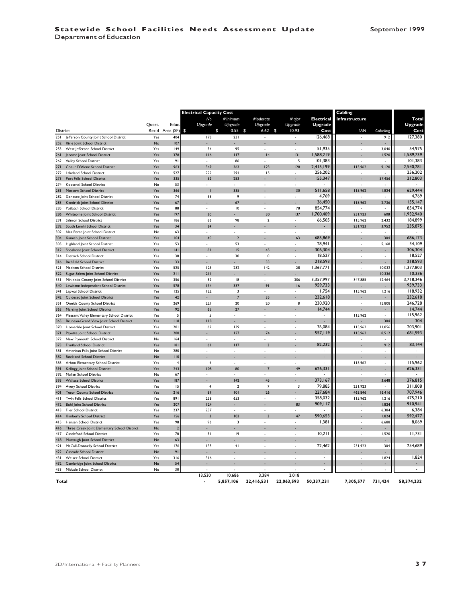|            |                                                                 |                |                 | <b>Electrical Capacity Cost</b> |                                           |                         |                         |                          | Cabling        |                          |                          |
|------------|-----------------------------------------------------------------|----------------|-----------------|---------------------------------|-------------------------------------------|-------------------------|-------------------------|--------------------------|----------------|--------------------------|--------------------------|
|            |                                                                 |                |                 | No                              | Minimum                                   | Moderate                | Major                   | <b>Electrical</b>        | Infrastructure |                          | Total                    |
|            |                                                                 | Quest.         | Educ.           | Upgrade                         | Upgrade                                   | Upgrade                 | Upgrade                 | <b>Upgrade</b>           |                |                          | <b>Upgrade</b>           |
| District   |                                                                 |                | Rec'd Area (SF) | \$                              | 0.55<br>\$                                | 6.62<br>\$              | 10.93<br>\$             | Cost                     | LAN            | Cabeling                 | Cost                     |
| 251        | Jefferson County Joint School District                          | Yes            | 404             | 173                             | 231                                       |                         |                         | 126,468                  | ×,             | 912                      | 127,380                  |
| 252        | Ririe Joint School District                                     | No             | 107             |                                 |                                           |                         |                         |                          |                |                          |                          |
| 253        | West Jefferson School District                                  | Yes            | 49              | 54                              | 95                                        | ä,                      |                         | 51,935                   |                | 3,040                    | 54,975                   |
| 261        | Jerome Joint School District                                    | Yes            | 378             | 116                             | 117                                       | 4                       | 131                     | 1,588,219                | í.             | 1,520                    | 1,589,739                |
| 262        | Valley School District                                          | Yes            | 91              | ×.                              | 86                                        | ×.                      | 5                       | 101,383                  | ٠              | $\sim$                   | 101,383                  |
| 271        | Coeur D'Alene School District                                   | Yes            | 963             | 349                             | 363                                       | 123                     | 128                     | 2,415,199                | 115,962        | 9,120                    | 2,540,281                |
| 272        | Lakeland School District                                        | Yes            | 527             | 222                             | 291                                       | 15                      |                         | 256,202                  |                |                          | 256,202                  |
| 273        | Post Falls School District                                      | Yes            | 335             | 52                              | 283                                       | ×,                      |                         | 155,347                  |                | 57,456                   | 212,803                  |
| 274        | Kootenai School District                                        | No             | 53              | ÷.                              |                                           | ł.                      |                         |                          |                |                          |                          |
| 281        | <b>Moscow School District</b>                                   | Yes            | 366             |                                 | 335                                       |                         | 30                      | 511,658                  | 115,962        | 1,824                    | 629,444                  |
| 282        | Genesee Joint School District                                   | Yes            | 74              | 65                              | 9<br>67                                   | ä,                      | ×.<br>÷.                | 4,769                    |                | ÷                        | 4,769                    |
| 283        | Kendrick Joint School District                                  | Yes            | 67              |                                 |                                           | J.                      |                         | 36,450                   | 115,962        | 2,736                    | 155,147                  |
| 285        | Potlatch School District                                        | Yes            | 88              | ÷                               | 10                                        | à.                      | 78                      | 854,774                  | ×              | ×.                       | 854,774                  |
| 286        | Whitepine Joint School District                                 | Yes            | 197             | 30                              |                                           | 30                      | 137                     | 1,700,409                | 231,923        | 608                      | 1,932,940                |
| 291        | Salmon School District                                          | Yes            | 186             | 86                              | 98                                        | $\overline{2}$          |                         | 66,505                   | 115,962        | 2,432                    | 184,899                  |
| 292        | South Lemhi School District                                     | Yes            | 34              | 34                              |                                           | ÷,                      |                         | ٠                        | 231,923        | 3,952                    | 235,875                  |
| 302        | Nez Perce Joint School District                                 | No             | 63              | ÷.                              | ٠                                         | à.                      | ×.                      |                          | ×.             | $\sim$                   |                          |
| 304        | Kamiah Joint School District                                    | Yes            | 104             | 40                              | $\overline{2}$                            |                         | 63                      | 685,869                  |                | 304                      | 686,173                  |
| 305        | Highland Joint School District                                  | Yes            | 53              | ä,                              | 53                                        | ä,                      | ×.                      | 28,941                   | ä,             | 5,168                    | 34,109                   |
| 312        | Shoshone Joint School District                                  | Yes            | 4               | 81                              | 15                                        | 45                      | ×.                      | 306,304                  | ä,             | ÷.                       | 306,304                  |
| 314        | Dietrich School District                                        | Yes            | 30              | $\epsilon$                      | 30                                        | $\mathbf 0$             | ٠                       | 18,527<br>218,593        | ×              | ×.                       | 18,527                   |
| 316        | Richfield School District                                       | Yes            | 33              | ×.                              |                                           | 33                      | ×.                      |                          | ä,             | ×,                       | 218,593                  |
| 321        | Madison School District                                         | Yes            | 525             | 123                             | 232                                       | 142                     | 28                      | 1,367,771                | ä,             | 10,032                   | 1,377,803<br>10,336      |
| 322<br>331 | Sugar-Salem Joint School District                               | Yes            | 211<br>356      | 211<br>32                       | ٠<br> 8                                   | ٠<br>L,                 | ×.<br>306               | 3,357,997                | i.<br>347,885  | 10,336<br>12,464         | 3.718.346                |
|            | Minidoka County Joint School District                           | Yes            | 578             | 134                             | 337                                       | 91                      |                         | 959,733                  |                |                          | 959,733                  |
| 340        | Lewiston Independent School District                            | Yes            |                 | 122                             |                                           | ä,                      | 16<br>×.                | 1,754                    |                |                          | 118,932                  |
| 341        | Lapwai School District                                          | Yes            | 125             | ä,                              | $\overline{\mathbf{3}}$<br>$\overline{7}$ | 35                      | u.                      | 232,618                  | 115,962        | 1,216                    | 232,618                  |
| 342<br>351 | Culdesac Joint School District<br>Oneida County School District | Yes<br>Yes     | 42<br>269       | 221                             | 20                                        | 20                      | 8                       | 230,920                  | ×              | 15,808                   | 246,728                  |
| 363        | Marsing Joint School District                                   | Yes            | 92              | 65                              | 27                                        |                         | ٠                       | 14,744                   | ×              | ×.                       | 14,744                   |
| 364        | Pleasant Valley Elementary School District                      | Yes            | 5               | 5                               |                                           | ä,                      | J.                      |                          | 115,962        | L.                       | 115,962                  |
| 365        | Bruneau-Grand View Joint School District                        | Yes            | 118             | 118                             | ×,                                        | ×,                      |                         |                          |                | 304                      | 304                      |
| 370        | Homedale Joint School District                                  | $\mathsf{Yes}$ | 201             | 62                              | 139                                       | à.                      | ×                       | 76,084                   | 115,962        | 11,856                   | 203,901                  |
| 371        | Payette Joint School District                                   | Yes            | 200             |                                 | 127                                       | 74                      |                         | 557,119                  | 115,962        | 8,512                    | 681,593                  |
| 372        | New Plymouth School District                                    | No             | 164             | ÷                               | ÷                                         | ×.                      | ÷.                      | $\overline{a}$           | ÷.             | ÷                        | $\overline{\phantom{a}}$ |
| 373        | Fruitland School District                                       | Yes            | 8               | 61                              | 117                                       | $\overline{\mathbf{3}}$ | ×.                      | 82,232                   | L.             | 912                      | 83,144                   |
| 381        | American Falls Joint School District                            | No             | 280             | ÷                               | $\mathbf{r}$                              | à.                      | ×                       | $\overline{\phantom{a}}$ | ×              | ä,                       | $\overline{\phantom{a}}$ |
| 382        | Rockland School District                                        | No             | 110             | L,                              | ×,                                        | ä,                      |                         | L,                       | í.             | ä,                       | ÷,                       |
| 383        | Arbon Elementary School District                                | Yes            | $\overline{4}$  | $\overline{4}$                  | ä,                                        |                         |                         | $\overline{a}$           | 115,962        | ä,                       | 115,962                  |
| 391        | Kellogg Joint School District                                   | Yes            | 243             | 108                             | 80                                        | $\overline{7}$          | 49                      | 626,331                  |                | $\overline{\phantom{a}}$ | 626,331                  |
| 392        | Mullan School District                                          | No             | 67              | ÷.                              |                                           | ä,                      | ×                       |                          |                | J.                       |                          |
| 393        | <b>Wallace School District</b>                                  | Yes            | 187             |                                 | 142                                       | 45                      |                         | 373,167                  |                | 3,648                    | 376,815                  |
| 394        | Avery School District                                           | Yes            | 15              | $\overline{4}$                  | $\overline{2}$                            | $\overline{7}$          | $\overline{\mathbf{3}}$ | 79,885                   | 231,923        | ×                        | 311,808                  |
| 401        | <b>Teton County School District</b>                             | Yes            | 216             | 89                              | 101                                       | 26                      |                         | 227,684                  | 463,846        | 16,416                   | 707,946                  |
| 411        | Twin Falls School District                                      | Yes            | 891             | 238                             | 653                                       | ×,                      | ٠                       | 358,032                  | 115,962        | 1,216                    | 475,210                  |
| 412        | <b>Buhl Joint School District</b>                               | Yes            | 207             | 124                             | ×,                                        | L,                      | 83                      | 909,117                  |                | 1,824                    | 910,941                  |
| 413        | Filer School District                                           | Yes            | 237             | 237                             |                                           | ÷.                      |                         |                          |                | 6,384                    | 6,384                    |
| 414        | Kimberly School District                                        | Yes            | 156             | $\overline{\mathbf{3}}$         | 103                                       | $\overline{\mathbf{3}}$ | 47                      | 590,653                  | ۰              | 1,824                    | 592,477                  |
| 415        | Hansen School District                                          | Yes            | 98              | 96                              | $\overline{\mathbf{3}}$                   | J.                      | ×.                      | 1,381                    | ÷.             | 6,688                    | 8,069                    |
| 416        | Three Creek Joint Elementary School District                    | No             | $\overline{2}$  |                                 |                                           |                         |                         |                          |                |                          |                          |
| 417        | Castleford School District                                      | Yes            | 70              | 51                              | 19                                        | ä,                      |                         | 10,211                   | L,             | 1,520                    | 11,731                   |
| 418        | Murtaugh Joint School District                                  | No             | 63              | ä,                              | ٠                                         | ä,                      | ٠                       |                          | ä,             | ÷.                       |                          |
| 421        | McCall-Donnelly School District                                 | Yes            | 176             | 135                             | 41                                        | ä,                      | ٠                       | 22,462                   | 231,923        | 304                      | 254,689                  |
| 422        | Cascade School District                                         | No             | 91              |                                 | ×,                                        |                         |                         |                          |                |                          |                          |
| 431        | Weiser School District                                          | Yes            | 316             | 316                             | ÷.                                        | ä,                      |                         | $\overline{a}$           | ä,             | 1,824                    | 1,824                    |
| 432        | Cambridge Joint School District                                 | No             | 54              | ٠                               |                                           |                         |                         | ÷,                       |                | ÷.                       | $\overline{\phantom{a}}$ |
| 433        | Midvale School District                                         | No             | 30              |                                 |                                           |                         |                         |                          |                |                          |                          |
|            |                                                                 |                |                 | 13,530                          | 10,686                                    | 3,384                   | 2,018                   |                          |                |                          |                          |
| Total      |                                                                 |                |                 |                                 | 5,857,106                                 | 22,416,531              | 22,063,593              | 50,337,231               | 7,305,577      | 731,424                  | 58,374,232               |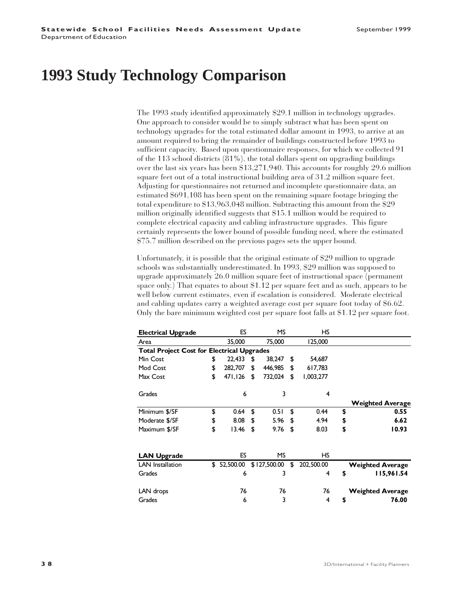### **1993 Study Technology Comparison**

The 1993 study identified approximately \$29.1 million in technology upgrades. One approach to consider would be to simply subtract what has been spent on technology upgrades for the total estimated dollar amount in 1993, to arrive at an amount required to bring the remainder of buildings constructed before 1993 to sufficient capacity. Based upon questionnaire responses, for which we collected 91 of the 113 school districts (81%), the total dollars spent on upgrading buildings over the last six years has been \$13,271,940. This accounts for roughly 29.6 million square feet out of a total instructional building area of 31.2 million square feet. Adjusting for questionnaires not returned and incomplete questionnaire data, an estimated \$691,108 has been spent on the remaining square footage bringing the total expenditure to \$13,963,048 million. Subtracting this amount from the \$29 million originally identified suggests that \$15.1 million would be required to complete electrical capacity and cabling infrastructure upgrades. This figure certainly represents the lower bound of possible funding need, where the estimated \$75.7 million described on the previous pages sets the upper bound.

Unfortunately, it is possible that the original estimate of \$29 million to upgrade schools was substantially underestimated. In 1993, \$29 million was supposed to upgrade approximately 26.0 million square feet of instructional space (permanent space only.) That equates to about \$1.12 per square feet and as such, appears to be well below current estimates, even if escalation is considered. Moderate electrical and cabling updates carry a weighted average cost per square foot today of \$6.62. Only the bare minimum weighted cost per square foot falls at \$1.12 per square foot.

| <b>Electrical Upgrade</b>                         | ES              | MS            | НS               |                         |
|---------------------------------------------------|-----------------|---------------|------------------|-------------------------|
| Area                                              | 35,000          | 75,000        | 125,000          |                         |
| <b>Total Project Cost for Electrical Upgrades</b> |                 |               |                  |                         |
| Min Cost                                          | \$<br>22,433    | \$<br>38,247  | \$<br>54,687     |                         |
| Mod Cost                                          | \$<br>282,707   | \$<br>446,985 | \$<br>617,783    |                         |
| Max Cost                                          | \$<br>471,126   | \$<br>732,024 | \$<br>1,003,277  |                         |
| Grades                                            | 6               | 3             | 4                |                         |
|                                                   |                 |               |                  | <b>Weighted Average</b> |
| Minimum \$/SF                                     | \$<br>0.64      | \$<br>0.51    | \$<br>0.44       | \$<br>0.55              |
| Moderate \$/SF                                    | \$<br>8.08      | \$<br>5.96    | \$<br>4.94       | \$<br>6.62              |
| Maximum \$/SF                                     | \$<br>13.46     | \$<br>9.76    | \$<br>8.03       | \$<br>10.93             |
| <b>LAN Upgrade</b>                                | ES              | MS            | <b>HS</b>        |                         |
| <b>LAN</b> Installation                           | \$<br>52,500.00 | \$127,500.00  | \$<br>202,500.00 | <b>Weighted Average</b> |
| Grades                                            | 6               | 3             | 4                | \$<br>115,961.54        |
| LAN drops                                         | 76              | 76            | 76               | <b>Weighted Average</b> |
| Grades                                            | 6               | 3             | 4                | \$<br>76.00             |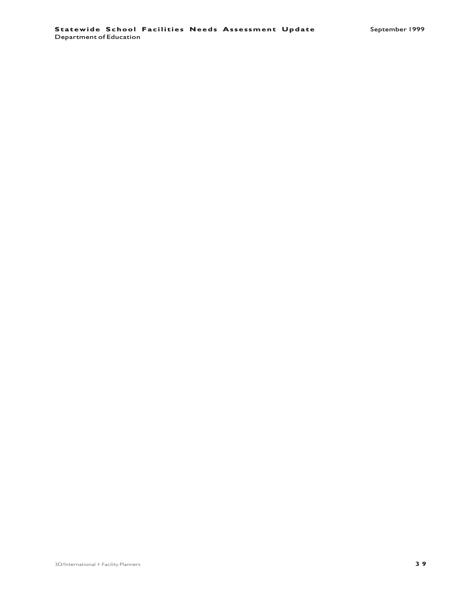$3D/$ International + Facility Planners 3 9